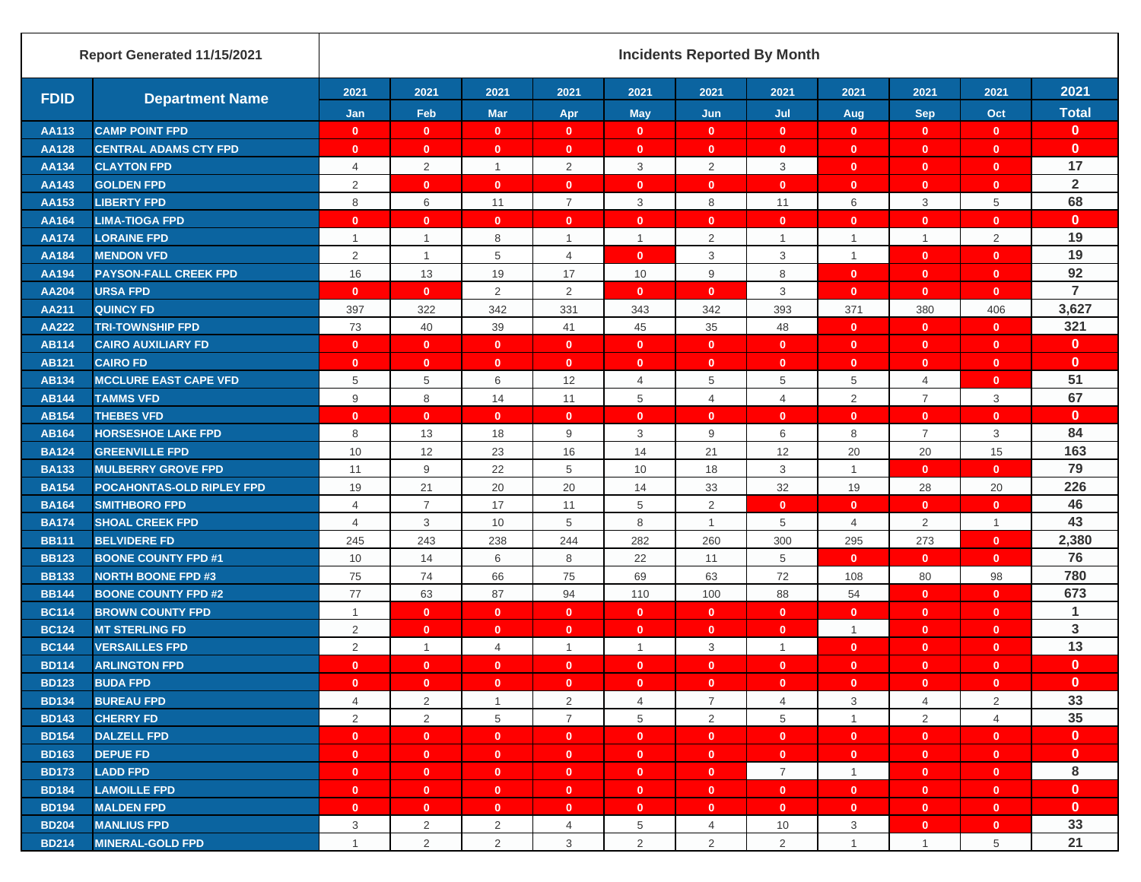|              | Report Generated 11/15/2021  | <b>Incidents Reported By Month</b> |                |                         |                |                 |                |                |                |                |                |                      |
|--------------|------------------------------|------------------------------------|----------------|-------------------------|----------------|-----------------|----------------|----------------|----------------|----------------|----------------|----------------------|
| <b>FDID</b>  | <b>Department Name</b>       | 2021                               | 2021           | 2021                    | 2021           | 2021            | 2021           | 2021           | 2021           | 2021           | 2021           | 2021                 |
|              |                              | Jan                                | Feb            | <b>Mar</b>              | Apr            | <b>May</b>      | Jun            | Jul            | Aug            | <b>Sep</b>     | Oct            | <b>Total</b>         |
| AA113        | <b>CAMP POINT FPD</b>        | $\mathbf{0}$                       | $\mathbf{0}$   | $\mathbf{0}$            | $\mathbf{0}$   | $\mathbf{0}$    | $\mathbf{0}$   | $\mathbf 0$    | $\mathbf{0}$   | $\mathbf{0}$   | $\mathbf{0}$   | $\mathbf{0}$         |
| <b>AA128</b> | <b>CENTRAL ADAMS CTY FPD</b> | $\mathbf{0}$                       | $\mathbf{0}$   | $\mathbf{0}$            | $\mathbf{0}$   | $\mathbf{0}$    | $\mathbf{0}$   | $\mathbf{0}$   | $\mathbf{0}$   | $\mathbf{0}$   | $\mathbf{0}$   | $\mathbf 0$          |
| AA134        | <b>CLAYTON FPD</b>           | $\overline{4}$                     | $\overline{2}$ | $\mathbf{1}$            | 2              | 3               | 2              | 3              | $\mathbf{0}$   | $\mathbf{0}$   | $\mathbf{0}$   | 17                   |
| AA143        | <b>GOLDEN FPD</b>            | 2                                  | $\mathbf{0}$   | $\mathbf{0}$            | $\mathbf{0}$   | $\mathbf{0}$    | $\mathbf{0}$   | $\mathbf{0}$   | $\mathbf{0}$   | $\mathbf{0}$   | $\mathbf{0}$   | $\overline{2}$       |
| AA153        | <b>LIBERTY FPD</b>           | 8                                  | 6              | 11                      | $\overline{7}$ | 3               | 8              | 11             | 6              | 3              | 5              | 68                   |
| AA164        | <b>LIMA-TIOGA FPD</b>        | $\mathbf{0}$                       | $\mathbf{0}$   | $\mathbf{0}$            | $\mathbf{0}$   | $\mathbf{0}$    | $\mathbf{0}$   | $\mathbf{0}$   | $\mathbf{0}$   | $\mathbf{0}$   | $\mathbf{0}$   | $\mathbf 0$          |
| <b>AA174</b> | <b>LORAINE FPD</b>           | $\mathbf{1}$                       | $\mathbf{1}$   | 8                       | $\mathbf{1}$   | $\overline{1}$  | 2              | $\overline{1}$ | $\mathbf{1}$   | $\mathbf{1}$   | $\overline{2}$ | 19                   |
| AA184        | <b>MENDON VFD</b>            | 2                                  | $\mathbf{1}$   | $\,$ 5 $\,$             | $\overline{4}$ | $\mathbf{0}$    | 3              | 3              | $\mathbf{1}$   | $\mathbf{0}$   | $\mathbf{0}$   | 19                   |
| AA194        | <b>PAYSON-FALL CREEK FPD</b> | 16                                 | 13             | 19                      | 17             | 10              | 9              | 8              | $\mathbf{0}$   | $\mathbf{0}$   | $\mathbf{0}$   | 92                   |
| AA204        | <b>URSA FPD</b>              | $\mathbf{0}$                       | $\mathbf{0}$   | 2                       | 2              | $\mathbf{0}$    | $\mathbf{0}$   | 3              | $\mathbf{0}$   | $\mathbf{0}$   | $\mathbf{0}$   | $\overline{7}$       |
| AA211        | <b>QUINCY FD</b>             | 397                                | 322            | 342                     | 331            | 343             | 342            | 393            | 371            | 380            | 406            | 3,627                |
| <b>AA222</b> | <b>TRI-TOWNSHIP FPD</b>      | 73                                 | 40             | 39                      | 41             | 45              | 35             | 48             | $\mathbf{0}$   | $\mathbf{0}$   | $\mathbf{0}$   | 321                  |
| <b>AB114</b> | <b>CAIRO AUXILIARY FD</b>    | $\mathbf{0}$                       | $\mathbf{0}$   | $\mathbf{0}$            | $\mathbf{0}$   | $\mathbf{0}$    | $\mathbf{0}$   | $\mathbf{0}$   | $\mathbf{0}$   | $\mathbf{0}$   | $\mathbf{0}$   | $\mathbf{0}$         |
| <b>AB121</b> | <b>CAIRO FD</b>              | $\mathbf{0}$                       | $\mathbf{0}$   | $\mathbf{0}$            | $\mathbf{0}$   | $\mathbf{0}$    | $\mathbf{0}$   | $\mathbf{0}$   | $\mathbf{0}$   | $\mathbf{0}$   | $\mathbf{0}$   | $\mathbf 0$          |
| <b>AB134</b> | <b>MCCLURE EAST CAPE VFD</b> | 5                                  | 5              | 6                       | 12             | 4               | 5              | 5              | 5              | $\overline{4}$ | $\mathbf{0}$   | 51                   |
| <b>AB144</b> | <b>TAMMS VFD</b>             | 9                                  | 8              | 14                      | 11             | 5               | $\overline{4}$ | $\overline{4}$ | $\overline{2}$ | $\overline{7}$ | 3              | 67                   |
| <b>AB154</b> | <b>THEBES VFD</b>            | $\mathbf{0}$                       | $\mathbf{0}$   | $\mathbf{0}$            | $\mathbf{0}$   | $\mathbf{0}$    | $\mathbf{0}$   | $\mathbf 0$    | $\mathbf{0}$   | $\mathbf{0}$   | $\mathbf{0}$   | $\mathbf 0$          |
| <b>AB164</b> | <b>HORSESHOE LAKE FPD</b>    | 8                                  | 13             | 18                      | 9              | 3               | 9              | 6              | 8              | $\overline{7}$ | 3              | 84                   |
| <b>BA124</b> | <b>GREENVILLE FPD</b>        | 10                                 | 12             | 23                      | 16             | 14              | 21             | 12             | 20             | 20             | 15             | 163                  |
| <b>BA133</b> | <b>MULBERRY GROVE FPD</b>    | 11                                 | 9              | 22                      | 5              | 10              | 18             | 3              | $\mathbf{1}$   | $\mathbf{0}$   | $\mathbf{0}$   | 79                   |
| <b>BA154</b> | POCAHONTAS-OLD RIPLEY FPD    | 19                                 | 21             | 20                      | 20             | 14              | 33             | 32             | 19             | 28             | 20             | 226                  |
| <b>BA164</b> | <b>SMITHBORO FPD</b>         | $\overline{4}$                     | $\overline{7}$ | 17                      | 11             | 5               | 2              | $\mathbf{0}$   | $\mathbf{0}$   | $\mathbf{0}$   | $\mathbf{0}$   | 46                   |
| <b>BA174</b> | <b>SHOAL CREEK FPD</b>       | $\overline{4}$                     | 3              | 10                      | 5              | 8               | $\mathbf{1}$   | 5              | 4              | 2              | $\mathbf{1}$   | 43                   |
| <b>BB111</b> | <b>BELVIDERE FD</b>          | 245                                | 243            | 238                     | 244            | 282             | 260            | 300            | 295            | 273            | $\mathbf{0}$   | 2,380                |
| <b>BB123</b> | <b>BOONE COUNTY FPD #1</b>   | 10                                 | 14             | 6                       | 8              | 22              | 11             | 5              | $\mathbf{0}$   | $\mathbf{0}$   | $\mathbf{0}$   | 76                   |
| <b>BB133</b> | <b>NORTH BOONE FPD #3</b>    | 75                                 | 74             | 66                      | 75             | 69              | 63             | 72             | 108            | 80             | 98             | 780                  |
| <b>BB144</b> | <b>BOONE COUNTY FPD #2</b>   | 77                                 | 63             | 87                      | 94             | 110             | 100            | 88             | 54             | $\mathbf{0}$   | $\mathbf{0}$   | 673                  |
| <b>BC114</b> | <b>BROWN COUNTY FPD</b>      | $\overline{1}$                     | $\mathbf{0}$   | $\mathbf{0}$            | $\mathbf{0}$   | $\mathbf{0}$    | $\mathbf{0}$   | $\mathbf{0}$   | $\mathbf{0}$   | $\mathbf{0}$   | $\mathbf{0}$   | $\blacktriangleleft$ |
| <b>BC124</b> | <b>MT STERLING FD</b>        | 2                                  | $\mathbf{0}$   | $\mathbf{0}$            | $\mathbf{0}$   | $\mathbf{0}$    | $\mathbf{0}$   | $\mathbf{0}$   | $\mathbf{1}$   | $\mathbf{0}$   | $\mathbf{0}$   | 3                    |
| <b>BC144</b> | <b>VERSAILLES FPD</b>        | 2                                  | $\mathbf{1}$   | $\overline{4}$          | $\mathbf{1}$   | $\mathbf{1}$    | 3              | $\mathbf{1}$   | $\mathbf{0}$   | $\mathbf{0}$   | $\mathbf{0}$   | 13                   |
| <b>BD114</b> | <b>ARLINGTON FPD</b>         | $\mathbf{0}$                       | $\mathbf{0}$   | $\mathbf{0}$            | $\mathbf{0}$   | $\mathbf{0}$    | $\mathbf{0}$   | $\mathbf{0}$   | $\mathbf{0}$   | $\mathbf{0}$   | $\mathbf{0}$   | $\mathbf{0}$         |
| <b>BD123</b> | <b>BUDA FPD</b>              | $\bf{0}$                           | $\bf{0}$       | $\bf{0}$                | $\bf{0}$       | $\bf{0}$        | $\bf{0}$       | $\bf{0}$       | 0              | $\mathbf{0}$   | 0              | $\bf{0}$             |
| <b>BD134</b> | <b>BUREAU FPD</b>            | $\overline{4}$                     | $\overline{2}$ | $\mathbf{1}$            | $\overline{2}$ | $\overline{4}$  | $\overline{7}$ | $\overline{4}$ | 3              | 4              | $\overline{2}$ | 33                   |
| <b>BD143</b> | <b>CHERRY FD</b>             | $\overline{2}$                     | $\overline{2}$ | 5                       | $\overline{7}$ | 5               | $\overline{2}$ | 5              | $\mathbf{1}$   | 2              | $\overline{4}$ | 35                   |
| <b>BD154</b> | <b>DALZELL FPD</b>           | $\mathbf{0}$                       | $\mathbf{0}$   | $\mathbf{0}$            | $\bullet$      | $\mathbf{0}$    | $\mathbf{0}$   | $\mathbf{0}$   | $\bullet$      | $\mathbf{0}$   | $\mathbf{0}$   | $\mathbf{0}$         |
| <b>BD163</b> | <b>DEPUE FD</b>              | $\mathbf{0}$                       | $\mathbf{0}$   | $\mathbf{0}$            | $\bullet$      | $\mathbf{0}$    | $\bullet$      | $\mathbf{0}$   | $\mathbf{0}$   | $\mathbf{0}$   | $\bullet$      | $\mathbf{0}$         |
| <b>BD173</b> | <b>LADD FPD</b>              | $\overline{\mathbf{0}}$            | $\bullet$      | $\overline{\mathbf{0}}$ | $\bullet$      | $\mathbf{0}$    | $\bullet$      | $\overline{7}$ | $\mathbf{1}$   | $\mathbf{0}$   | $\bullet$      | 8                    |
| <b>BD184</b> | <b>LAMOILLE FPD</b>          | $\mathbf{0}$                       | $\bullet$      | $\overline{0}$          | $\bullet$      | $\mathbf{0}$    | $\bullet$      | $\bullet$      | $\bullet$      | $\mathbf{0}$   | $\overline{0}$ | $\mathbf{0}$         |
| <b>BD194</b> | <b>MALDEN FPD</b>            | $\mathbf{0}$                       | $\mathbf{0}$   | $\mathbf{0}$            | $\mathbf{0}$   | $\mathbf{0}$    | $\bullet$      | $\mathbf{0}$   | $\mathbf{0}$   | $\mathbf{0}$   | $\mathbf{0}$   | $\mathbf{0}$         |
| <b>BD204</b> | <b>MANLIUS FPD</b>           | 3                                  | $\overline{2}$ | $\overline{2}$          | $\overline{4}$ | $5\phantom{.0}$ | $\overline{4}$ | $10$           | 3              | $\mathbf{0}$   | $\mathbf{0}$   | 33                   |
| <b>BD214</b> | <b>MINERAL-GOLD FPD</b>      | $\mathbf{1}$                       | $\overline{2}$ | $\overline{2}$          | $\mathbf{3}$   | $\overline{2}$  | $\overline{2}$ | 2              | $\mathbf{1}$   | $\mathbf{1}$   | 5              | 21                   |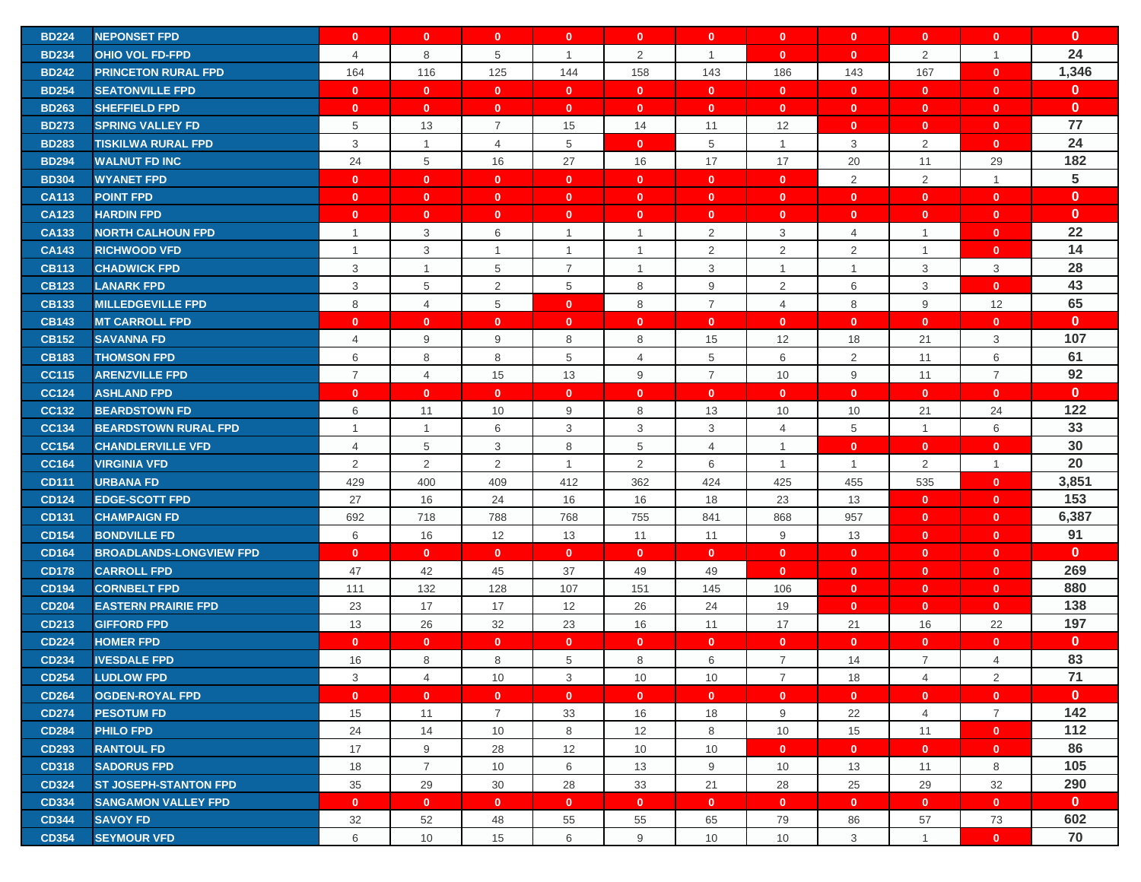| <b>BD224</b> | <b>NEPONSET FPD</b>            | $\mathbf{0}$   | $\mathbf{0}$   | $\mathbf{0}$   | $\mathbf{0}$   | $\mathbf{0}$   | $\mathbf{0}$   | $\mathbf{0}$   | $\mathbf{0}$   | $\mathbf{0}$   | $\mathbf{0}$   | $\mathbf 0$     |
|--------------|--------------------------------|----------------|----------------|----------------|----------------|----------------|----------------|----------------|----------------|----------------|----------------|-----------------|
| <b>BD234</b> | <b>OHIO VOL FD-FPD</b>         | 4              | 8              | 5              | $\overline{1}$ | $\overline{2}$ | $\mathbf{1}$   | $\mathbf{0}$   | $\mathbf{0}$   | $\overline{2}$ | $\mathbf{1}$   | 24              |
| <b>BD242</b> | <b>PRINCETON RURAL FPD</b>     | 164            | 116            | 125            | 144            | 158            | 143            | 186            | 143            | 167            | $\mathbf{0}$   | 1,346           |
| <b>BD254</b> | <b>SEATONVILLE FPD</b>         | $\mathbf{0}$   | $\mathbf{0}$   | $\mathbf{0}$   | $\mathbf{0}$   | $\mathbf{0}$   | $\mathbf{0}$   | $\mathbf{0}$   | $\mathbf{0}$   | $\mathbf{0}$   | $\mathbf{0}$   | $\mathbf{0}$    |
| <b>BD263</b> | <b>SHEFFIELD FPD</b>           | $\mathbf{0}$   | $\mathbf{0}$   | $\mathbf{0}$   | $\mathbf{0}$   | $\mathbf{0}$   | $\mathbf{0}$   | $\mathbf 0$    | $\mathbf{0}$   | $\mathbf{0}$   | $\mathbf{0}$   | $\mathbf{0}$    |
| <b>BD273</b> | <b>SPRING VALLEY FD</b>        | 5              | 13             | $\overline{7}$ | 15             | 14             | 11             | 12             | $\mathbf{0}$   | $\mathbf{0}$   | $\mathbf{0}$   | 77              |
| <b>BD283</b> | <b>TISKILWA RURAL FPD</b>      | 3              | $\mathbf{1}$   | 4              | 5              | $\mathbf{0}$   | 5              | $\mathbf{1}$   | 3              | $\overline{2}$ | $\mathbf{0}$   | 24              |
| <b>BD294</b> | <b>WALNUT FD INC</b>           | 24             | 5              | 16             | 27             | 16             | 17             | 17             | 20             | 11             | 29             | 182             |
| <b>BD304</b> | <b>WYANET FPD</b>              | $\mathbf{0}$   | $\mathbf{0}$   | $\mathbf{0}$   | $\mathbf{0}$   | $\mathbf{0}$   | $\mathbf{0}$   | $\mathbf{0}$   | $\overline{2}$ | $\overline{2}$ | $\mathbf{1}$   | $5\phantom{.0}$ |
| <b>CA113</b> | <b>POINT FPD</b>               | $\mathbf{0}$   | $\mathbf{0}$   | $\mathbf{0}$   | $\mathbf{0}$   | $\mathbf{0}$   | $\mathbf{0}$   | $\mathbf{0}$   | $\mathbf{0}$   | $\mathbf{0}$   | $\mathbf{0}$   | $\mathbf{0}$    |
| <b>CA123</b> | <b>HARDIN FPD</b>              | $\mathbf{0}$   | $\mathbf{0}$   | $\mathbf{0}$   | $\mathbf{0}$   | $\mathbf{0}$   | $\mathbf{0}$   | $\mathbf 0$    | $\mathbf{0}$   | $\mathbf{0}$   | $\mathbf{0}$   | $\mathbf{0}$    |
| <b>CA133</b> | <b>NORTH CALHOUN FPD</b>       | $\overline{1}$ | 3              | 6              | $\overline{1}$ | $\mathbf{1}$   | 2              | 3              | $\overline{4}$ | $\mathbf{1}$   | $\mathbf{0}$   | 22              |
| <b>CA143</b> | <b>RICHWOOD VFD</b>            | $\overline{1}$ | 3              | $\mathbf{1}$   | $\mathbf{1}$   | $\overline{1}$ | 2              | $\overline{2}$ | 2              | $\overline{1}$ | $\mathbf{0}$   | 14              |
| <b>CB113</b> | <b>CHADWICK FPD</b>            | 3              | $\mathbf{1}$   | 5              | $\overline{7}$ | $\overline{1}$ | 3              | $\mathbf{1}$   | $\overline{1}$ | 3              | 3              | 28              |
| <b>CB123</b> | <b>LANARK FPD</b>              | 3              | $\,$ 5 $\,$    | 2              | 5              | 8              | 9              | $\overline{2}$ | 6              | 3              | $\mathbf{0}$   | 43              |
| <b>CB133</b> | <b>MILLEDGEVILLE FPD</b>       | 8              | $\overline{4}$ | 5              | $\mathbf{0}$   | 8              | $\overline{7}$ | 4              | 8              | $9\,$          | 12             | 65              |
| <b>CB143</b> | <b>MT CARROLL FPD</b>          | $\mathbf{0}$   | $\mathbf{0}$   | $\mathbf{0}$   | $\mathbf{0}$   | $\mathbf{0}$   | $\mathbf{0}$   | $\mathbf{0}$   | $\mathbf{0}$   | $\mathbf{0}$   | $\mathbf{0}$   | $\mathbf 0$     |
| <b>CB152</b> | <b>SAVANNA FD</b>              | $\overline{4}$ | 9              | 9              | 8              | 8              | 15             | 12             | 18             | 21             | 3              | 107             |
| <b>CB183</b> | <b>THOMSON FPD</b>             | 6              | 8              | 8              | 5              | 4              | 5              | 6              | 2              | 11             | 6              | 61              |
| <b>CC115</b> | <b>ARENZVILLE FPD</b>          | $\overline{7}$ | $\overline{4}$ | 15             | 13             | 9              | $\overline{7}$ | 10             | 9              | 11             | $\overline{7}$ | 92              |
| <b>CC124</b> | <b>ASHLAND FPD</b>             | $\mathbf{0}$   | $\mathbf{0}$   | $\mathbf{0}$   | $\mathbf{0}$   | $\mathbf{0}$   | $\mathbf{0}$   | $\mathbf{0}$   | $\mathbf{0}$   | $\mathbf{0}$   | $\mathbf{0}$   | $\mathbf{0}$    |
| <b>CC132</b> | <b>BEARDSTOWN FD</b>           | 6              | 11             | 10             | 9              | 8              | 13             | 10             | 10             | 21             | 24             | 122             |
| <b>CC134</b> | <b>BEARDSTOWN RURAL FPD</b>    | $\mathbf{1}$   | $\mathbf{1}$   | 6              | 3              | 3              | 3              | $\overline{4}$ | 5              | $\overline{1}$ | 6              | 33              |
| <b>CC154</b> | <b>CHANDLERVILLE VFD</b>       | 4              | 5              | 3              | 8              | 5              | 4              | $\mathbf{1}$   | $\mathbf{0}$   | $\mathbf{0}$   | $\mathbf{0}$   | 30              |
| <b>CC164</b> | <b>VIRGINIA VFD</b>            | 2              | $\overline{2}$ | $\overline{2}$ | $\overline{1}$ | $\overline{2}$ | 6              | $\mathbf{1}$   | $\overline{1}$ | 2              | $\mathbf{1}$   | 20              |
| <b>CD111</b> | <b>URBANA FD</b>               | 429            | 400            | 409            | 412            | 362            | 424            | 425            | 455            | 535            | $\mathbf{0}$   | 3,851           |
| <b>CD124</b> | <b>EDGE-SCOTT FPD</b>          | 27             | 16             | 24             | 16             | 16             | 18             | 23             | 13             | $\mathbf{0}$   | $\mathbf{0}$   | 153             |
| CD131        | <b>CHAMPAIGN FD</b>            | 692            | 718            | 788            | 768            | 755            | 841            | 868            | 957            | $\mathbf{0}$   | $\mathbf{0}$   | 6,387           |
| <b>CD154</b> | <b>BONDVILLE FD</b>            | 6              | 16             | 12             | 13             | 11             | 11             | 9              | 13             | $\mathbf{0}$   | $\mathbf{0}$   | 91              |
| <b>CD164</b> | <b>BROADLANDS-LONGVIEW FPD</b> | $\mathbf{0}$   | $\mathbf{0}$   | $\mathbf{0}$   | $\mathbf{0}$   | $\mathbf{0}$   | $\mathbf{0}$   | $\mathbf{0}$   | $\mathbf{0}$   | $\mathbf{0}$   | $\mathbf{0}$   | $\mathbf{0}$    |
| <b>CD178</b> | <b>CARROLL FPD</b>             | 47             | 42             | 45             | 37             | 49             | 49             | $\mathbf{0}$   | $\mathbf{0}$   | $\mathbf{0}$   | $\mathbf{0}$   | 269             |
| <b>CD194</b> | <b>CORNBELT FPD</b>            | 111            | 132            | 128            | 107            | 151            | 145            | 106            | $\mathbf{0}$   | $\mathbf{0}$   | $\mathbf{0}$   | 880             |
| <b>CD204</b> | <b>EASTERN PRAIRIE FPD</b>     | 23             | 17             | 17             | 12             | 26             | 24             | 19             | $\mathbf{0}$   | $\mathbf{0}$   | $\mathbf{0}$   | 138             |
| CD213        | <b>GIFFORD FPD</b>             | 13             | 26             | 32             | 23             | 16             | 11             | 17             | 21             | 16             | 22             | 197             |
| <b>CD224</b> | <b>HOMER FPD</b>               | $\mathbf{0}$   | $\mathbf{0}$   | $\mathbf{0}$   | $\mathbf{0}$   | $\mathbf{0}$   | $\mathbf{0}$   | $\mathbf{0}$   | $\mathbf{0}$   | $\mathbf 0$    | $\mathbf{0}$   | $\mathbf{0}$    |
| <b>CD234</b> | <b>IVESDALE FPD</b>            | 16             | 8              | 8              | 5              | 8              | 6              | $\overline{7}$ | 14             | $\overline{7}$ | 4              | 83              |
| <b>CD254</b> | <b>LUDLOW FPD</b>              | 3              | 4              | 10             | 3              | 10             | 10             | 7              | 18             | 4              | $\overline{2}$ | 71              |
| <b>CD264</b> | <b>OGDEN-ROYAL FPD</b>         | $\mathbf{0}$   | $\mathbf{0}$   | $\mathbf{0}$   | $\mathbf{0}$   | $\mathbf{0}$   | $\mathbf{0}$   | $\mathbf{0}$   | $\mathbf{0}$   | $\mathbf{0}$   | $\mathbf{0}$   | $\mathbf{0}$    |
| <b>CD274</b> | <b>PESOTUM FD</b>              | 15             | 11             | $\overline{7}$ | 33             | 16             | 18             | 9              | 22             | $\overline{4}$ | $\overline{7}$ | 142             |
| <b>CD284</b> | <b>PHILO FPD</b>               | 24             | 14             | 10             | 8              | 12             | 8              | 10             | 15             | 11             | $\mathbf{0}$   | 112             |
| <b>CD293</b> | <b>RANTOUL FD</b>              | 17             | 9              | 28             | 12             | 10             | 10             | $\mathbf{0}$   | $\mathbf{0}$   | $\mathbf{0}$   | $\mathbf{0}$   | 86              |
| <b>CD318</b> | <b>SADORUS FPD</b>             | 18             | $\overline{7}$ | 10             | 6              | 13             | 9              | 10             | 13             | 11             | 8              | 105             |
| <b>CD324</b> | <b>ST JOSEPH-STANTON FPD</b>   | 35             | 29             | 30             | 28             | 33             | 21             | 28             | 25             | 29             | 32             | 290             |
| <b>CD334</b> | <b>SANGAMON VALLEY FPD</b>     | $\mathbf{0}$   | $\mathbf{0}$   | $\mathbf{0}$   | $\mathbf{0}$   | $\mathbf{0}$   | $\mathbf{0}$   | $\mathbf{0}$   | $\mathbf{0}$   | $\mathbf{0}$   | $\mathbf{0}$   | $\mathbf{0}$    |
| <b>CD344</b> | <b>SAVOY FD</b>                | 32             | 52             | 48             | 55             | 55             | 65             | 79             | 86             | 57             | 73             | 602             |
| <b>CD354</b> | <b>SEYMOUR VFD</b>             | 6              | 10             | 15             | 6              | 9              | 10             | 10             | 3              | $\overline{1}$ | $\mathbf{0}$   | 70              |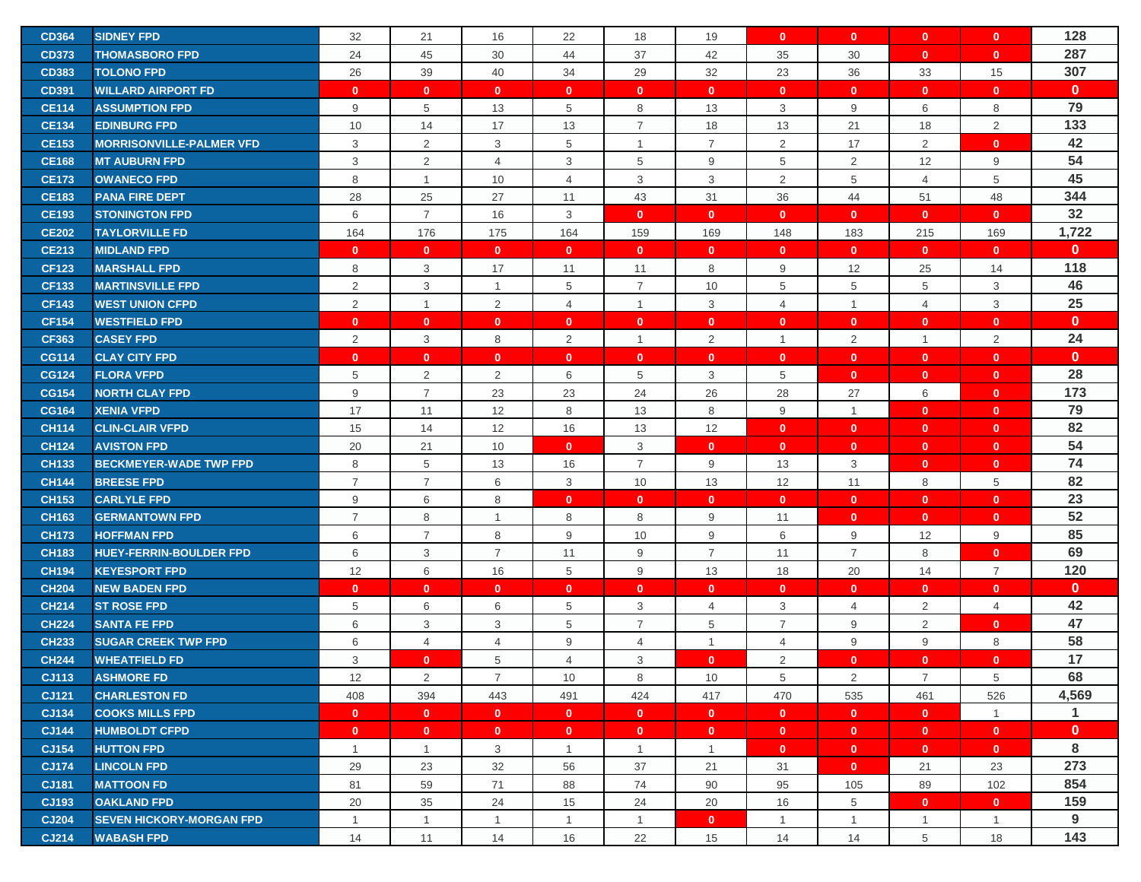| <b>CD364</b> | <b>SIDNEY FPD</b>               | 32                        | 21             | 16                        | 22             | 18             | 19             | $\mathbf{0}$   | $\mathbf{0}$   | $\mathbf{0}$   | $\mathbf{0}$   | 128          |
|--------------|---------------------------------|---------------------------|----------------|---------------------------|----------------|----------------|----------------|----------------|----------------|----------------|----------------|--------------|
| <b>CD373</b> | <b>THOMASBORO FPD</b>           | 24                        | 45             | 30                        | 44             | 37             | 42             | 35             | 30             | $\mathbf{0}$   | $\mathbf{0}$   | 287          |
| <b>CD383</b> | <b>TOLONO FPD</b>               | 26                        | 39             | 40                        | 34             | 29             | 32             | 23             | 36             | 33             | 15             | 307          |
| <b>CD391</b> | <b>WILLARD AIRPORT FD</b>       | $\mathbf{0}$              | $\mathbf{0}$   | $\mathbf{0}$              | $\mathbf{0}$   | $\mathbf{0}$   | $\mathbf{0}$   | $\mathbf{0}$   | $\mathbf{0}$   | $\mathbf{0}$   | $\mathbf{0}$   | $\mathbf{0}$ |
| <b>CE114</b> | <b>ASSUMPTION FPD</b>           | 9                         | 5              | 13                        | 5              | 8              | 13             | 3              | 9              | 6              | 8              | 79           |
| <b>CE134</b> | <b>EDINBURG FPD</b>             | 10                        | 14             | 17                        | 13             | $\overline{7}$ | 18             | 13             | 21             | 18             | $\overline{2}$ | 133          |
| <b>CE153</b> | <b>MORRISONVILLE-PALMER VFD</b> | 3                         | 2              | 3                         | 5              | $\mathbf{1}$   | $\overline{7}$ | 2              | 17             | 2              | $\mathbf{0}$   | 42           |
| <b>CE168</b> | <b>MT AUBURN FPD</b>            | $\ensuremath{\mathsf{3}}$ | $\overline{2}$ | $\overline{4}$            | 3              | 5              | 9              | 5              | $\overline{2}$ | 12             | 9              | 54           |
| <b>CE173</b> | <b>OWANECO FPD</b>              | 8                         | $\mathbf{1}$   | 10                        | $\overline{4}$ | 3              | 3              | $\overline{2}$ | 5              | $\overline{4}$ | 5              | 45           |
| <b>CE183</b> | <b>PANA FIRE DEPT</b>           | 28                        | 25             | 27                        | 11             | 43             | 31             | 36             | 44             | 51             | 48             | 344          |
| <b>CE193</b> | <b>STONINGTON FPD</b>           | 6                         | $\overline{7}$ | 16                        | 3              | $\mathbf{0}$   | $\mathbf{0}$   | $\mathbf{0}$   | $\mathbf{0}$   | $\mathbf{0}$   | $\mathbf{0}$   | 32           |
| <b>CE202</b> | <b>TAYLORVILLE FD</b>           | 164                       | 176            | 175                       | 164            | 159            | 169            | 148            | 183            | 215            | 169            | 1,722        |
| <b>CE213</b> | <b>MIDLAND FPD</b>              | $\mathbf{0}$              | $\mathbf{0}$   | $\mathbf{0}$              | $\mathbf{0}$   | $\mathbf{0}$   | $\mathbf{0}$   | $\mathbf 0$    | $\mathbf{0}$   | $\mathbf{0}$   | $\mathbf{0}$   | $\mathbf{0}$ |
| <b>CF123</b> | <b>MARSHALL FPD</b>             | 8                         | 3              | 17                        | 11             | 11             | 8              | 9              | 12             | 25             | 14             | 118          |
| <b>CF133</b> | <b>MARTINSVILLE FPD</b>         | 2                         | 3              | $\mathbf{1}$              | 5              | $\overline{7}$ | 10             | 5              | 5              | 5              | 3              | 46           |
| <b>CF143</b> | <b>WEST UNION CFPD</b>          | 2                         | $\mathbf{1}$   | $\overline{c}$            | 4              | $\mathbf{1}$   | 3              | $\overline{4}$ | $\overline{1}$ | $\overline{4}$ | 3              | 25           |
| <b>CF154</b> | <b>WESTFIELD FPD</b>            | $\mathbf{0}$              | $\mathbf{0}$   | $\mathbf{0}$              | $\mathbf{0}$   | $\mathbf{0}$   | $\mathbf{0}$   | $\mathbf{0}$   | $\mathbf{0}$   | $\mathbf{0}$   | $\mathbf{0}$   | $\mathbf{0}$ |
| <b>CF363</b> | <b>CASEY FPD</b>                | 2                         | 3              | 8                         | $\overline{2}$ | $\mathbf{1}$   | $\overline{2}$ | $\overline{1}$ | 2              | $\overline{1}$ | $\overline{2}$ | 24           |
| <b>CG114</b> | <b>CLAY CITY FPD</b>            | $\mathbf{0}$              | $\mathbf{0}$   | $\mathbf{0}$              | $\mathbf{0}$   | $\mathbf{0}$   | $\mathbf{0}$   | $\mathbf{0}$   | $\mathbf{0}$   | $\mathbf{0}$   | $\mathbf{0}$   | $\mathbf{0}$ |
| <b>CG124</b> | <b>FLORA VFPD</b>               | 5                         | $\overline{2}$ | $\overline{2}$            | 6              | 5              | 3              | 5              | $\mathbf{0}$   | $\mathbf{0}$   | $\mathbf{0}$   | 28           |
| <b>CG154</b> | <b>NORTH CLAY FPD</b>           | $9\,$                     | $\overline{7}$ | 23                        | 23             | 24             | 26             | 28             | 27             | 6              | $\mathbf{0}$   | 173          |
| <b>CG164</b> | <b>XENIA VFPD</b>               | 17                        | 11             | 12                        | 8              | 13             | 8              | 9              | $\overline{1}$ | $\mathbf{0}$   | $\mathbf{0}$   | 79           |
| <b>CH114</b> | <b>CLIN-CLAIR VFPD</b>          | 15                        | 14             | 12                        | 16             | 13             | 12             | $\mathbf{0}$   | $\mathbf{0}$   | $\mathbf{0}$   | $\mathbf{0}$   | 82           |
| <b>CH124</b> | <b>AVISTON FPD</b>              | 20                        | 21             | 10                        | $\mathbf{0}$   | 3              | $\mathbf{0}$   | $\mathbf{0}$   | $\mathbf{0}$   | $\mathbf{0}$   | $\mathbf{0}$   | 54           |
| <b>CH133</b> | <b>BECKMEYER-WADE TWP FPD</b>   | 8                         | 5              | 13                        | 16             | $\overline{7}$ | 9              | 13             | 3              | $\mathbf{0}$   | $\mathbf{0}$   | 74           |
| <b>CH144</b> | <b>BREESE FPD</b>               | $\overline{7}$            | $\overline{7}$ | 6                         | 3              | 10             | 13             | 12             | 11             | 8              | 5              | 82           |
| <b>CH153</b> | <b>CARLYLE FPD</b>              | 9                         | 6              | 8                         | $\mathbf{0}$   | $\mathbf{0}$   | $\mathbf{0}$   | $\mathbf{0}$   | $\mathbf{0}$   | $\mathbf{0}$   | $\mathbf{0}$   | 23           |
| <b>CH163</b> | <b>GERMANTOWN FPD</b>           | $\overline{7}$            | 8              | $\mathbf{1}$              | 8              | 8              | 9              | 11             | $\mathbf{0}$   | $\mathbf{0}$   | $\mathbf{0}$   | 52           |
| <b>CH173</b> | <b>HOFFMAN FPD</b>              | 6                         | $\overline{7}$ | 8                         | 9              | 10             | 9              | $\,6\,$        | 9              | 12             | 9              | 85           |
| <b>CH183</b> | <b>HUEY-FERRIN-BOULDER FPD</b>  | 6                         | 3              | $\overline{7}$            | 11             | 9              | $\overline{7}$ | 11             | $\overline{7}$ | 8              | $\mathbf{0}$   | 69           |
| <b>CH194</b> | <b>KEYESPORT FPD</b>            | 12                        | 6              | 16                        | 5              | 9              | 13             | 18             | 20             | 14             | $\overline{7}$ | 120          |
| <b>CH204</b> | <b>NEW BADEN FPD</b>            | $\mathbf{0}$              | $\mathbf{0}$   | $\mathbf{0}$              | $\mathbf{0}$   | $\mathbf{0}$   | $\mathbf{0}$   | $\mathbf{0}$   | $\mathbf{0}$   | $\mathbf{0}$   | $\mathbf{0}$   | $\mathbf{0}$ |
| <b>CH214</b> | <b>ST ROSE FPD</b>              | 5                         | 6              | 6                         | 5              | 3              | 4              | 3              | 4              | $\overline{2}$ | 4              | 42           |
| <b>CH224</b> | <b>SANTA FE FPD</b>             | $\,6$                     | 3              | $\ensuremath{\mathsf{3}}$ | 5              | $\overline{7}$ | 5              | $\overline{7}$ | 9              | $\overline{2}$ | $\mathbf{0}$   | 47           |
| <b>CH233</b> | <b>SUGAR CREEK TWP FPD</b>      | 6                         | $\overline{4}$ | 4                         | 9              | 4              | $\overline{1}$ | $\overline{4}$ | 9              | 9              | 8              | 58           |
| <b>CH244</b> | <b>WHEATFIELD FD</b>            | 3                         | $\mathbf{0}$   | 5                         | $\overline{4}$ | 3              | $\mathbf{0}$   | 2              | $\mathbf{0}$   | $\mathbf{0}$   | $\mathbf{0}$   | 17           |
| CJ113        | <b>ASHMORE FD</b>               | 12                        | $\overline{2}$ | $\overline{7}$            | 10             | 8              | 10             | 5              | $\overline{2}$ | $\overline{7}$ | 5              | 68           |
| CJ121        | <b>CHARLESTON FD</b>            | 408                       | 394            | 443                       | 491            | 424            | 417            | 470            | 535            | 461            | 526            | 4,569        |
| CJ134        | <b>COOKS MILLS FPD</b>          | $\mathbf{0}$              | $\mathbf{0}$   | $\mathbf{0}$              | $\mathbf{0}$   | $\mathbf{0}$   | $\mathbf{0}$   | $\mathbf{0}$   | $\mathbf{0}$   | $\mathbf{0}$   | $\overline{1}$ | $\mathbf{1}$ |
| <b>CJ144</b> | <b>HUMBOLDT CFPD</b>            | $\mathbf{0}$              | $\mathbf{0}$   | $\mathbf{0}$              | $\mathbf{0}$   | $\mathbf{0}$   | $\mathbf{0}$   | $\mathbf{0}$   | $\mathbf{0}$   | $\mathbf{0}$   | $\mathbf{0}$   | $\mathbf{0}$ |
| CJ154        | <b>HUTTON FPD</b>               | $\mathbf{1}$              | $\mathbf{1}$   | 3                         | $\mathbf{1}$   | $\mathbf{1}$   | $\mathbf{1}$   | $\mathbf{0}$   | $\overline{0}$ | $\mathbf{0}$   | $\mathbf{0}$   | 8            |
| <b>CJ174</b> | <b>LINCOLN FPD</b>              | 29                        | 23             | 32                        | 56             | 37             | 21             | 31             | $\mathbf{0}$   | 21             | 23             | 273          |
| CJ181        | <b>MATTOON FD</b>               | 81                        | 59             | 71                        | 88             | 74             | 90             | 95             | 105            | 89             | 102            | 854          |
| CJ193        | <b>OAKLAND FPD</b>              | 20                        | 35             | 24                        | 15             | 24             | 20             | 16             | 5              | $\mathbf{0}$   | $\mathbf{0}$   | 159          |
| <b>CJ204</b> | <b>SEVEN HICKORY-MORGAN FPD</b> | $\mathbf{1}$              | $\mathbf{1}$   | $\mathbf{1}$              | $\mathbf{1}$   | $\mathbf{1}$   | $\mathbf{0}$   | $\mathbf{1}$   | $\mathbf{1}$   | $\mathbf{1}$   | $\mathbf{1}$   | 9            |
| CJ214        | <b>WABASH FPD</b>               | 14                        | 11             | 14                        | 16             | 22             | 15             | 14             | 14             | 5              | 18             | 143          |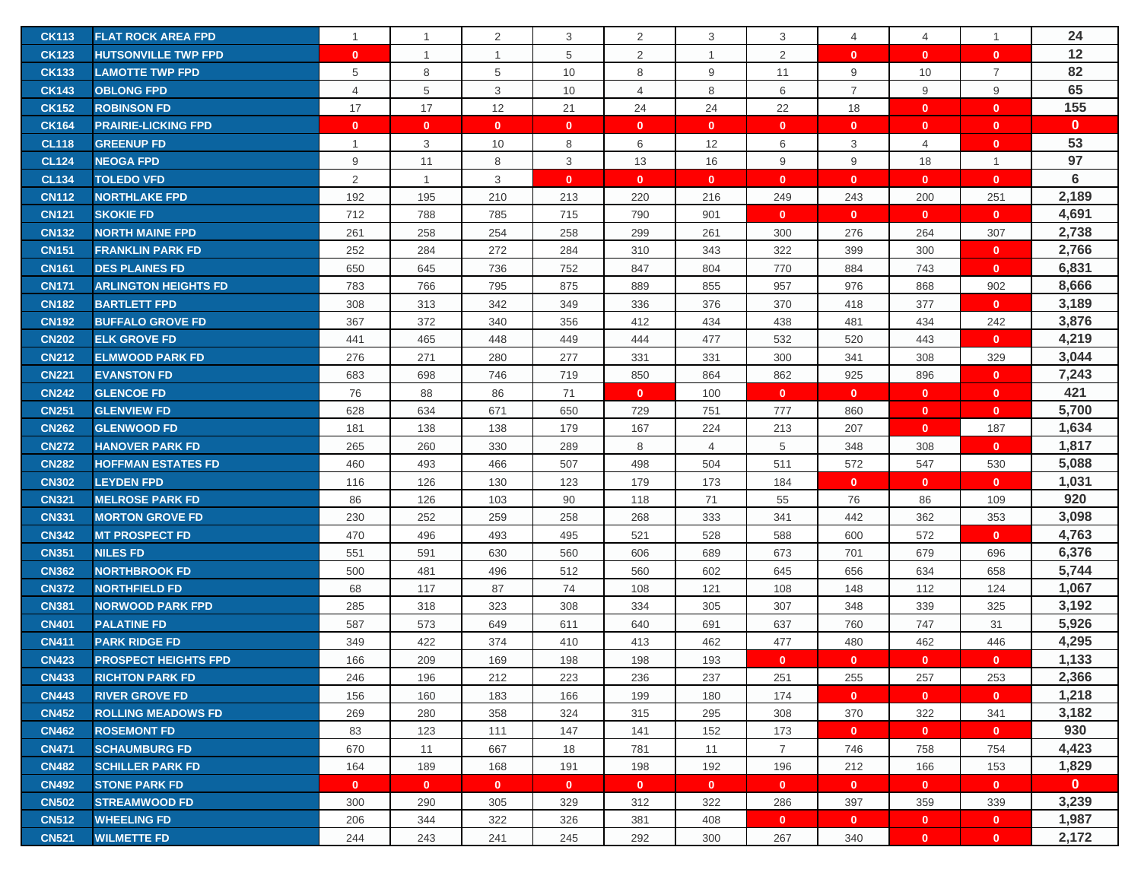| <b>CK113</b> | <b>FLAT ROCK AREA FPD</b>   | $\mathbf{1}$ | $\overline{1}$ | 2            | 3            | $\overline{2}$ | 3              | 3              | $\overline{4}$ | 4              |                | 24           |
|--------------|-----------------------------|--------------|----------------|--------------|--------------|----------------|----------------|----------------|----------------|----------------|----------------|--------------|
| <b>CK123</b> | <b>HUTSONVILLE TWP FPD</b>  | $\mathbf{0}$ | $\overline{1}$ | $\mathbf{1}$ | 5            | $\overline{2}$ | $\overline{1}$ | 2              | $\mathbf{0}$   | $\mathbf{0}$   | $\mathbf{0}$   | 12           |
| <b>CK133</b> | <b>LAMOTTE TWP FPD</b>      | 5            | 8              | 5            | 10           | 8              | 9              | 11             | 9              | 10             | $\overline{7}$ | 82           |
| <b>CK143</b> | <b>OBLONG FPD</b>           | 4            | 5              | 3            | 10           | 4              | 8              | 6              | $\overline{7}$ | 9              | 9              | 65           |
| <b>CK152</b> | <b>ROBINSON FD</b>          | 17           | 17             | 12           | 21           | 24             | 24             | 22             | 18             | $\mathbf{0}$   | $\mathbf{0}$   | 155          |
| <b>CK164</b> | <b>PRAIRIE-LICKING FPD</b>  | $\mathbf{0}$ | $\mathbf{0}$   | $\mathbf{0}$ | $\mathbf{0}$ | $\mathbf{0}$   | $\mathbf{0}$   | $\mathbf 0$    | $\mathbf{0}$   | $\mathbf{0}$   | $\mathbf{0}$   | $\mathbf{0}$ |
| <b>CL118</b> | <b>GREENUP FD</b>           | $\mathbf{1}$ | 3              | 10           | 8            | 6              | 12             | 6              | 3              | $\overline{4}$ | $\mathbf{0}$   | 53           |
| <b>CL124</b> | <b>NEOGA FPD</b>            | 9            | 11             | 8            | 3            | 13             | 16             | 9              | 9              | 18             | $\mathbf{1}$   | 97           |
| <b>CL134</b> | <b>TOLEDO VFD</b>           | 2            | $\overline{1}$ | 3            | $\mathbf{0}$ | $\mathbf{0}$   | $\mathbf{0}$   | $\mathbf{0}$   | $\mathbf{0}$   | $\mathbf{0}$   | $\mathbf{0}$   | 6            |
| <b>CN112</b> | <b>NORTHLAKE FPD</b>        | 192          | 195            | 210          | 213          | 220            | 216            | 249            | 243            | 200            | 251            | 2,189        |
| <b>CN121</b> | <b>SKOKIE FD</b>            | 712          | 788            | 785          | 715          | 790            | 901            | $\mathbf{0}$   | $\mathbf{0}$   | $\mathbf{0}$   | $\mathbf{0}$   | 4,691        |
| <b>CN132</b> | <b>NORTH MAINE FPD</b>      | 261          | 258            | 254          | 258          | 299            | 261            | 300            | 276            | 264            | 307            | 2,738        |
| <b>CN151</b> | <b>FRANKLIN PARK FD</b>     | 252          | 284            | 272          | 284          | 310            | 343            | 322            | 399            | 300            | $\mathbf{0}$   | 2,766        |
| <b>CN161</b> | <b>DES PLAINES FD</b>       | 650          | 645            | 736          | 752          | 847            | 804            | 770            | 884            | 743            | $\mathbf{0}$   | 6,831        |
| <b>CN171</b> | <b>ARLINGTON HEIGHTS FD</b> | 783          | 766            | 795          | 875          | 889            | 855            | 957            | 976            | 868            | 902            | 8,666        |
| <b>CN182</b> | <b>BARTLETT FPD</b>         | 308          | 313            | 342          | 349          | 336            | 376            | 370            | 418            | 377            | $\mathbf{0}$   | 3,189        |
| <b>CN192</b> | <b>BUFFALO GROVE FD</b>     | 367          | 372            | 340          | 356          | 412            | 434            | 438            | 481            | 434            | 242            | 3,876        |
| <b>CN202</b> | <b>ELK GROVE FD</b>         | 441          | 465            | 448          | 449          | 444            | 477            | 532            | 520            | 443            | $\mathbf{0}$   | 4,219        |
| <b>CN212</b> | <b>ELMWOOD PARK FD</b>      | 276          | 271            | 280          | 277          | 331            | 331            | 300            | 341            | 308            | 329            | 3,044        |
| <b>CN221</b> | <b>EVANSTON FD</b>          | 683          | 698            | 746          | 719          | 850            | 864            | 862            | 925            | 896            | $\mathbf{0}$   | 7,243        |
| <b>CN242</b> | <b>GLENCOE FD</b>           | 76           | 88             | 86           | 71           | $\mathbf{0}$   | 100            | $\mathbf{0}$   | $\mathbf{0}$   | $\mathbf{0}$   | $\mathbf{0}$   | 421          |
| <b>CN251</b> | <b>GLENVIEW FD</b>          | 628          | 634            | 671          | 650          | 729            | 751            | 777            | 860            | $\mathbf{0}$   | $\mathbf{0}$   | 5,700        |
| <b>CN262</b> | <b>GLENWOOD FD</b>          | 181          | 138            | 138          | 179          | 167            | 224            | 213            | 207            | $\mathbf{0}$   | 187            | 1,634        |
| <b>CN272</b> | <b>HANOVER PARK FD</b>      | 265          | 260            | 330          | 289          | 8              | $\overline{4}$ | 5              | 348            | 308            | $\mathbf{0}$   | 1,817        |
| <b>CN282</b> | <b>HOFFMAN ESTATES FD</b>   | 460          | 493            | 466          | 507          | 498            | 504            | 511            | 572            | 547            | 530            | 5,088        |
| <b>CN302</b> | <b>LEYDEN FPD</b>           | 116          | 126            | 130          | 123          | 179            | 173            | 184            | $\mathbf{0}$   | $\mathbf{0}$   | $\mathbf{0}$   | 1,031        |
| <b>CN321</b> | <b>MELROSE PARK FD</b>      | 86           | 126            | 103          | 90           | 118            | 71             | 55             | 76             | 86             | 109            | 920          |
| <b>CN331</b> | <b>MORTON GROVE FD</b>      | 230          | 252            | 259          | 258          | 268            | 333            | 341            | 442            | 362            | 353            | 3,098        |
| <b>CN342</b> | <b>MT PROSPECT FD</b>       | 470          | 496            | 493          | 495          | 521            | 528            | 588            | 600            | 572            | $\mathbf{0}$   | 4,763        |
| <b>CN351</b> | <b>NILES FD</b>             | 551          | 591            | 630          | 560          | 606            | 689            | 673            | 701            | 679            | 696            | 6,376        |
| <b>CN362</b> | <b>NORTHBROOK FD</b>        | 500          | 481            | 496          | 512          | 560            | 602            | 645            | 656            | 634            | 658            | 5,744        |
| <b>CN372</b> | <b>NORTHFIELD FD</b>        | 68           | 117            | 87           | 74           | 108            | 121            | 108            | 148            | 112            | 124            | 1,067        |
| <b>CN381</b> | <b>NORWOOD PARK FPD</b>     | 285          | 318            | 323          | 308          | 334            | 305            | 307            | 348            | 339            | 325            | 3,192        |
| <b>CN401</b> | <b>PALATINE FD</b>          | 587          | 573            | 649          | 611          | 640            | 691            | 637            | 760            | 747            | 31             | 5,926        |
| <b>CN411</b> | <b>PARK RIDGE FD</b>        | 349          | 422            | 374          | 410          | 413            | 462            | 477            | 480            | 462            | 446            | 4,295        |
| <b>CN423</b> | <b>PROSPECT HEIGHTS FPD</b> | 166          | 209            | 169          | 198          | 198            | 193            | $\mathbf{0}$   | $\mathbf{0}$   | $\mathbf{0}$   | $\mathbf{0}$   | 1,133        |
| <b>CN433</b> | <b>RICHTON PARK FD</b>      | 246          | 196            | 212          | 223          | 236            | 237            | 251            | 255            | 257            | 253            | 2,366        |
| <b>CN443</b> | <b>RIVER GROVE FD</b>       | 156          | 160            | 183          | 166          | 199            | 180            | 174            | $\mathbf{0}$   | $\mathbf{0}$   | $\mathbf{0}$   | 1,218        |
| <b>CN452</b> | <b>ROLLING MEADOWS FD</b>   | 269          | 280            | 358          | 324          | 315            | 295            | 308            | 370            | 322            | 341            | 3,182        |
| <b>CN462</b> | <b>ROSEMONT FD</b>          | 83           | 123            | 111          | 147          | 141            | 152            | 173            | $\mathbf{0}$   | $\mathbf{0}$   | $\mathbf{0}$   | 930          |
| <b>CN471</b> | <b>SCHAUMBURG FD</b>        | 670          | 11             | 667          | 18           | 781            | 11             | $\overline{7}$ | 746            | 758            | 754            | 4,423        |
| <b>CN482</b> | <b>SCHILLER PARK FD</b>     | 164          | 189            | 168          | 191          | 198            | 192            | 196            | 212            | 166            | 153            | 1,829        |
| <b>CN492</b> | <b>STONE PARK FD</b>        | $\mathbf{0}$ | $\mathbf{0}$   | $\mathbf{0}$ | $\mathbf{0}$ | $\mathbf{0}$   | $\mathbf{0}$   | $\mathbf{0}$   | $\mathbf{0}$   | $\mathbf{0}$   | $\mathbf{0}$   | $\mathbf{0}$ |
| <b>CN502</b> | <b>STREAMWOOD FD</b>        | 300          | 290            | 305          | 329          | 312            | 322            | 286            | 397            | 359            | 339            | 3,239        |
| <b>CN512</b> | <b>WHEELING FD</b>          | 206          | 344            | 322          | 326          | 381            | 408            | $\mathbf{0}$   | $\mathbf{0}$   | $\mathbf{0}$   | $\mathbf{0}$   | 1,987        |
| <b>CN521</b> | <b>WILMETTE FD</b>          | 244          | 243            | 241          | 245          | 292            | 300            | 267            | 340            | $\mathbf{0}$   | $\mathbf{0}$   | 2,172        |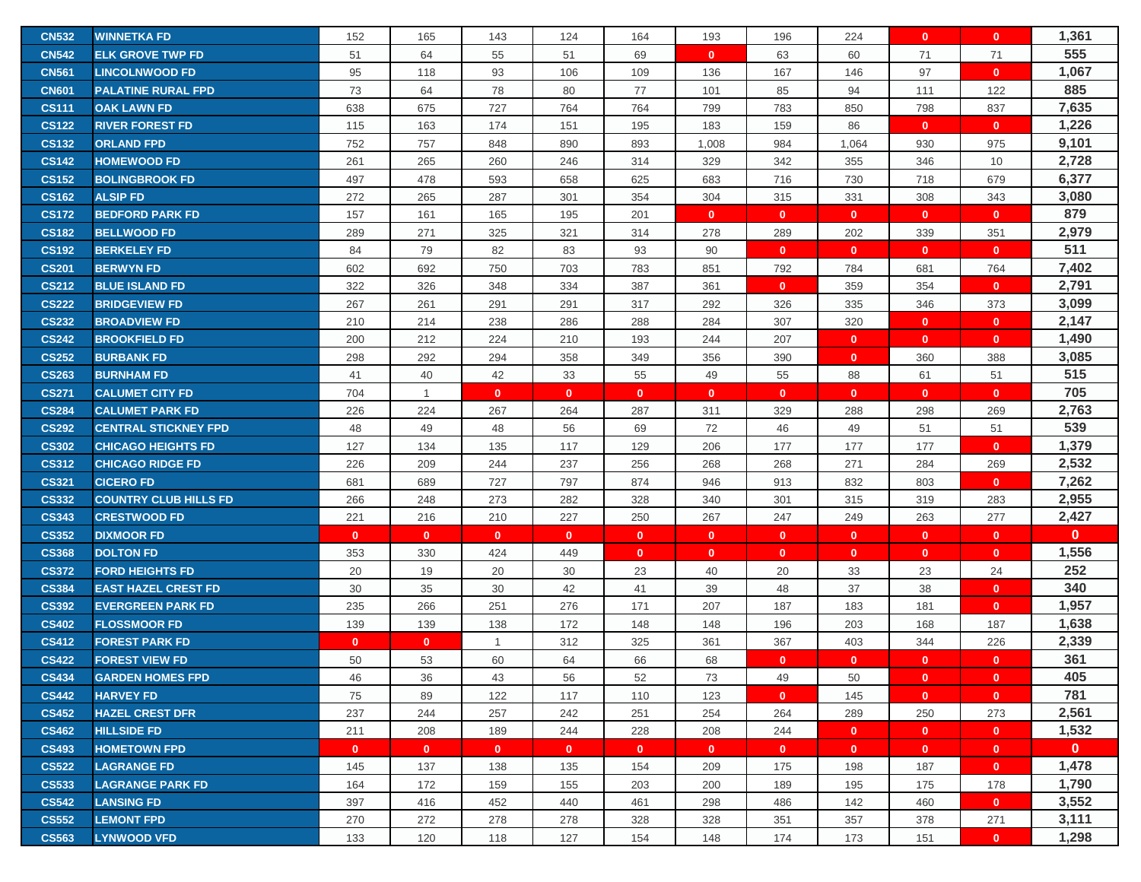| <b>CN532</b> | <b>WINNETKA FD</b>           | 152          | 165            | 143          | 124          | 164          | 193          | 196          | 224          | $\mathbf{0}$ | $\mathbf{0}$ | 1,361        |
|--------------|------------------------------|--------------|----------------|--------------|--------------|--------------|--------------|--------------|--------------|--------------|--------------|--------------|
| <b>CN542</b> | <b>ELK GROVE TWP FD</b>      | 51           | 64             | 55           | 51           | 69           | $\mathbf{0}$ | 63           | 60           | 71           | 71           | 555          |
| <b>CN561</b> | <b>LINCOLNWOOD FD</b>        | 95           | 118            | 93           | 106          | 109          | 136          | 167          | 146          | 97           | $\mathbf{0}$ | 1,067        |
| <b>CN601</b> | <b>PALATINE RURAL FPD</b>    | 73           | 64             | 78           | 80           | 77           | 101          | 85           | 94           | 111          | 122          | 885          |
| <b>CS111</b> | <b>OAK LAWN FD</b>           | 638          | 675            | 727          | 764          | 764          | 799          | 783          | 850          | 798          | 837          | 7,635        |
| <b>CS122</b> | <b>RIVER FOREST FD</b>       | 115          | 163            | 174          | 151          | 195          | 183          | 159          | 86           | $\mathbf{0}$ | $\mathbf{0}$ | 1,226        |
| <b>CS132</b> | <b>ORLAND FPD</b>            | 752          | 757            | 848          | 890          | 893          | 1,008        | 984          | 1,064        | 930          | 975          | 9,101        |
| <b>CS142</b> | <b>HOMEWOOD FD</b>           | 261          | 265            | 260          | 246          | 314          | 329          | 342          | 355          | 346          | 10           | 2,728        |
| <b>CS152</b> | <b>BOLINGBROOK FD</b>        | 497          | 478            | 593          | 658          | 625          | 683          | 716          | 730          | 718          | 679          | 6,377        |
| <b>CS162</b> | <b>ALSIP FD</b>              | 272          | 265            | 287          | 301          | 354          | 304          | 315          | 331          | 308          | 343          | 3,080        |
| <b>CS172</b> | <b>BEDFORD PARK FD</b>       | 157          | 161            | 165          | 195          | 201          | $\mathbf{0}$ | $\mathbf{0}$ | $\mathbf{0}$ | $\mathbf{0}$ | $\mathbf{0}$ | 879          |
| <b>CS182</b> | <b>BELLWOOD FD</b>           | 289          | 271            | 325          | 321          | 314          | 278          | 289          | 202          | 339          | 351          | 2,979        |
| <b>CS192</b> | <b>BERKELEY FD</b>           | 84           | 79             | 82           | 83           | 93           | 90           | $\mathbf 0$  | $\mathbf{0}$ | $\mathbf{0}$ | $\mathbf{0}$ | 511          |
| <b>CS201</b> | <b>BERWYN FD</b>             | 602          | 692            | 750          | 703          | 783          | 851          | 792          | 784          | 681          | 764          | 7,402        |
| <b>CS212</b> | <b>BLUE ISLAND FD</b>        | 322          | 326            | 348          | 334          | 387          | 361          | $\mathbf 0$  | 359          | 354          | $\mathbf{0}$ | 2,791        |
| <b>CS222</b> | <b>BRIDGEVIEW FD</b>         | 267          | 261            | 291          | 291          | 317          | 292          | 326          | 335          | 346          | 373          | 3,099        |
| <b>CS232</b> | <b>BROADVIEW FD</b>          | 210          | 214            | 238          | 286          | 288          | 284          | 307          | 320          | $\mathbf{0}$ | $\mathbf{0}$ | 2,147        |
| <b>CS242</b> | <b>BROOKFIELD FD</b>         | 200          | 212            | 224          | 210          | 193          | 244          | 207          | $\mathbf{0}$ | $\mathbf{0}$ | $\mathbf{0}$ | 1,490        |
| <b>CS252</b> | <b>BURBANK FD</b>            | 298          | 292            | 294          | 358          | 349          | 356          | 390          | $\mathbf{0}$ | 360          | 388          | 3,085        |
| <b>CS263</b> | <b>BURNHAM FD</b>            | 41           | 40             | 42           | 33           | 55           | 49           | 55           | 88           | 61           | 51           | 515          |
| <b>CS271</b> | <b>CALUMET CITY FD</b>       | 704          | $\overline{1}$ | $\mathbf{0}$ | $\mathbf{0}$ | $\mathbf{0}$ | $\mathbf{0}$ | $\mathbf{0}$ | $\mathbf{0}$ | $\mathbf{0}$ | $\mathbf{0}$ | 705          |
| <b>CS284</b> | <b>CALUMET PARK FD</b>       | 226          | 224            | 267          | 264          | 287          | 311          | 329          | 288          | 298          | 269          | 2,763        |
| <b>CS292</b> | <b>CENTRAL STICKNEY FPD</b>  | 48           | 49             | 48           | 56           | 69           | 72           | 46           | 49           | 51           | 51           | 539          |
| <b>CS302</b> | <b>CHICAGO HEIGHTS FD</b>    | 127          | 134            | 135          | 117          | 129          | 206          | 177          | 177          | 177          | $\mathbf{0}$ | 1,379        |
| <b>CS312</b> | <b>CHICAGO RIDGE FD</b>      | 226          | 209            | 244          | 237          | 256          | 268          | 268          | 271          | 284          | 269          | 2,532        |
| <b>CS321</b> | <b>CICERO FD</b>             | 681          | 689            | 727          | 797          | 874          | 946          | 913          | 832          | 803          | $\mathbf{0}$ | 7,262        |
| <b>CS332</b> | <b>COUNTRY CLUB HILLS FD</b> | 266          | 248            | 273          | 282          | 328          | 340          | 301          | 315          | 319          | 283          | 2,955        |
| <b>CS343</b> | <b>CRESTWOOD FD</b>          | 221          | 216            | 210          | 227          | 250          | 267          | 247          | 249          | 263          | 277          | 2,427        |
| <b>CS352</b> | <b>DIXMOOR FD</b>            | $\mathbf{0}$ | $\mathbf{0}$   | $\mathbf{0}$ | $\mathbf{0}$ | $\mathbf{0}$ | $\mathbf{0}$ | $\mathbf{0}$ | $\mathbf{0}$ | $\mathbf{0}$ | $\mathbf{0}$ | $\mathbf{0}$ |
| <b>CS368</b> | <b>DOLTON FD</b>             | 353          | 330            | 424          | 449          | $\mathbf{0}$ | $\mathbf{0}$ | $\mathbf 0$  | $\mathbf{0}$ | $\mathbf{0}$ | $\mathbf{0}$ | 1,556        |
| <b>CS372</b> | <b>FORD HEIGHTS FD</b>       | 20           | 19             | 20           | 30           | 23           | 40           | 20           | 33           | 23           | 24           | 252          |
| <b>CS384</b> | <b>EAST HAZEL CREST FD</b>   | 30           | 35             | 30           | 42           | 41           | 39           | 48           | 37           | 38           | $\mathbf{0}$ | 340          |
| <b>CS392</b> | <b>EVERGREEN PARK FD</b>     | 235          | 266            | 251          | 276          | 171          | 207          | 187          | 183          | 181          | $\mathbf{0}$ | 1,957        |
| <b>CS402</b> | <b>FLOSSMOOR FD</b>          | 139          | 139            | 138          | 172          | 148          | 148          | 196          | 203          | 168          | 187          | 1,638        |
| <b>CS412</b> | <b>FOREST PARK FD</b>        | $\mathbf{0}$ | $\mathbf{0}$   | $\mathbf{1}$ | 312          | 325          | 361          | 367          | 403          | 344          | 226          | 2,339        |
| <b>CS422</b> | <b>FOREST VIEW FD</b>        | 50           | 53             | 60           | 64           | 66           | 68           | $\mathbf{0}$ | $\mathbf{0}$ | $\mathbf{0}$ | $\mathbf{0}$ | 361          |
| <b>CS434</b> | <b>GARDEN HOMES FPD</b>      | 46           | 36             | 43           | 56           | 52           | 73           | 49           | 50           | $\mathbf{0}$ | $\mathbf{0}$ | 405          |
| <b>CS442</b> | <b>HARVEY FD</b>             | 75           | 89             | 122          | 117          | 110          | 123          | $\mathbf{0}$ | 145          | $\mathbf{0}$ | $\mathbf{0}$ | 781          |
| <b>CS452</b> | <b>HAZEL CREST DFR</b>       | 237          | 244            | 257          | 242          | 251          | 254          | 264          | 289          | 250          | 273          | 2,561        |
| <b>CS462</b> | <b>HILLSIDE FD</b>           | 211          | 208            | 189          | 244          | 228          | 208          | 244          | $\mathbf{0}$ | $\mathbf{0}$ | $\mathbf{0}$ | 1,532        |
| <b>CS493</b> | <b>HOMETOWN FPD</b>          | $\mathbf{0}$ | $\mathbf{0}$   | $\mathbf{0}$ | $\mathbf{0}$ | $\mathbf{0}$ | $\mathbf{0}$ | $\mathbf{0}$ | $\mathbf{0}$ | $\mathbf{0}$ | $\mathbf{0}$ | $\mathbf{0}$ |
| <b>CS522</b> | <b>LAGRANGE FD</b>           | 145          | 137            | 138          | 135          | 154          | 209          | 175          | 198          | 187          | $\mathbf{0}$ | 1,478        |
| <b>CS533</b> | <b>LAGRANGE PARK FD</b>      | 164          | 172            | 159          | 155          | 203          | 200          | 189          | 195          | 175          | 178          | 1,790        |
| <b>CS542</b> | <b>LANSING FD</b>            | 397          | 416            | 452          | 440          | 461          | 298          | 486          | 142          | 460          | $\mathbf{0}$ | 3,552        |
| <b>CS552</b> | <b>LEMONT FPD</b>            | 270          | 272            | 278          | 278          | 328          | 328          | 351          | 357          | 378          | 271          | 3,111        |
| <b>CS563</b> | <b>LYNWOOD VFD</b>           | 133          | 120            | 118          | 127          | 154          | 148          | 174          | 173          | 151          | $\mathbf{0}$ | 1,298        |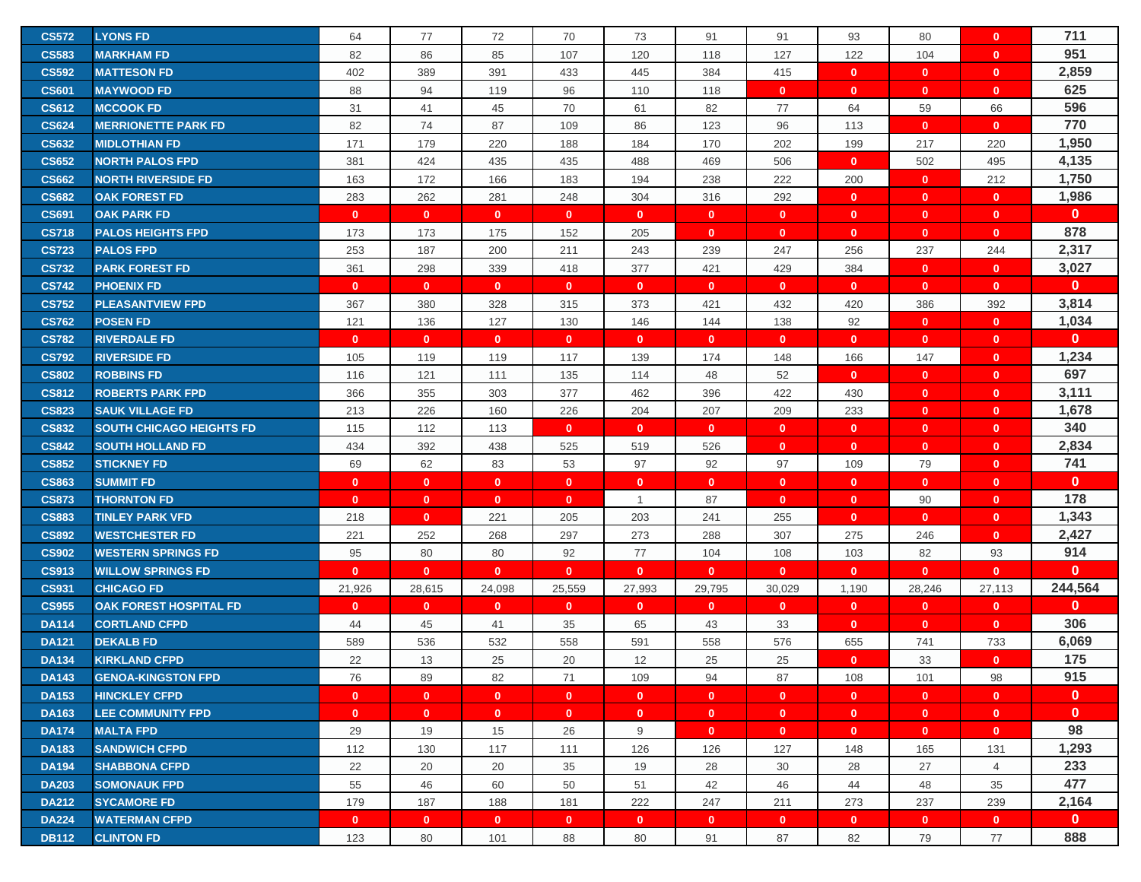| <b>CS572</b>                 | <b>LYONS FD</b>                                    | 64           | 77           | 72           | 70           | 73           | 91           | 91                  | 93           | 80                 | $\mathbf{0}$       | 711                 |
|------------------------------|----------------------------------------------------|--------------|--------------|--------------|--------------|--------------|--------------|---------------------|--------------|--------------------|--------------------|---------------------|
| <b>CS583</b>                 | <b>MARKHAM FD</b>                                  | 82           | 86           | 85           | 107          | 120          | 118          | 127                 | 122          | 104                | $\mathbf{0}$       | 951                 |
| <b>CS592</b>                 | <b>MATTESON FD</b>                                 | 402          | 389          | 391          | 433          | 445          | 384          | 415                 | $\mathbf{0}$ | $\mathbf{0}$       | $\mathbf{0}$       | 2,859               |
| <b>CS601</b>                 | <b>MAYWOOD FD</b>                                  | 88           | 94           | 119          | 96           | 110          | 118          | $\mathbf{0}$        | $\mathbf{0}$ | $\mathbf{0}$       | $\mathbf{0}$       | 625                 |
| <b>CS612</b>                 | <b>MCCOOK FD</b>                                   | 31           | 41           | 45           | 70           | 61           | 82           | 77                  | 64           | 59                 | 66                 | 596                 |
| <b>CS624</b>                 | <b>MERRIONETTE PARK FD</b>                         | 82           | 74           | 87           | 109          | 86           | 123          | 96                  | 113          | $\mathbf{0}$       | $\mathbf{0}$       | 770                 |
| <b>CS632</b>                 | <b>MIDLOTHIAN FD</b>                               | 171          | 179          | 220          | 188          | 184          | 170          | 202                 | 199          | 217                | 220                | 1,950               |
| <b>CS652</b>                 | <b>NORTH PALOS FPD</b>                             | 381          | 424          | 435          | 435          |              | 469          | 506                 | $\mathbf{0}$ | 502                | 495                | 4,135               |
| <b>CS662</b>                 | <b>NORTH RIVERSIDE FD</b>                          | 163          | 172          | 166          | 183          | 488<br>194   | 238          | 222                 |              |                    | 212                | 1,750               |
|                              |                                                    |              |              |              |              |              |              |                     | 200          | $\mathbf{0}$       |                    | 1,986               |
| <b>CS682</b>                 | <b>OAK FOREST FD</b>                               | 283          | 262          | 281          | 248          | 304          | 316          | 292                 | $\mathbf{0}$ | $\mathbf{0}$       | $\mathbf{0}$       | $\mathbf{0}$        |
| <b>CS691</b>                 | <b>OAK PARK FD</b>                                 | $\mathbf{0}$ | $\mathbf{0}$ | $\mathbf{0}$ | $\mathbf{0}$ | $\mathbf{0}$ | $\mathbf{0}$ | $\mathbf 0$         | $\mathbf{0}$ | $\mathbf{0}$       | $\mathbf{0}$       | 878                 |
| <b>CS718</b>                 | <b>PALOS HEIGHTS FPD</b>                           | 173          | 173          | 175          | 152          | 205          | $\mathbf{0}$ | $\mathbf{0}$        | $\mathbf{0}$ | $\mathbf{0}$       | $\mathbf{0}$       | 2,317               |
| <b>CS723</b>                 | <b>PALOS FPD</b>                                   | 253          | 187          | 200          | 211          | 243          | 239          | 247                 | 256          | 237                | 244                |                     |
| <b>CS732</b>                 | <b>PARK FOREST FD</b>                              | 361          | 298          | 339          | 418          | 377          | 421          | 429                 | 384          | $\mathbf{0}$       | $\mathbf{0}$       | 3,027               |
| <b>CS742</b>                 | <b>PHOENIX FD</b>                                  | $\mathbf{0}$ | $\mathbf{0}$ | $\mathbf{0}$ | $\mathbf{0}$ | $\mathbf{0}$ | $\mathbf{0}$ | $\mathbf{0}$        | $\mathbf{0}$ | $\mathbf{0}$       | $\mathbf{0}$       | $\mathbf 0$         |
| <b>CS752</b>                 | <b>PLEASANTVIEW FPD</b>                            | 367          | 380          | 328          | 315          | 373          | 421          | 432                 | 420          | 386                | 392                | 3,814               |
| <b>CS762</b>                 | <b>POSEN FD</b>                                    | 121          | 136          | 127          | 130          | 146          | 144          | 138                 | 92           | $\mathbf{0}$       | $\overline{0}$     | 1,034               |
| <b>CS782</b>                 | <b>RIVERDALE FD</b>                                | $\mathbf{0}$ | $\mathbf{0}$ | $\mathbf{0}$ | $\mathbf{0}$ | $\mathbf{0}$ | $\mathbf{0}$ | $\mathbf{0}$        | $\mathbf{0}$ | $\mathbf{0}$       | $\mathbf{0}$       | $\mathbf{0}$        |
| <b>CS792</b>                 | <b>RIVERSIDE FD</b>                                | 105          | 119          | 119          | 117          | 139          | 174          | 148                 | 166          | 147                | $\mathbf{0}$       | 1,234               |
| <b>CS802</b>                 | <b>ROBBINS FD</b>                                  | 116          | 121          | 111          | 135          | 114          | 48           | 52                  | $\mathbf{0}$ | $\mathbf{0}$       | $\mathbf{0}$       | 697                 |
| <b>CS812</b>                 | <b>ROBERTS PARK FPD</b>                            | 366          | 355          | 303          | 377          | 462          | 396          | 422                 | 430          | $\mathbf{0}$       | $\mathbf{0}$       | 3,111               |
| <b>CS823</b>                 | <b>SAUK VILLAGE FD</b>                             | 213          | 226          | 160          | 226          | 204          | 207          | 209                 | 233          | $\mathbf{0}$       | $\mathbf{0}$       | 1,678               |
| <b>CS832</b>                 | <b>SOUTH CHICAGO HEIGHTS FD</b>                    | 115          | 112          | 113          | $\mathbf{0}$ | $\mathbf{0}$ | $\mathbf{0}$ | $\mathbf{0}$        | $\mathbf{0}$ | $\mathbf{0}$       | $\mathbf{0}$       | 340                 |
| <b>CS842</b>                 | <b>SOUTH HOLLAND FD</b>                            | 434          | 392          | 438          | 525          | 519          | 526          | $\mathbf 0$         | $\mathbf{0}$ | $\mathbf{0}$       | $\mathbf{0}$       | 2,834               |
| <b>CS852</b>                 | <b>STICKNEY FD</b>                                 | 69           | 62           | 83           | 53           | 97           | 92           | 97                  | 109          | 79                 | $\mathbf{0}$       | 741                 |
| <b>CS863</b>                 | <b>SUMMIT FD</b>                                   | $\mathbf{0}$ | $\mathbf{0}$ | $\mathbf{0}$ | $\mathbf{0}$ | $\mathbf{0}$ | $\mathbf{0}$ | $\mathbf{0}$        | $\mathbf{0}$ | $\mathbf{0}$       | $\mathbf{0}$       | $\mathbf{0}$<br>178 |
| <b>CS873</b>                 | <b>THORNTON FD</b>                                 | $\mathbf{0}$ | $\mathbf{0}$ | $\mathbf{0}$ | $\mathbf{0}$ | $\mathbf{1}$ | 87           | $\mathbf{0}$        | $\mathbf{0}$ | 90                 | $\mathbf{0}$       | 1,343               |
| <b>CS883</b>                 | <b>TINLEY PARK VFD</b>                             | 218          | $\mathbf{0}$ | 221          | 205          | 203          | 241          | 255                 | $\mathbf{0}$ | $\mathbf{0}$       | $\mathbf{0}$       | 2,427               |
| <b>CS892</b><br><b>CS902</b> | <b>WESTCHESTER FD</b><br><b>WESTERN SPRINGS FD</b> | 221<br>95    | 252<br>80    | 268<br>80    | 297<br>92    | 273<br>77    | 288<br>104   | 307                 | 275<br>103   | 246                | $\mathbf{0}$       | 914                 |
| <b>CS913</b>                 | <b>WILLOW SPRINGS FD</b>                           | $\mathbf{0}$ | $\mathbf{0}$ | $\mathbf{0}$ | $\mathbf{0}$ | $\mathbf{0}$ | $\mathbf{0}$ | 108<br>$\mathbf{0}$ | $\mathbf{0}$ | 82<br>$\mathbf{0}$ | 93<br>$\mathbf{0}$ | $\mathbf{0}$        |
| <b>CS931</b>                 | <b>CHICAGO FD</b>                                  | 21,926       | 28,615       | 24,098       | 25,559       | 27,993       | 29,795       | 30,029              | 1,190        | 28,246             | 27,113             | 244,564             |
| <b>CS955</b>                 | <b>OAK FOREST HOSPITAL FD</b>                      | $\mathbf{0}$ | $\mathbf{0}$ | $\mathbf{0}$ | $\mathbf{0}$ | $\mathbf{0}$ | $\mathbf{0}$ | $\mathbf{0}$        | $\mathbf{0}$ | $\mathbf{0}$       | $\mathbf{0}$       | $\mathbf 0$         |
| <b>DA114</b>                 | <b>CORTLAND CFPD</b>                               | 44           | 45           | 41           | 35           | 65           | 43           | 33                  | $\mathbf{0}$ | $\mathbf{0}$       | $\mathbf{0}$       | 306                 |
| <b>DA121</b>                 | <b>DEKALB FD</b>                                   | 589          | 536          | 532          | 558          | 591          | 558          | 576                 | 655          | 741                | 733                | 6,069               |
| <b>DA134</b>                 | <b>KIRKLAND CFPD</b>                               | 22           | 13           | 25           | 20           | 12           | 25           | 25                  | $\mathbf{0}$ | 33                 | $\mathbf{0}$       | 175                 |
| <b>DA143</b>                 | <b>GENOA-KINGSTON FPD</b>                          | 76           | 89           | 82           | 71           | 109          | 94           | 87                  | 108          | 101                | 98                 | 915                 |
| <b>DA153</b>                 | <b>HINCKLEY CFPD</b>                               | $\mathbf{0}$ | $\mathbf{0}$ | $\mathbf{0}$ | $\mathbf{0}$ | $\mathbf{0}$ | $\mathbf{0}$ | $\mathbf{0}$        | $\mathbf{0}$ | $\mathbf{0}$       | $\mathbf{0}$       | $\mathbf{0}$        |
| <b>DA163</b>                 | <b>LEE COMMUNITY FPD</b>                           | $\mathbf{0}$ | $\mathbf{0}$ | $\mathbf{0}$ | $\mathbf{0}$ | $\mathbf{0}$ | $\mathbf{0}$ | $\mathbf{0}$        | $\mathbf{0}$ | $\mathbf{0}$       | $\mathbf{0}$       | $\mathbf{0}$        |
| <b>DA174</b>                 | <b>MALTA FPD</b>                                   | 29           | 19           | 15           | 26           | 9            | $\mathbf{0}$ | $\mathbf{0}$        | $\mathbf{0}$ | $\mathbf{0}$       | $\mathbf{0}$       | 98                  |
| <b>DA183</b>                 | <b>SANDWICH CFPD</b>                               | 112          | 130          | 117          | 111          | 126          | 126          | 127                 | 148          | 165                | 131                | 1,293               |
| <b>DA194</b>                 | <b>SHABBONA CFPD</b>                               | 22           | 20           | 20           | 35           | 19           | 28           | 30                  | 28           | 27                 | $\overline{4}$     | 233                 |
| <b>DA203</b>                 | <b>SOMONAUK FPD</b>                                | 55           | 46           | 60           | 50           | 51           | 42           | 46                  | 44           | 48                 | 35                 | 477                 |
| <b>DA212</b>                 | <b>SYCAMORE FD</b>                                 | 179          | 187          | 188          | 181          | 222          | 247          | 211                 | 273          | 237                | 239                | 2,164               |
| <b>DA224</b>                 | <b>WATERMAN CFPD</b>                               | $\mathbf{0}$ | $\mathbf{0}$ | $\mathbf{0}$ | $\mathbf{0}$ | $\mathbf{0}$ | $\mathbf{0}$ | $\mathbf{0}$        | $\mathbf{0}$ | $\mathbf{0}$       | $\mathbf{0}$       | $\mathbf{0}$        |
| <b>DB112</b>                 | <b>CLINTON FD</b>                                  | 123          | 80           | 101          | 88           | 80           | 91           | 87                  | 82           | 79                 | 77                 | 888                 |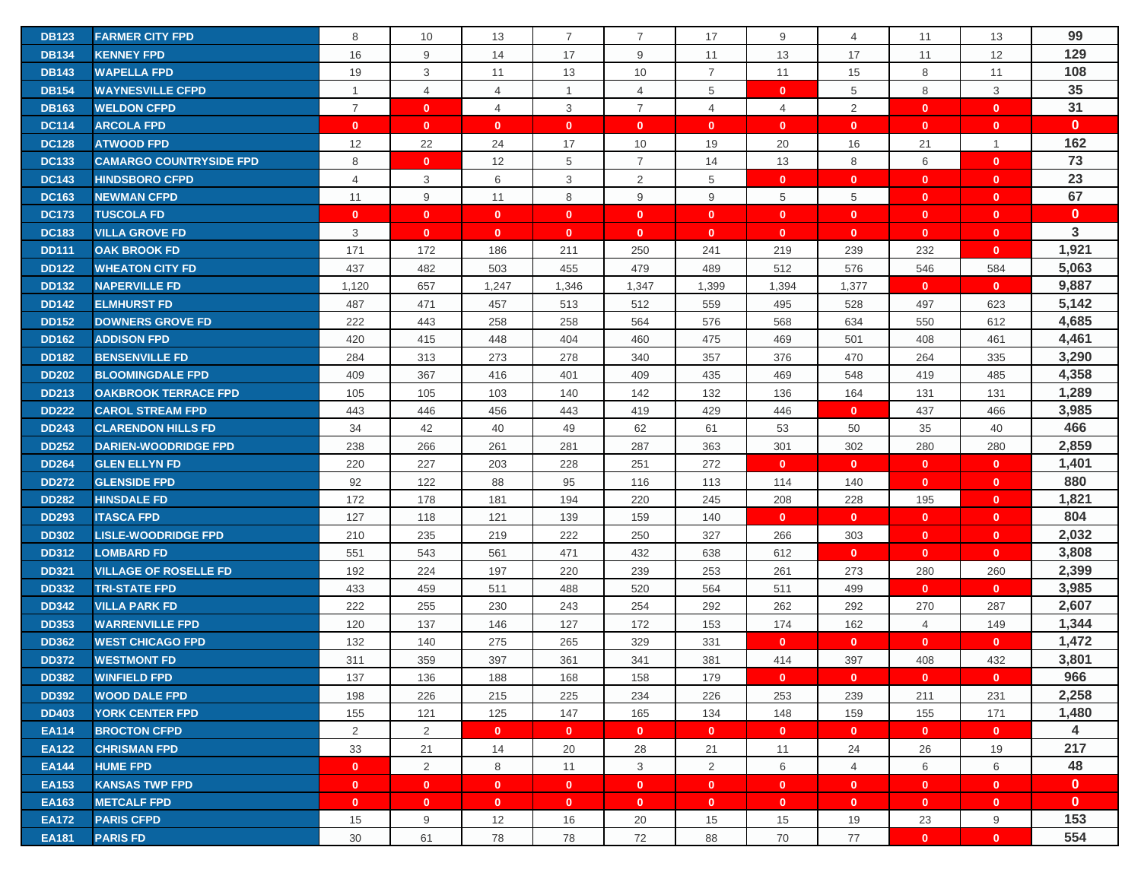| <b>DB123</b> | <b>FARMER CITY FPD</b>         | 8              | 10             | 13             | $\overline{7}$ | $\overline{7}$ | 17             | 9              | 4              | 11           | 13           | 99           |
|--------------|--------------------------------|----------------|----------------|----------------|----------------|----------------|----------------|----------------|----------------|--------------|--------------|--------------|
| <b>DB134</b> | <b>KENNEY FPD</b>              | 16             | 9              | 14             | 17             | 9              | 11             | 13             | 17             | 11           | 12           | 129          |
| <b>DB143</b> | <b>WAPELLA FPD</b>             | 19             | 3              | 11             | 13             | 10             | $\overline{7}$ | 11             | 15             | 8            | 11           | 108          |
| <b>DB154</b> | <b>WAYNESVILLE CFPD</b>        | $\mathbf{1}$   | $\overline{4}$ | $\overline{4}$ | $\mathbf{1}$   | $\overline{4}$ | 5              | $\mathbf 0$    | 5              | 8            | 3            | 35           |
| <b>DB163</b> | <b>WELDON CFPD</b>             | $\overline{7}$ | $\mathbf{0}$   | $\overline{4}$ | 3              | $\overline{7}$ | $\overline{4}$ | $\overline{4}$ | $\overline{2}$ | $\mathbf{0}$ | $\mathbf{0}$ | 31           |
| <b>DC114</b> | <b>ARCOLA FPD</b>              | $\mathbf{0}$   | $\mathbf{0}$   | $\mathbf{0}$   | $\mathbf{0}$   | $\mathbf{0}$   | $\mathbf{0}$   | $\mathbf 0$    | $\mathbf{0}$   | $\mathbf{0}$ | $\mathbf{0}$ | $\mathbf{0}$ |
| <b>DC128</b> | <b>ATWOOD FPD</b>              | 12             | 22             | 24             | 17             | 10             | 19             | 20             | 16             | 21           | $\mathbf{1}$ | 162          |
| <b>DC133</b> | <b>CAMARGO COUNTRYSIDE FPD</b> | 8              | $\mathbf{0}$   | 12             | 5              | $\overline{7}$ | 14             | 13             | 8              | 6            | $\mathbf{0}$ | 73           |
| <b>DC143</b> | <b>HINDSBORO CFPD</b>          | $\overline{4}$ | 3              | 6              | 3              | 2              | 5              | $\mathbf{0}$   | $\mathbf{0}$   | $\mathbf{0}$ | $\mathbf{0}$ | 23           |
| <b>DC163</b> | <b>NEWMAN CFPD</b>             | 11             | 9              | 11             | 8              | 9              | 9              | 5              | 5              | $\mathbf{0}$ | $\mathbf{0}$ | 67           |
| <b>DC173</b> | <b>TUSCOLA FD</b>              | $\mathbf{0}$   | $\mathbf{0}$   | $\mathbf{0}$   | $\mathbf{0}$   | $\mathbf{0}$   | $\mathbf{0}$   | $\mathbf{0}$   | $\mathbf{0}$   | $\mathbf{0}$ | $\mathbf{0}$ | $\mathbf{0}$ |
| <b>DC183</b> | <b>VILLA GROVE FD</b>          | 3              | $\mathbf{0}$   | $\mathbf{0}$   | $\mathbf{0}$   | $\mathbf{0}$   | $\mathbf{0}$   | $\mathbf{0}$   | $\mathbf{0}$   | $\mathbf{0}$ | $\mathbf{0}$ | 3            |
| <b>DD111</b> | <b>OAK BROOK FD</b>            | 171            | 172            | 186            | 211            | 250            | 241            | 219            | 239            | 232          | $\mathbf{0}$ | 1,921        |
| <b>DD122</b> | <b>WHEATON CITY FD</b>         | 437            | 482            | 503            | 455            | 479            | 489            | 512            | 576            | 546          | 584          | 5,063        |
| <b>DD132</b> | <b>NAPERVILLE FD</b>           | 1,120          | 657            | 1,247          | 1,346          | 1,347          | 1,399          | 1,394          | 1,377          | $\mathbf{0}$ | $\mathbf{0}$ | 9,887        |
| <b>DD142</b> | <b>ELMHURST FD</b>             | 487            | 471            | 457            | 513            | 512            | 559            | 495            | 528            | 497          | 623          | 5,142        |
| <b>DD152</b> | <b>DOWNERS GROVE FD</b>        | 222            | 443            | 258            | 258            | 564            | 576            | 568            | 634            | 550          | 612          | 4,685        |
| <b>DD162</b> | <b>ADDISON FPD</b>             | 420            | 415            | 448            | 404            | 460            | 475            | 469            | 501            | 408          | 461          | 4,461        |
| <b>DD182</b> | <b>BENSENVILLE FD</b>          | 284            | 313            | 273            | 278            | 340            | 357            | 376            | 470            | 264          | 335          | 3,290        |
| <b>DD202</b> | <b>BLOOMINGDALE FPD</b>        | 409            | 367            | 416            | 401            | 409            | 435            | 469            | 548            | 419          | 485          | 4,358        |
| <b>DD213</b> | <b>OAKBROOK TERRACE FPD</b>    | 105            | 105            | 103            | 140            | 142            | 132            | 136            | 164            | 131          | 131          | 1,289        |
| <b>DD222</b> | <b>CAROL STREAM FPD</b>        | 443            | 446            | 456            | 443            | 419            | 429            | 446            | $\mathbf{0}$   | 437          | 466          | 3,985        |
| <b>DD243</b> | <b>CLARENDON HILLS FD</b>      | 34             | 42             | 40             | 49             | 62             | 61             | 53             | 50             | 35           | 40           | 466          |
| <b>DD252</b> | <b>DARIEN-WOODRIDGE FPD</b>    | 238            | 266            | 261            | 281            | 287            | 363            | 301            | 302            | 280          | 280          | 2,859        |
| <b>DD264</b> | <b>GLEN ELLYN FD</b>           | 220            | 227            | 203            | 228            | 251            | 272            | $\mathbf{0}$   | $\mathbf{0}$   | $\mathbf{0}$ | $\mathbf{0}$ | 1,401        |
| <b>DD272</b> | <b>GLENSIDE FPD</b>            | 92             | 122            | 88             | 95             | 116            | 113            | 114            | 140            | $\mathbf{0}$ | $\mathbf{0}$ | 880          |
| <b>DD282</b> | <b>HINSDALE FD</b>             | 172            | 178            | 181            | 194            | 220            | 245            | 208            | 228            | 195          | $\mathbf{0}$ | 1,821        |
| <b>DD293</b> | <b>ITASCA FPD</b>              | 127            | 118            | 121            | 139            | 159            | 140            | $\mathbf{0}$   | $\mathbf{0}$   | $\mathbf{0}$ | $\mathbf{0}$ | 804          |
| <b>DD302</b> | <b>LISLE-WOODRIDGE FPD</b>     | 210            | 235            | 219            | 222            | 250            | 327            | 266            | 303            | $\mathbf{0}$ | $\mathbf{0}$ | 2,032        |
| <b>DD312</b> | <b>LOMBARD FD</b>              | 551            | 543            | 561            | 471            | 432            | 638            | 612            | $\mathbf{0}$   | $\mathbf{0}$ | $\mathbf{0}$ | 3,808        |
| <b>DD321</b> | <b>VILLAGE OF ROSELLE FD</b>   | 192            | 224            | 197            | 220            | 239            | 253            | 261            | 273            | 280          | 260          | 2,399        |
| <b>DD332</b> | <b>TRI-STATE FPD</b>           | 433            | 459            | 511            | 488            | 520            | 564            | 511            | 499            | $\mathbf{0}$ | $\mathbf{0}$ | 3,985        |
| <b>DD342</b> | <b>VILLA PARK FD</b>           | 222            | 255            | 230            | 243            | 254            | 292            | 262            | 292            | 270          | 287          | 2,607        |
| <b>DD353</b> | <b>WARRENVILLE FPD</b>         | 120            | 137            | 146            | 127            | 172            | 153            | 174            | 162            | 4            | 149          | 1,344        |
| <b>DD362</b> | <b>WEST CHICAGO FPD</b>        | 132            | 140            | 275            | 265            | 329            | 331            | $\mathbf{0}$   | $\mathbf{0}$   | $\mathbf{0}$ | $\mathbf{0}$ | 1,472        |
| <b>DD372</b> | <b>WESTMONT FD</b>             | 311            | 359            | 397            | 361            | 341            | 381            | 414            | 397            | 408          | 432          | 3,801        |
| <b>DD382</b> | <b>WINFIELD FPD</b>            | 137            | 136            | 188            | 168            | 158            | 179            | $\mathbf{0}$   | $\mathbf{0}$   | $\mathbf{0}$ | $\mathbf{0}$ | 966          |
| <b>DD392</b> | <b>WOOD DALE FPD</b>           | 198            | 226            | 215            | 225            | 234            | 226            | 253            | 239            | 211          | 231          | 2,258        |
| <b>DD403</b> | <b>YORK CENTER FPD</b>         | 155            | 121            | 125            | 147            | 165            | 134            | 148            | 159            | 155          | 171          | 1,480        |
| <b>EA114</b> | <b>BROCTON CFPD</b>            | $\overline{2}$ | $\overline{2}$ | $\mathbf{0}$   | $\mathbf{0}$   | $\mathbf{0}$   | $\mathbf{0}$   | $\mathbf{0}$   | $\mathbf{0}$   | $\mathbf{0}$ | $\mathbf{0}$ | 4            |
| <b>EA122</b> | <b>CHRISMAN FPD</b>            | 33             | 21             | 14             | 20             | 28             | 21             | 11             | 24             | 26           | 19           | 217          |
| <b>EA144</b> | <b>HUME FPD</b>                | $\mathbf{0}$   | $\overline{2}$ | 8              | 11             | 3              | $\overline{2}$ | 6              | $\overline{4}$ | 6            | 6            | 48           |
| <b>EA153</b> | <b>KANSAS TWP FPD</b>          | $\mathbf{0}$   | $\mathbf{0}$   | $\mathbf{0}$   | $\mathbf{0}$   | $\mathbf{0}$   | $\mathbf{0}$   | $\mathbf{0}$   | $\mathbf{0}$   | $\mathbf{0}$ | $\mathbf{0}$ | $\mathbf{0}$ |
| <b>EA163</b> | <b>METCALF FPD</b>             | $\mathbf{0}$   | $\mathbf{0}$   | $\mathbf{0}$   | $\mathbf{0}$   | $\mathbf{0}$   | $\mathbf{0}$   | $\mathbf{0}$   | $\mathbf{0}$   | $\mathbf{0}$ | $\mathbf{0}$ | $\mathbf{0}$ |
| <b>EA172</b> | <b>PARIS CFPD</b>              | 15             | 9              | 12             | 16             | 20             | 15             | 15             | 19             | 23           | 9            | 153          |
| <b>EA181</b> | <b>PARIS FD</b>                | 30             | 61             | 78             | 78             | 72             | 88             | 70             | 77             | $\mathbf{0}$ | $\mathbf{0}$ | 554          |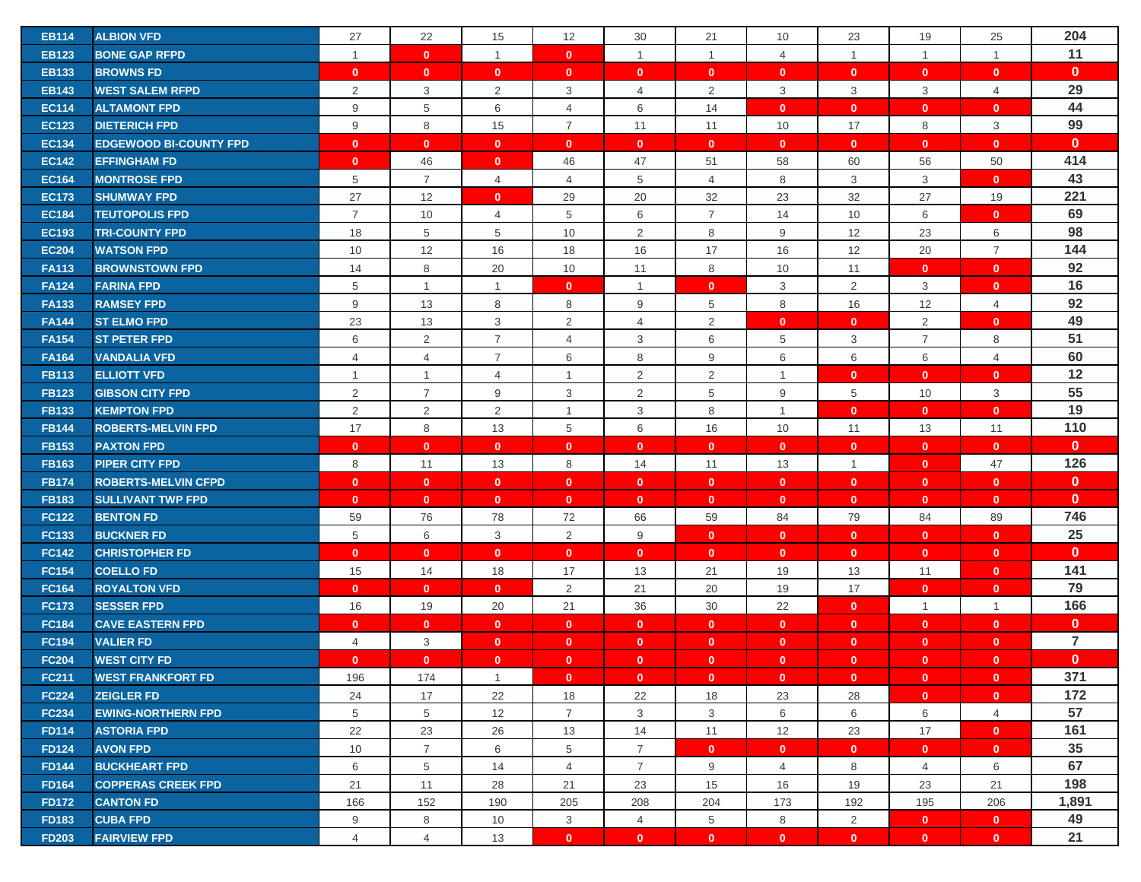| <b>EB114</b> | <b>ALBION VFD</b>             | 27             | 22             | 15             | 12             | 30             | 21             | 10             | 23             | 19             | 25             | 204            |
|--------------|-------------------------------|----------------|----------------|----------------|----------------|----------------|----------------|----------------|----------------|----------------|----------------|----------------|
| <b>EB123</b> | <b>BONE GAP RFPD</b>          | $\mathbf{1}$   | $\mathbf{0}$   | $\mathbf{1}$   | $\mathbf{0}$   | $\mathbf{1}$   | $\overline{1}$ | $\overline{4}$ | $\overline{1}$ | $\mathbf{1}$   | $\mathbf{1}$   | 11             |
| <b>EB133</b> | <b>BROWNS FD</b>              | $\mathbf{0}$   | $\mathbf{0}$   | $\mathbf{0}$   | $\mathbf{0}$   | $\mathbf{0}$   | $\mathbf{0}$   | $\mathbf{0}$   | $\mathbf{0}$   | $\mathbf{0}$   | $\mathbf{0}$   | $\mathbf{0}$   |
| <b>EB143</b> | <b>WEST SALEM RFPD</b>        | 2              | 3              | $\overline{2}$ | 3              | $\overline{4}$ | 2              | 3              | 3              | 3              | 4              | 29             |
| <b>EC114</b> | <b>ALTAMONT FPD</b>           | 9              | 5              | 6              | $\overline{4}$ | 6              | 14             | $\mathbf{0}$   | $\mathbf{0}$   | $\mathbf{0}$   | $\mathbf{0}$   | 44             |
| <b>EC123</b> | <b>DIETERICH FPD</b>          | 9              | 8              | 15             | $\overline{7}$ | 11             | 11             | 10             | 17             | 8              | 3              | 99             |
| <b>EC134</b> | <b>EDGEWOOD BI-COUNTY FPD</b> | $\mathbf{0}$   | $\mathbf{0}$   | $\mathbf{0}$   | $\mathbf{0}$   | $\mathbf{0}$   | $\mathbf{0}$   | $\mathbf 0$    | $\mathbf{0}$   | $\mathbf{0}$   | $\mathbf{0}$   | $\mathbf{0}$   |
| <b>EC142</b> | <b>EFFINGHAM FD</b>           | $\mathbf{0}$   | 46             | $\mathbf{0}$   | 46             | 47             | 51             | 58             | 60             | 56             | 50             | 414            |
| <b>EC164</b> | <b>MONTROSE FPD</b>           | 5              | $\overline{7}$ | $\overline{4}$ | $\overline{4}$ | 5              | $\overline{4}$ | 8              | 3              | 3              | $\mathbf{0}$   | 43             |
| <b>EC173</b> | <b>SHUMWAY FPD</b>            | 27             | 12             | $\mathbf{0}$   | 29             | 20             | 32             | 23             | 32             | 27             | 19             | 221            |
| <b>EC184</b> | <b>TEUTOPOLIS FPD</b>         | $\overline{7}$ | 10             | $\overline{4}$ | 5              | 6              | $\overline{7}$ | 14             | 10             | 6              | $\mathbf{0}$   | 69             |
| <b>EC193</b> | <b>TRI-COUNTY FPD</b>         | 18             | 5              | 5              | 10             | 2              | 8              | 9              | 12             | 23             | 6              | 98             |
| <b>EC204</b> | <b>WATSON FPD</b>             | 10             | 12             | 16             | 18             | 16             | 17             | 16             | 12             | 20             | $\overline{7}$ | 144            |
| <b>FA113</b> | <b>BROWNSTOWN FPD</b>         | 14             | 8              | 20             | 10             | 11             | 8              | 10             | 11             | $\mathbf{0}$   | $\mathbf{0}$   | 92             |
| <b>FA124</b> | <b>FARINA FPD</b>             | $\,$ 5 $\,$    | $\overline{1}$ | $\mathbf{1}$   | $\mathbf{0}$   | $\mathbf{1}$   | $\mathbf{0}$   | 3              | 2              | 3              | $\mathbf{0}$   | 16             |
| <b>FA133</b> | <b>RAMSEY FPD</b>             | 9              | 13             | 8              | 8              | 9              | 5              | 8              | 16             | 12             | 4              | 92             |
| <b>FA144</b> | <b>ST ELMO FPD</b>            | 23             | 13             | 3              | $\overline{2}$ | 4              | 2              | $\mathbf{0}$   | $\mathbf{0}$   | $\overline{2}$ | $\mathbf{0}$   | 49             |
| <b>FA154</b> | <b>ST PETER FPD</b>           | 6              | 2              | $\overline{7}$ | 4              | 3              | 6              | 5              | 3              | $\overline{7}$ | 8              | 51             |
| <b>FA164</b> | <b>VANDALIA VFD</b>           | 4              | $\overline{4}$ | $\overline{7}$ | 6              | 8              | 9              | 6              | 6              | 6              | 4              | 60             |
| <b>FB113</b> | <b>ELLIOTT VFD</b>            | $\mathbf{1}$   | $\mathbf{1}$   | $\overline{4}$ | $\mathbf{1}$   | $\overline{2}$ | $\overline{2}$ | $\mathbf{1}$   | $\mathbf{0}$   | $\mathbf{0}$   | $\mathbf{0}$   | $12$           |
| <b>FB123</b> | <b>GIBSON CITY FPD</b>        | 2              | $\overline{7}$ | 9              | 3              | $\overline{2}$ | 5              | 9              | 5              | 10             | 3              | 55             |
| <b>FB133</b> | <b>KEMPTON FPD</b>            | 2              | 2              | $\overline{2}$ | $\mathbf{1}$   | 3              | 8              | $\overline{1}$ | $\mathbf{0}$   | $\mathbf{0}$   | $\mathbf{0}$   | 19             |
| <b>FB144</b> | <b>ROBERTS-MELVIN FPD</b>     | 17             | 8              | 13             | 5              | 6              | 16             | 10             | 11             | 13             | 11             | 110            |
| <b>FB153</b> | <b>PAXTON FPD</b>             | $\mathbf{0}$   | $\mathbf{0}$   | $\mathbf{0}$   | $\mathbf{0}$   | $\mathbf{0}$   | $\mathbf{0}$   | $\mathbf{0}$   | $\mathbf{0}$   | $\mathbf{0}$   | $\mathbf{0}$   | $\mathbf{0}$   |
| <b>FB163</b> | <b>PIPER CITY FPD</b>         | 8              | 11             | 13             | 8              | 14             | 11             | 13             | $\overline{1}$ | $\mathbf{0}$   | 47             | 126            |
| <b>FB174</b> | <b>ROBERTS-MELVIN CFPD</b>    | $\mathbf{0}$   | $\mathbf{0}$   | $\mathbf{0}$   | $\mathbf{0}$   | $\mathbf{0}$   | $\mathbf{0}$   | $\mathbf{0}$   | $\mathbf{0}$   | $\mathbf{0}$   | $\mathbf{0}$   | $\mathbf{0}$   |
| <b>FB183</b> | <b>SULLIVANT TWP FPD</b>      | $\mathbf{0}$   | $\mathbf{0}$   | $\mathbf{0}$   | $\mathbf{0}$   | $\mathbf{0}$   | $\mathbf{0}$   | $\mathbf{0}$   | $\mathbf{0}$   | $\mathbf{0}$   | $\mathbf{0}$   | $\mathbf{0}$   |
| <b>FC122</b> | <b>BENTON FD</b>              | 59             | 76             | 78             | 72             | 66             | 59             | 84             | 79             | 84             | 89             | 746            |
| <b>FC133</b> | <b>BUCKNER FD</b>             | 5              | 6              | 3              | 2              | 9              | $\mathbf{0}$   | $\mathbf{0}$   | $\mathbf{0}$   | $\mathbf{0}$   | $\mathbf{0}$   | 25             |
| <b>FC142</b> | <b>CHRISTOPHER FD</b>         | $\mathbf{0}$   | $\mathbf{0}$   | $\mathbf{0}$   | $\mathbf{0}$   | $\mathbf{0}$   | $\mathbf{0}$   | $\mathbf{0}$   | $\mathbf{0}$   | $\mathbf{0}$   | $\mathbf{0}$   | $\mathbf{0}$   |
| <b>FC154</b> | <b>COELLO FD</b>              | 15             | 14             | 18             | 17             | 13             | 21             | 19             | 13             | 11             | $\mathbf{0}$   | 141            |
| <b>FC164</b> | <b>ROYALTON VFD</b>           | $\mathbf{0}$   | $\mathbf{0}$   | $\mathbf{0}$   | 2              | 21             | 20             | 19             | 17             | $\mathbf{0}$   | $\mathbf{0}$   | 79             |
| <b>FC173</b> | <b>SESSER FPD</b>             | 16             | 19             | 20             | 21             | 36             | 30             | 22             | $\mathbf{0}$   | $\mathbf{1}$   | $\mathbf{1}$   | 166            |
| <b>FC184</b> | <b>CAVE EASTERN FPD</b>       | $\mathbf{0}$   | $\mathbf{0}$   | $\mathbf{0}$   | $\mathbf{0}$   | $\mathbf{0}$   | $\mathbf{0}$   | $\mathbf{0}$   | $\mathbf{0}$   | $\mathbf{0}$   | $\mathbf{0}$   | $\mathbf 0$    |
| <b>FC194</b> | <b>VALIER FD</b>              | 4              | 3              | $\mathbf{0}$   | $\mathbf{0}$   | $\mathbf{0}$   | $\mathbf{0}$   | $\mathbf{0}$   | $\mathbf{0}$   | $\mathbf{0}$   | $\mathbf{0}$   | $\overline{7}$ |
| <b>FC204</b> | <b>WEST CITY FD</b>           | $\mathbf{0}$   | $\mathbf{0}$   | $\mathbf{0}$   | $\mathbf{0}$   | $\mathbf{0}$   | $\mathbf{0}$   | $\mathbf{0}$   | $\mathbf{0}$   | $\mathbf{0}$   | $\mathbf{0}$   | $\mathbf{0}$   |
| <b>FC211</b> | <b>WEST FRANKFORT FD</b>      | 196            | 174            | $\mathbf{1}$   | $\mathbf{0}$   | $\mathbf{0}$   | $\mathbf{0}$   | $\mathbf{0}$   | $\mathbf{0}$   | $\mathbf{0}$   | $\mathbf{0}$   | 371            |
| <b>FC224</b> | <b>ZEIGLER FD</b>             | 24             | 17             | 22             | 18             | 22             | 18             | 23             | 28             | $\mathbf{0}$   | $\mathbf{0}$   | 172            |
| <b>FC234</b> | <b>EWING-NORTHERN FPD</b>     | 5              | 5              | 12             | $\overline{7}$ | 3              | 3              | 6              | 6              | 6              | $\overline{4}$ | 57             |
| <b>FD114</b> | <b>ASTORIA FPD</b>            | 22             | 23             | 26             | 13             | 14             | 11             | 12             | 23             | 17             | $\mathbf{0}$   | 161            |
| <b>FD124</b> | <b>AVON FPD</b>               | 10             | $\overline{7}$ | 6              | 5              | $\overline{7}$ | $\mathbf{0}$   | $\mathbf{0}$   | $\mathbf{0}$   | $\mathbf{0}$   | $\mathbf{0}$   | 35             |
| <b>FD144</b> | <b>BUCKHEART FPD</b>          | 6              | 5              | 14             | $\overline{4}$ | $\overline{7}$ | 9              | $\overline{4}$ | 8              | $\overline{4}$ | 6              | 67             |
| <b>FD164</b> | <b>COPPERAS CREEK FPD</b>     | 21             | 11             | 28             | 21             | 23             | 15             | 16             | 19             | 23             | 21             | 198            |
| <b>FD172</b> | <b>CANTON FD</b>              | 166            | 152            | 190            | 205            | 208            | 204            | 173            | 192            | 195            | 206            | 1,891          |
| <b>FD183</b> | <b>CUBA FPD</b>               | 9              | 8              | 10             | 3              | $\overline{4}$ | 5              | 8              | 2              | $\mathbf{0}$   | $\mathbf{0}$   | 49<br>21       |
| <b>FD203</b> | <b>FAIRVIEW FPD</b>           | $\overline{4}$ | $\overline{4}$ | 13             | $\mathbf{0}$   | $\mathbf{0}$   | $\mathbf{0}$   | $\mathbf{0}$   | $\mathbf{0}$   | $\mathbf{0}$   | $\mathbf{0}$   |                |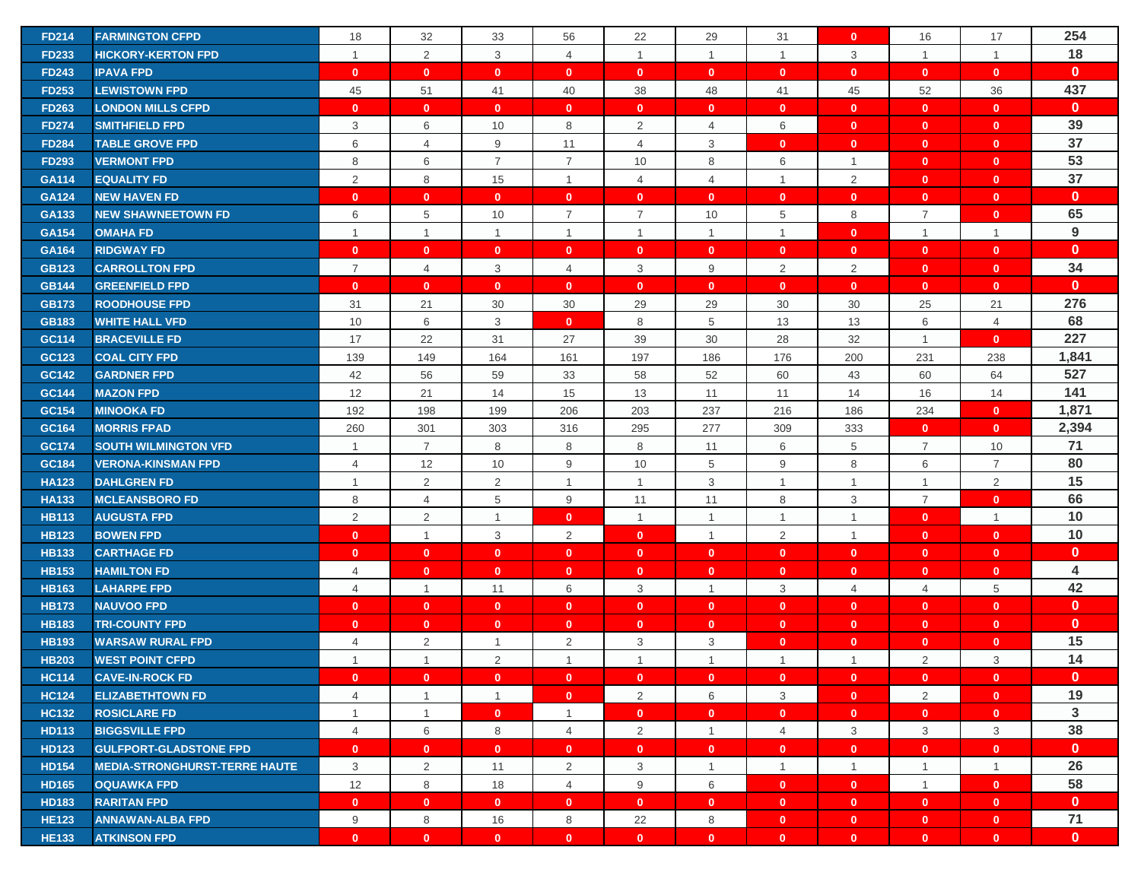| <b>FD214</b> | <b>FARMINGTON CFPD</b>               | 18             | 32             | 33             | 56             | 22             | 29             | 31             | $\mathbf{0}$ | 16             | 17             | 254                     |
|--------------|--------------------------------------|----------------|----------------|----------------|----------------|----------------|----------------|----------------|--------------|----------------|----------------|-------------------------|
| <b>FD233</b> | <b>HICKORY-KERTON FPD</b>            | $\mathbf{1}$   | $\overline{2}$ | 3              | $\overline{4}$ | $\mathbf{1}$   | $\overline{1}$ | $\overline{1}$ | 3            | $\mathbf{1}$   | $\mathbf{1}$   | 18                      |
| <b>FD243</b> | <b>IPAVA FPD</b>                     | $\mathbf{0}$   | $\mathbf{0}$   | $\mathbf{0}$   | $\mathbf{0}$   | $\mathbf{0}$   | $\mathbf{0}$   | $\mathbf{0}$   | $\mathbf{0}$ | $\mathbf{0}$   | $\mathbf{0}$   | $\mathbf{0}$            |
| <b>FD253</b> | <b>LEWISTOWN FPD</b>                 | 45             | 51             | 41             | 40             | 38             | 48             | 41             | 45           | 52             | 36             | 437                     |
| <b>FD263</b> | <b>LONDON MILLS CFPD</b>             | $\mathbf{0}$   | $\mathbf{0}$   | $\mathbf{0}$   | $\mathbf{0}$   | $\mathbf{0}$   | $\mathbf{0}$   | $\mathbf{0}$   | $\mathbf{0}$ | $\mathbf{0}$   | $\mathbf{0}$   | $\mathbf{0}$            |
| <b>FD274</b> | <b>SMITHFIELD FPD</b>                | 3              | 6              | 10             | 8              | $\overline{2}$ | 4              | 6              | $\mathbf{0}$ | $\mathbf{0}$   | $\mathbf{0}$   | 39                      |
| <b>FD284</b> | <b>TABLE GROVE FPD</b>               | 6              | $\overline{4}$ | 9              | 11             | 4              | 3              | $\mathbf 0$    | $\mathbf{0}$ | $\mathbf{0}$   | $\mathbf{0}$   | 37                      |
| <b>FD293</b> | <b>VERMONT FPD</b>                   | 8              | 6              | $\overline{7}$ | $\overline{7}$ | 10             | 8              | 6              | $\mathbf{1}$ | $\mathbf{0}$   | $\mathbf{0}$   | 53                      |
| GA114        | <b>EQUALITY FD</b>                   | 2              | 8              | 15             | $\mathbf{1}$   | 4              | $\overline{4}$ | $\overline{1}$ | 2            | $\mathbf{0}$   | $\mathbf{0}$   | 37                      |
| <b>GA124</b> | <b>NEW HAVEN FD</b>                  | $\mathbf{0}$   | $\mathbf{0}$   | $\mathbf{0}$   | $\mathbf{0}$   | $\mathbf{0}$   | $\mathbf{0}$   | $\mathbf{0}$   | $\mathbf{0}$ | $\mathbf{0}$   | $\mathbf{0}$   | $\mathbf{0}$            |
| GA133        | <b>NEW SHAWNEETOWN FD</b>            | 6              | 5              | 10             | $\overline{7}$ | $\overline{7}$ | 10             | 5              | 8            | $\overline{7}$ | $\mathbf{0}$   | 65                      |
| GA154        | <b>OMAHA FD</b>                      | $\mathbf{1}$   | $\overline{1}$ | $\mathbf{1}$   | $\mathbf{1}$   | $\mathbf{1}$   | $\overline{1}$ | $\mathbf{1}$   | $\mathbf{0}$ | $\overline{1}$ | $\mathbf{1}$   | 9                       |
| GA164        | <b>RIDGWAY FD</b>                    | $\mathbf{0}$   | $\mathbf{0}$   | $\mathbf{0}$   | $\mathbf{0}$   | $\mathbf{0}$   | $\mathbf{0}$   | $\mathbf{0}$   | $\mathbf{0}$ | $\mathbf{0}$   | $\mathbf{0}$   | $\mathbf{0}$            |
| <b>GB123</b> | <b>CARROLLTON FPD</b>                | $\overline{7}$ | $\overline{4}$ | 3              | 4              | 3              | 9              | 2              | 2            | $\mathbf{0}$   | $\mathbf{0}$   | 34                      |
| <b>GB144</b> | <b>GREENFIELD FPD</b>                | $\mathbf{0}$   | $\mathbf{0}$   | $\mathbf{0}$   | $\mathbf{0}$   | $\mathbf{0}$   | $\mathbf{0}$   | $\mathbf 0$    | $\mathbf{0}$ | $\mathbf{0}$   | $\mathbf{0}$   | $\mathbf{0}$            |
| <b>GB173</b> | <b>ROODHOUSE FPD</b>                 | 31             | 21             | 30             | 30             | 29             | 29             | 30             | 30           | 25             | 21             | 276                     |
| <b>GB183</b> | <b>WHITE HALL VFD</b>                | 10             | 6              | 3              | $\mathbf{0}$   | 8              | 5              | 13             | 13           | 6              | 4              | 68                      |
| GC114        | <b>BRACEVILLE FD</b>                 | 17             | 22             | 31             | 27             | 39             | 30             | 28             | 32           | $\overline{1}$ | $\mathbf{0}$   | 227                     |
| GC123        | <b>COAL CITY FPD</b>                 | 139            | 149            | 164            | 161            | 197            | 186            | 176            | 200          | 231            | 238            | 1,841                   |
| GC142        | <b>GARDNER FPD</b>                   | 42             | 56             | 59             | 33             | 58             | 52             | 60             | 43           | 60             | 64             | 527                     |
| GC144        | <b>MAZON FPD</b>                     | 12             | 21             | 14             | 15             | 13             | 11             | 11             | 14           | 16             | 14             | 141                     |
| GC154        | <b>MINOOKA FD</b>                    | 192            | 198            | 199            | 206            | 203            | 237            | 216            | 186          | 234            | $\mathbf{0}$   | 1,871                   |
| GC164        | <b>MORRIS FPAD</b>                   | 260            | 301            | 303            | 316            | 295            | 277            | 309            | 333          | $\mathbf{0}$   | $\mathbf{0}$   | 2,394                   |
| GC174        | <b>SOUTH WILMINGTON VFD</b>          | $\mathbf{1}$   | $\overline{7}$ | 8              | 8              | 8              | 11             | 6              | 5            | $\overline{7}$ | 10             | 71                      |
| GC184        | <b>VERONA-KINSMAN FPD</b>            | 4              | 12             | 10             | 9              | 10             | 5              | 9              | 8            | 6              | $\overline{7}$ | 80                      |
| <b>HA123</b> | <b>DAHLGREN FD</b>                   | $\mathbf{1}$   | 2              | $\overline{2}$ | $\mathbf{1}$   | $\mathbf{1}$   | 3              | $\overline{1}$ | $\mathbf{1}$ | $\overline{1}$ | $\overline{2}$ | 15                      |
| <b>HA133</b> | <b>MCLEANSBORO FD</b>                | 8              | $\overline{4}$ | 5              | 9              | 11             | 11             | 8              | 3            | $\overline{7}$ | $\mathbf{0}$   | 66                      |
| <b>HB113</b> | <b>AUGUSTA FPD</b>                   | 2              | 2              | $\mathbf{1}$   | $\mathbf{0}$   | $\mathbf{1}$   | $\overline{1}$ | $\overline{1}$ | $\mathbf{1}$ | $\mathbf{0}$   | $\mathbf{1}$   | 10                      |
| <b>HB123</b> | <b>BOWEN FPD</b>                     | $\mathbf{0}$   | $\overline{1}$ | 3              | $\overline{2}$ | $\mathbf{0}$   | $\overline{1}$ | 2              | $\mathbf{1}$ | $\mathbf{0}$   | $\mathbf{0}$   | 10                      |
| <b>HB133</b> | <b>CARTHAGE FD</b>                   | $\mathbf{0}$   | $\mathbf{0}$   | $\mathbf{0}$   | $\mathbf{0}$   | $\mathbf{0}$   | $\mathbf{0}$   | $\mathbf{0}$   | $\mathbf{0}$ | $\mathbf{0}$   | $\mathbf{0}$   | $\mathbf{0}$            |
| <b>HB153</b> | <b>HAMILTON FD</b>                   | 4              | $\mathbf{0}$   | $\mathbf{0}$   | $\mathbf{0}$   | $\mathbf{0}$   | $\mathbf{0}$   | $\mathbf 0$    | $\mathbf{0}$ | $\mathbf{0}$   | $\mathbf{0}$   | $\overline{\mathbf{4}}$ |
| <b>HB163</b> | <b>LAHARPE FPD</b>                   | $\overline{4}$ | $\overline{1}$ | 11             | 6              | 3              | $\overline{1}$ | 3              | 4            | 4              | 5              | 42                      |
| <b>HB173</b> | <b>NAUVOO FPD</b>                    | $\mathbf{0}$   | $\mathbf{0}$   | $\mathbf{0}$   | $\mathbf{0}$   | $\mathbf{0}$   | $\mathbf{0}$   | $\mathbf 0$    | $\mathbf{0}$ | $\mathbf{0}$   | $\mathbf{0}$   | $\mathbf{0}$            |
| <b>HB183</b> | <b>TRI-COUNTY FPD</b>                | $\mathbf{0}$   | $\mathbf{0}$   | $\mathbf{0}$   | $\mathbf{0}$   | $\mathbf{0}$   | $\mathbf{0}$   | $\mathbf 0$    | $\mathbf{0}$ | $\mathbf{0}$   | $\mathbf{0}$   | $\mathbf{0}$            |
| <b>HB193</b> | <b>WARSAW RURAL FPD</b>              | 4              | $\overline{2}$ | -1             | $\overline{2}$ | 3              | 3              | $\mathbf 0$    | $\mathbf{0}$ | $\mathbf{0}$   | $\mathbf{0}$   | 15                      |
| <b>HB203</b> | <b>WEST POINT CFPD</b>               | $\mathbf{1}$   | $\overline{1}$ | 2              | $\mathbf{1}$   | $\mathbf{1}$   | $\overline{1}$ | $\mathbf{1}$   | $\mathbf{1}$ | 2              | 3              | 14                      |
| <b>HC114</b> | <b>CAVE-IN-ROCK FD</b>               | $\mathbf{0}$   | $\mathbf{0}$   | $\mathbf{0}$   | $\mathbf{0}$   | $\mathbf{0}$   | $\mathbf{0}$   | $\mathbf{0}$   | $\mathbf{0}$ | $\mathbf{0}$   | $\bullet$      | $\mathbf{0}$            |
| <b>HC124</b> | <b>ELIZABETHTOWN FD</b>              | $\overline{4}$ | $\overline{1}$ | $\mathbf{1}$   | $\mathbf{0}$   | $\overline{2}$ | 6              | 3              | $\mathbf{0}$ | 2              | $\mathbf{0}$   | 19                      |
| <b>HC132</b> | <b>ROSICLARE FD</b>                  | $\mathbf{1}$   | $\mathbf{1}$   | $\mathbf{0}$   | $\mathbf{1}$   | $\mathbf{0}$   | $\mathbf{0}$   | $\mathbf{0}$   | $\mathbf{0}$ | $\mathbf{0}$   | $\mathbf{0}$   | $\mathbf{3}$            |
| <b>HD113</b> | <b>BIGGSVILLE FPD</b>                | $\overline{4}$ | 6              | 8              | $\overline{4}$ | $\overline{2}$ | $\mathbf{1}$   | $\overline{4}$ | 3            | 3              | 3              | 38                      |
| <b>HD123</b> | <b>GULFPORT-GLADSTONE FPD</b>        | $\mathbf{0}$   | $\mathbf{0}$   | $\mathbf{0}$   | $\mathbf{0}$   | $\mathbf{0}$   | $\mathbf{0}$   | $\mathbf{0}$   | $\mathbf{0}$ | $\mathbf{0}$   | $\mathbf{0}$   | $\mathbf{0}$            |
| <b>HD154</b> | <b>MEDIA-STRONGHURST-TERRE HAUTE</b> | 3              | 2              | 11             | $\overline{2}$ | 3              | $\overline{1}$ | $\overline{1}$ | $\mathbf{1}$ | $\mathbf{1}$   | $\mathbf{1}$   | 26                      |
| <b>HD165</b> | <b>OQUAWKA FPD</b>                   | 12             | 8              | 18             | $\overline{4}$ | 9              | 6              | $\mathbf{0}$   | $\mathbf{0}$ | $\mathbf{1}$   | $\mathbf{0}$   | 58                      |
| <b>HD183</b> | <b>RARITAN FPD</b>                   | $\mathbf{0}$   | $\mathbf{0}$   | $\mathbf{0}$   | $\mathbf{0}$   | $\mathbf{0}$   | $\mathbf{0}$   | $\mathbf{0}$   | $\bullet$    | $\mathbf{0}$   | $\mathbf{0}$   | $\mathbf{0}$            |
| <b>HE123</b> | <b>ANNAWAN-ALBA FPD</b>              | 9              | 8              | 16             | 8              | 22             | 8              | $\mathbf{0}$   | $\bullet$    | $\mathbf{0}$   | $\mathbf{0}$   | 71                      |
| <b>HE133</b> | <b>ATKINSON FPD</b>                  | $\mathbf{0}$   | $\mathbf{0}$   | $\mathbf{0}$   | $\mathbf{0}$   | $\mathbf{0}$   | $\mathbf{0}$   | $\mathbf{0}$   | $\mathbf{0}$ | $\mathbf{0}$   | $\mathbf{0}$   | $\mathbf{0}$            |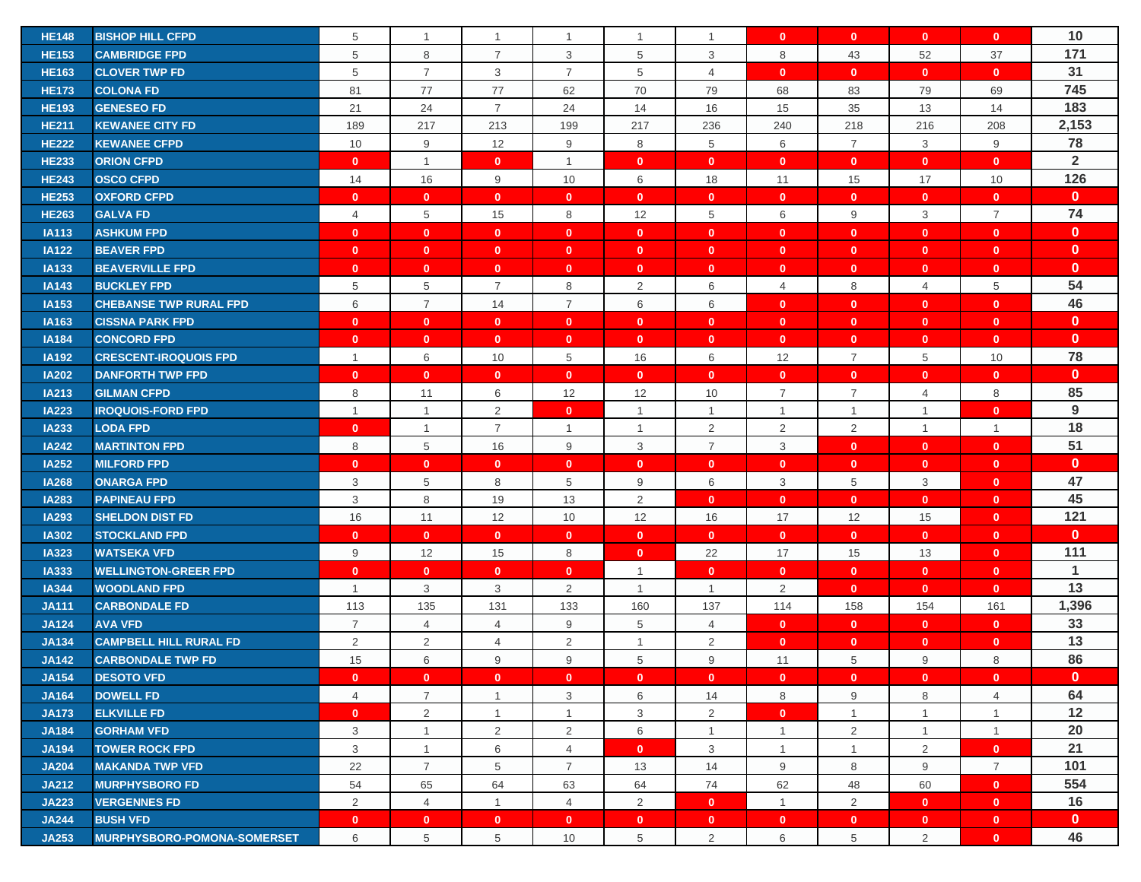| <b>HE148</b> | <b>BISHOP HILL CFPD</b>            | 5              | $\overline{1}$ | $\mathbf{1}$   | $\mathbf{1}$   | $\mathbf{1}$   | $\mathbf{1}$   | $\mathbf{0}$   | $\mathbf{0}$   | $\mathbf{0}$   | $\mathbf{0}$   | 10             |
|--------------|------------------------------------|----------------|----------------|----------------|----------------|----------------|----------------|----------------|----------------|----------------|----------------|----------------|
| <b>HE153</b> | <b>CAMBRIDGE FPD</b>               | 5              | 8              | $\overline{7}$ | 3              | 5              | 3              | 8              | 43             | 52             | 37             | 171            |
| <b>HE163</b> | <b>CLOVER TWP FD</b>               | 5              | $\overline{7}$ | 3              | $\overline{7}$ | 5              | $\overline{4}$ | $\mathbf{0}$   | $\mathbf{0}$   | $\mathbf{0}$   | $\mathbf{0}$   | 31             |
| <b>HE173</b> | <b>COLONA FD</b>                   | 81             | 77             | 77             | 62             | 70             | 79             | 68             | 83             | 79             | 69             | 745            |
| <b>HE193</b> | <b>GENESEO FD</b>                  | 21             | 24             | $\overline{7}$ | 24             | 14             | 16             | 15             | 35             | 13             | 14             | 183            |
| <b>HE211</b> | <b>KEWANEE CITY FD</b>             | 189            | 217            | 213            | 199            | 217            | 236            | 240            | 218            | 216            | 208            | 2,153          |
| <b>HE222</b> | <b>KEWANEE CFPD</b>                | 10             | 9              | 12             | 9              | 8              | 5              | 6              | $\overline{7}$ | 3              | 9              | 78             |
| <b>HE233</b> | <b>ORION CFPD</b>                  | $\mathbf{0}$   | $\mathbf{1}$   | $\mathbf{0}$   | $\mathbf{1}$   | $\mathbf{0}$   | $\mathbf{0}$   | $\mathbf{0}$   | $\mathbf{0}$   | $\mathbf{0}$   | $\mathbf{0}$   | $\overline{2}$ |
| <b>HE243</b> | <b>OSCO CFPD</b>                   | 14             | 16             | 9              | 10             | 6              | 18             | 11             | 15             | 17             | 10             | 126            |
| <b>HE253</b> | <b>OXFORD CFPD</b>                 | $\mathbf{0}$   | $\mathbf{0}$   | $\mathbf{0}$   | $\mathbf{0}$   | $\mathbf{0}$   | $\mathbf{0}$   | $\mathbf{0}$   | $\mathbf{0}$   | $\mathbf{0}$   | $\mathbf{0}$   | $\mathbf{0}$   |
| <b>HE263</b> | <b>GALVA FD</b>                    | $\overline{4}$ | 5              | 15             | 8              | 12             | 5              | 6              | 9              | 3              | $\overline{7}$ | 74             |
| <b>IA113</b> | <b>ASHKUM FPD</b>                  | $\mathbf{0}$   | $\mathbf{0}$   | $\mathbf{0}$   | $\mathbf{0}$   | $\mathbf{0}$   | $\mathbf{0}$   | $\mathbf{0}$   | $\mathbf{0}$   | $\mathbf{0}$   | $\mathbf{0}$   | $\mathbf{0}$   |
| <b>IA122</b> | <b>BEAVER FPD</b>                  | $\mathbf{0}$   | $\mathbf{0}$   | $\mathbf{0}$   | $\mathbf{0}$   | $\mathbf{0}$   | $\mathbf{0}$   | $\mathbf{0}$   | $\mathbf{0}$   | $\mathbf{0}$   | $\mathbf{0}$   | $\mathbf{0}$   |
| <b>IA133</b> | <b>BEAVERVILLE FPD</b>             | $\mathbf{0}$   | $\mathbf{0}$   | $\mathbf{0}$   | $\mathbf{0}$   | $\mathbf{0}$   | $\mathbf{0}$   | $\mathbf{0}$   | $\mathbf{0}$   | $\mathbf{0}$   | $\mathbf{0}$   | $\mathbf{0}$   |
| <b>IA143</b> | <b>BUCKLEY FPD</b>                 | 5              | 5              | $\overline{7}$ | 8              | $\overline{2}$ | 6              | $\overline{4}$ | 8              | 4              | 5              | 54             |
| IA153        | <b>CHEBANSE TWP RURAL FPD</b>      | 6              | $\overline{7}$ | 14             | $\overline{7}$ | 6              | 6              | $\mathbf{0}$   | $\mathbf{0}$   | $\mathbf{0}$   | $\mathbf{0}$   | 46             |
| <b>IA163</b> | <b>CISSNA PARK FPD</b>             | $\mathbf{0}$   | $\mathbf{0}$   | $\mathbf{0}$   | $\mathbf{0}$   | $\mathbf{0}$   | $\mathbf{0}$   | $\mathbf{0}$   | $\mathbf{0}$   | $\mathbf{0}$   | $\mathbf{0}$   | $\mathbf{0}$   |
| <b>IA184</b> | <b>CONCORD FPD</b>                 | $\mathbf{0}$   | $\mathbf{0}$   | $\mathbf{0}$   | $\mathbf{0}$   | $\mathbf{0}$   | $\mathbf{0}$   | $\mathbf{0}$   | $\mathbf{0}$   | $\mathbf{0}$   | $\mathbf{0}$   | $\mathbf{0}$   |
| <b>IA192</b> | <b>CRESCENT-IROQUOIS FPD</b>       | $\mathbf{1}$   | 6              | 10             | 5              | 16             | 6              | 12             | $\overline{7}$ | 5              | 10             | 78             |
| <b>IA202</b> | <b>DANFORTH TWP FPD</b>            | $\mathbf{0}$   | $\mathbf{0}$   | $\mathbf{0}$   | $\mathbf{0}$   | $\mathbf{0}$   | $\mathbf{0}$   | $\mathbf{0}$   | $\mathbf{0}$   | $\mathbf{0}$   | $\mathbf{0}$   | $\mathbf{0}$   |
| IA213        | <b>GILMAN CFPD</b>                 | 8              | 11             | 6              | 12             | 12             | 10             | $\overline{7}$ | $\overline{7}$ | $\overline{4}$ | 8              | 85             |
| <b>IA223</b> | <b>IROQUOIS-FORD FPD</b>           | $\mathbf{1}$   | $\overline{1}$ | $\overline{2}$ | $\mathbf{0}$   | $\mathbf{1}$   | $\mathbf{1}$   | $\overline{1}$ | $\mathbf{1}$   | $\overline{1}$ | $\mathbf{0}$   | 9              |
| <b>IA233</b> | <b>LODA FPD</b>                    | $\mathbf{0}$   | $\overline{1}$ | $\overline{7}$ | $\mathbf{1}$   | $\mathbf{1}$   | $\overline{2}$ | $\overline{2}$ | $\overline{2}$ | $\overline{1}$ | $\mathbf{1}$   | 18             |
| <b>IA242</b> | <b>MARTINTON FPD</b>               | 8              | 5              | 16             | 9              | 3              | $\overline{7}$ | 3              | $\mathbf{0}$   | $\mathbf{0}$   | $\mathbf{0}$   | 51             |
| <b>IA252</b> | <b>MILFORD FPD</b>                 | $\mathbf{0}$   | $\mathbf{0}$   | $\mathbf{0}$   | $\mathbf{0}$   | $\mathbf{0}$   | $\mathbf{0}$   | $\mathbf{0}$   | $\mathbf{0}$   | $\mathbf{0}$   | $\mathbf{0}$   | $\mathbf{0}$   |
| <b>IA268</b> | <b>ONARGA FPD</b>                  | 3              | 5              | 8              | 5              | 9              | 6              | 3              | 5              | 3              | $\mathbf{0}$   | 47             |
| <b>IA283</b> | <b>PAPINEAU FPD</b>                | 3              | 8              | 19             | 13             | 2              | $\mathbf{0}$   | $\mathbf{0}$   | $\mathbf{0}$   | $\mathbf{0}$   | $\mathbf{0}$   | 45             |
| <b>IA293</b> | <b>SHELDON DIST FD</b>             | 16             | 11             | 12             | 10             | 12             | 16             | 17             | 12             | 15             | $\mathbf{0}$   | 121            |
| <b>IA302</b> | <b>STOCKLAND FPD</b>               | $\mathbf{0}$   | $\mathbf{0}$   | $\mathbf{0}$   | $\mathbf{0}$   | $\mathbf{0}$   | $\mathbf{0}$   | $\mathbf{0}$   | $\mathbf{0}$   | $\mathbf{0}$   | $\mathbf{0}$   | $\mathbf{0}$   |
| <b>IA323</b> | <b>WATSEKA VFD</b>                 | 9              | 12             | 15             | 8              | $\mathbf{0}$   | 22             | 17             | 15             | 13             | $\mathbf{0}$   | 111            |
| <b>IA333</b> | <b>WELLINGTON-GREER FPD</b>        | $\mathbf{0}$   | $\mathbf{0}$   | $\mathbf{0}$   | $\mathbf{0}$   | $\mathbf{1}$   | $\mathbf{0}$   | $\mathbf{0}$   | $\mathbf{0}$   | $\mathbf{0}$   | $\mathbf{0}$   | $\mathbf{1}$   |
| <b>IA344</b> | <b>WOODLAND FPD</b>                | $\mathbf{1}$   | 3              | 3              | $\overline{2}$ | $\mathbf{1}$   | $\mathbf{1}$   | 2              | $\mathbf{0}$   | $\mathbf{0}$   | $\mathbf{0}$   | 13             |
| <b>JA111</b> | <b>CARBONDALE FD</b>               | 113            | 135            | 131            | 133            | 160            | 137            | 114            | 158            | 154            | 161            | 1,396          |
| <b>JA124</b> | <b>AVA VFD</b>                     | $\overline{7}$ | $\overline{4}$ | $\overline{4}$ | 9              | 5              | $\overline{4}$ | $\mathbf{0}$   | $\mathbf{0}$   | $\mathbf{0}$   | $\mathbf{0}$   | 33             |
| <b>JA134</b> | <b>CAMPBELL HILL RURAL FD</b>      | 2              | $\overline{2}$ | $\overline{4}$ | $\overline{2}$ | $\mathbf{1}$   | $\overline{2}$ | $\mathbf{0}$   | $\mathbf{0}$   | $\mathbf{0}$   | $\mathbf{0}$   | 13             |
| <b>JA142</b> | <b>CARBONDALE TWP FD</b>           | 15             | 6              | 9              | 9              | 5              | 9              | 11             | 5              | 9              | 8              | 86             |
| <b>JA154</b> | <b>DESOTO VFD</b>                  | $\mathbf{0}$   | $\mathbf{0}$   | $\mathbf{0}$   | $\mathbf{0}$   | $\mathbf{0}$   | $\mathbf{0}$   | $\mathbf{0}$   | $\mathbf{0}$   | $\mathbf{0}$   | $\mathbf{0}$   | $\mathbf{0}$   |
| <b>JA164</b> | <b>DOWELL FD</b>                   | $\overline{4}$ | $\overline{7}$ | $\mathbf{1}$   | 3              | 6              | 14             | 8              | 9              | 8              | $\overline{4}$ | 64             |
| <b>JA173</b> | <b>ELKVILLE FD</b>                 | $\mathbf{0}$   | $\overline{2}$ | $\mathbf{1}$   | $\mathbf{1}$   | 3              | $\overline{2}$ | $\mathbf{0}$   | $\mathbf{1}$   | $\overline{1}$ | $\mathbf{1}$   | 12             |
| <b>JA184</b> | <b>GORHAM VFD</b>                  | 3              | $\mathbf{1}$   | $\overline{2}$ | $\overline{2}$ | 6              | $\mathbf{1}$   | $\mathbf{1}$   | 2              | $\overline{1}$ | $\mathbf{1}$   | 20             |
| <b>JA194</b> | <b>TOWER ROCK FPD</b>              | 3              | $\mathbf{1}$   | 6              | $\overline{4}$ | $\mathbf{0}$   | 3              | $\mathbf{1}$   | $\mathbf{1}$   | 2              | $\mathbf{0}$   | 21             |
| <b>JA204</b> | <b>MAKANDA TWP VFD</b>             | 22             | $\overline{7}$ | 5              | $\overline{7}$ | 13             | 14             | 9              | 8              | 9              | $\overline{7}$ | 101            |
| <b>JA212</b> | <b>MURPHYSBORO FD</b>              | 54             | 65             | 64             | 63             | 64             | 74             | 62             | 48             | 60             | $\mathbf{0}$   | 554            |
| <b>JA223</b> | <b>VERGENNES FD</b>                | $\overline{2}$ | $\overline{4}$ | $\mathbf{1}$   | $\overline{4}$ | $\overline{2}$ | $\mathbf{0}$   | $\overline{1}$ | 2              | $\mathbf{0}$   | $\mathbf{0}$   | 16             |
| <b>JA244</b> | <b>BUSH VFD</b>                    | $\mathbf{0}$   | $\mathbf{0}$   | $\mathbf{0}$   | $\mathbf{0}$   | $\mathbf{0}$   | $\mathbf{0}$   | $\mathbf{0}$   | $\mathbf{0}$   | $\mathbf{0}$   | $\mathbf{0}$   | $\mathbf{0}$   |
| <b>JA253</b> | <b>MURPHYSBORO-POMONA-SOMERSET</b> | 6              | 5              | 5              | 10             | 5              | $\overline{2}$ | 6              | 5              | 2              | $\mathbf{0}$   | 46             |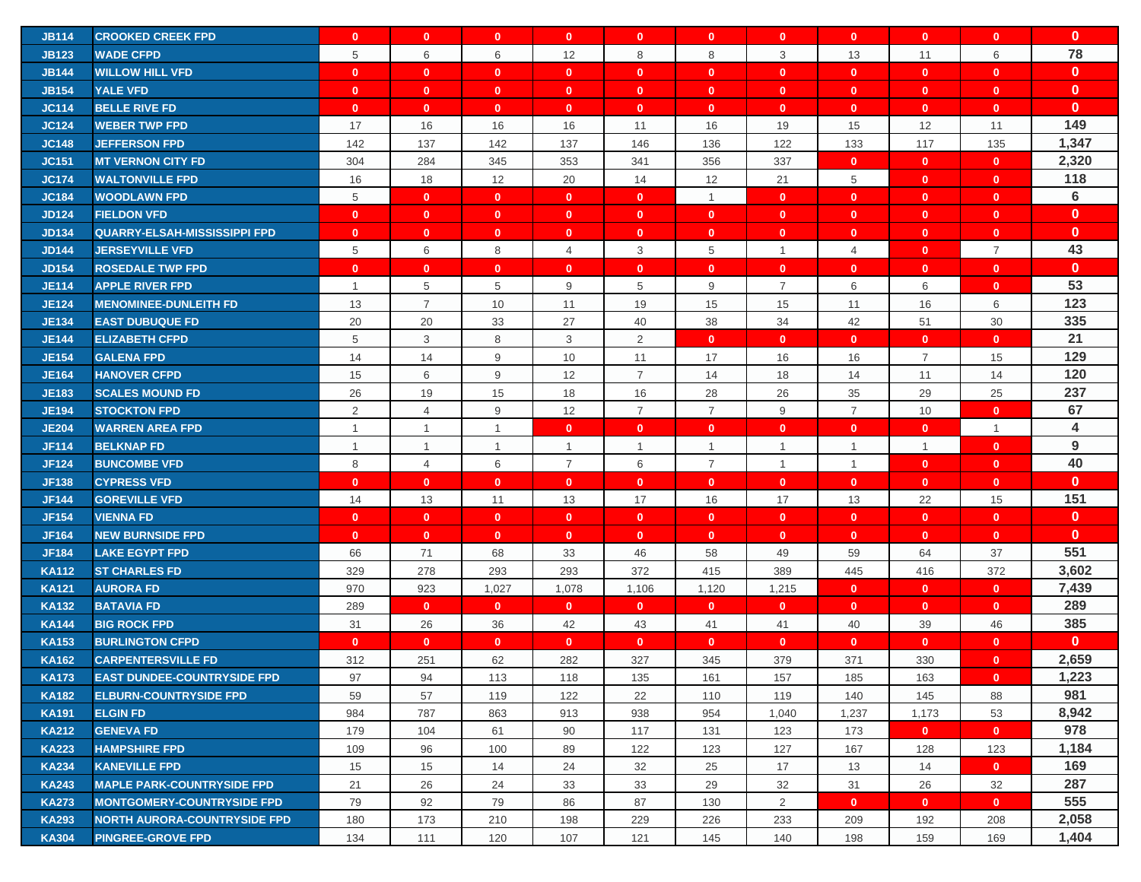| <b>JB114</b> | <b>CROOKED CREEK FPD</b>            | $\mathbf{0}$   | $\mathbf{0}$   | $\mathbf{0}$ | $\mathbf{0}$   | $\mathbf{0}$   | $\mathbf{0}$   | $\mathbf{0}$   | $\mathbf{0}$   | $\mathbf{0}$   | $\mathbf{0}$   | $\mathbf{0}$ |
|--------------|-------------------------------------|----------------|----------------|--------------|----------------|----------------|----------------|----------------|----------------|----------------|----------------|--------------|
| <b>JB123</b> | <b>WADE CFPD</b>                    | 5              | 6              | 6            | 12             | 8              | 8              | 3              | 13             | 11             | 6              | 78           |
| <b>JB144</b> | <b>WILLOW HILL VFD</b>              | $\mathbf{0}$   | $\mathbf{0}$   | $\mathbf{0}$ | $\mathbf{0}$   | $\mathbf{0}$   | $\mathbf{0}$   | $\mathbf{0}$   | $\mathbf{0}$   | $\mathbf{0}$   | $\mathbf{0}$   | $\mathbf{0}$ |
| <b>JB154</b> | <b>YALE VFD</b>                     | $\mathbf{0}$   | $\mathbf{0}$   | $\mathbf{0}$ | $\mathbf{0}$   | $\mathbf{0}$   | $\mathbf{0}$   | $\mathbf{0}$   | $\mathbf{0}$   | $\mathbf{0}$   | $\mathbf{0}$   | $\mathbf{0}$ |
| <b>JC114</b> | <b>BELLE RIVE FD</b>                | $\mathbf{0}$   | $\mathbf{0}$   | $\mathbf{0}$ | $\mathbf{0}$   | $\mathbf{0}$   | $\mathbf{0}$   | $\mathbf{0}$   | $\mathbf{0}$   | $\mathbf{0}$   | $\mathbf{0}$   | $\mathbf{0}$ |
| <b>JC124</b> | <b>WEBER TWP FPD</b>                | 17             | 16             | 16           | 16             | 11             | 16             | 19             | 15             | 12             | 11             | 149          |
| <b>JC148</b> | <b>JEFFERSON FPD</b>                | 142            | 137            | 142          | 137            | 146            | 136            | 122            | 133            | 117            | 135            | 1,347        |
| <b>JC151</b> | <b>MT VERNON CITY FD</b>            | 304            | 284            | 345          | 353            | 341            | 356            | 337            | $\mathbf{0}$   | $\mathbf{0}$   | $\mathbf{0}$   | 2,320        |
| <b>JC174</b> | <b>WALTONVILLE FPD</b>              | 16             | 18             | 12           | 20             | 14             | 12             | 21             | 5              | $\mathbf{0}$   | $\mathbf{0}$   | 118          |
| <b>JC184</b> | <b>WOODLAWN FPD</b>                 | 5              | $\mathbf{0}$   | $\mathbf{0}$ | $\mathbf{0}$   | $\mathbf{0}$   | $\mathbf{1}$   | $\mathbf{0}$   | $\mathbf{0}$   | $\mathbf{0}$   | $\mathbf{0}$   | 6            |
| <b>JD124</b> | <b>FIELDON VFD</b>                  | $\mathbf{0}$   | $\mathbf{0}$   | $\mathbf{0}$ | $\mathbf{0}$   | $\mathbf{0}$   | $\mathbf{0}$   | $\mathbf{0}$   | $\mathbf{0}$   | $\mathbf{0}$   | $\mathbf{0}$   | $\mathbf{0}$ |
| <b>JD134</b> | <b>QUARRY-ELSAH-MISSISSIPPI FPD</b> | $\mathbf{0}$   | $\mathbf{0}$   | $\mathbf{0}$ | $\mathbf{0}$   | $\mathbf{0}$   | $\mathbf{0}$   | $\mathbf{0}$   | $\mathbf{0}$   | $\mathbf{0}$   | $\mathbf{0}$   | $\mathbf{0}$ |
| <b>JD144</b> | <b>JERSEYVILLE VFD</b>              | 5              | 6              | 8            | $\overline{4}$ | 3              | 5              | $\overline{1}$ | $\overline{4}$ | $\mathbf{0}$   | $\overline{7}$ | 43           |
| <b>JD154</b> | <b>ROSEDALE TWP FPD</b>             | $\mathbf{0}$   | $\mathbf{0}$   | $\mathbf{0}$ | $\mathbf{0}$   | $\mathbf{0}$   | $\mathbf{0}$   | $\mathbf{0}$   | $\mathbf{0}$   | $\mathbf{0}$   | $\mathbf{0}$   | $\mathbf{0}$ |
| <b>JE114</b> | <b>APPLE RIVER FPD</b>              | $\mathbf{1}$   | 5              | 5            | 9              | 5              | 9              | $\overline{7}$ | 6              | 6              | $\mathbf{0}$   | 53           |
| <b>JE124</b> | <b>MENOMINEE-DUNLEITH FD</b>        | 13             | $\overline{7}$ | 10           | 11             | 19             | 15             | 15             | 11             | 16             | 6              | 123          |
| <b>JE134</b> | <b>EAST DUBUQUE FD</b>              | 20             | 20             | 33           | 27             | 40             | 38             | 34             | 42             | 51             | 30             | 335          |
| <b>JE144</b> | <b>ELIZABETH CFPD</b>               | 5              | 3              | 8            | 3              | $\overline{2}$ | $\mathbf{0}$   | $\mathbf{0}$   | $\mathbf{0}$   | $\mathbf{0}$   | $\mathbf{0}$   | 21           |
| <b>JE154</b> | <b>GALENA FPD</b>                   | 14             | 14             | 9            | 10             | 11             | 17             | 16             | 16             | $\overline{7}$ | 15             | 129          |
| <b>JE164</b> | <b>HANOVER CFPD</b>                 | 15             | 6              | 9            | 12             | $\overline{7}$ | 14             | 18             | 14             | 11             | 14             | 120          |
| <b>JE183</b> | <b>SCALES MOUND FD</b>              | 26             | 19             | 15           | 18             | 16             | 28             | 26             | 35             | 29             | 25             | 237          |
| <b>JE194</b> | <b>STOCKTON FPD</b>                 | $\overline{c}$ | $\overline{4}$ | 9            | 12             | $\overline{7}$ | $\overline{7}$ | 9              | $\overline{7}$ | 10             | $\mathbf{0}$   | 67           |
| <b>JE204</b> | WARREN AREA FPD                     | $\mathbf{1}$   | $\overline{1}$ | $\mathbf{1}$ | $\mathbf{0}$   | $\mathbf{0}$   | $\mathbf{0}$   | $\mathbf{0}$   | $\mathbf{0}$   | $\mathbf{0}$   | $\mathbf{1}$   | 4            |
| <b>JF114</b> | <b>BELKNAP FD</b>                   | $\mathbf{1}$   | $\overline{1}$ | $\mathbf{1}$ | $\mathbf{1}$   | $\mathbf{1}$   | $\mathbf{1}$   | $\overline{1}$ | $\mathbf{1}$   | $\overline{1}$ | $\mathbf{0}$   | 9            |
| <b>JF124</b> | <b>BUNCOMBE VFD</b>                 | 8              | 4              | 6            | $\overline{7}$ | 6              | $\overline{7}$ | $\mathbf{1}$   | $\mathbf{1}$   | $\mathbf{0}$   | $\mathbf{0}$   | 40           |
| <b>JF138</b> | <b>CYPRESS VFD</b>                  | $\mathbf{0}$   | $\mathbf{0}$   | $\mathbf{0}$ | $\mathbf{0}$   | $\mathbf{0}$   | $\mathbf{0}$   | $\mathbf{0}$   | $\mathbf{0}$   | $\mathbf{0}$   | $\mathbf{0}$   | $\mathbf{0}$ |
| <b>JF144</b> | <b>GOREVILLE VFD</b>                | 14             | 13             | 11           | 13             | 17             | 16             | 17             | 13             | 22             | 15             | 151          |
| <b>JF154</b> | <b>VIENNA FD</b>                    | $\mathbf{0}$   | $\mathbf{0}$   | $\mathbf{0}$ | $\mathbf{0}$   | $\mathbf{0}$   | $\mathbf{0}$   | $\mathbf{0}$   | $\mathbf{0}$   | $\mathbf{0}$   | $\mathbf{0}$   | $\mathbf{0}$ |
| <b>JF164</b> | <b>NEW BURNSIDE FPD</b>             | $\mathbf{0}$   | $\mathbf{0}$   | $\mathbf{0}$ | $\mathbf{0}$   | $\mathbf{0}$   | $\mathbf{0}$   | $\mathbf{0}$   | $\mathbf{0}$   | $\mathbf{0}$   | $\mathbf{0}$   | $\mathbf{0}$ |
| <b>JF184</b> | LAKE EGYPT FPD                      | 66             | 71             | 68           | 33             | 46             | 58             | 49             | 59             | 64             | 37             | 551          |
| <b>KA112</b> | <b>ST CHARLES FD</b>                | 329            | 278            | 293          | 293            | 372            | 415            | 389            | 445            | 416            | 372            | 3,602        |
| <b>KA121</b> | <b>AURORA FD</b>                    | 970            | 923            | 1,027        | 1,078          | 1,106          | 1,120          | 1,215          | $\mathbf{0}$   | $\mathbf{0}$   | $\mathbf{0}$   | 7,439        |
| <b>KA132</b> | <b>BATAVIA FD</b>                   | 289            | $\mathbf{0}$   | $\mathbf{0}$ | $\mathbf{0}$   | $\mathbf{0}$   | $\mathbf{0}$   | $\mathbf{0}$   | $\mathbf{0}$   | $\mathbf{0}$   | $\mathbf{0}$   | 289          |
| <b>KA144</b> | <b>BIG ROCK FPD</b>                 | 31             | 26             | 36           | 42             | 43             | 41             | 41             | 40             | 39             | 46             | 385          |
| <b>KA153</b> | <b>BURLINGTON CFPD</b>              | $\mathbf{0}$   | $\mathbf{0}$   | $\mathbf{0}$ | $\mathbf{0}$   | $\mathbf{0}$   | $\mathbf{0}$   | $\mathbf{0}$   | $\mathbf{0}$   | $\mathbf{0}$   | $\mathbf{0}$   | $\mathbf{0}$ |
| <b>KA162</b> | <b>CARPENTERSVILLE FD</b>           | 312            | 251            | 62           | 282            | 327            | 345            | 379            | 371            | 330            | $\mathbf{0}$   | 2,659        |
| <b>KA173</b> | <b>EAST DUNDEE-COUNTRYSIDE FPD</b>  | 97             | 94             | 113          | 118            | 135            | 161            | 157            | 185            | 163            | $\mathbf{0}$   | 1,223        |
| <b>KA182</b> | <b>ELBURN-COUNTRYSIDE FPD</b>       | 59             | 57             | 119          | 122            | 22             | 110            | 119            | 140            | 145            | 88             | 981          |
| <b>KA191</b> | <b>ELGIN FD</b>                     | 984            | 787            | 863          | 913            | 938            | 954            | 1,040          | 1,237          | 1,173          | 53             | 8,942        |
| <b>KA212</b> | <b>GENEVA FD</b>                    | 179            | 104            | 61           | 90             | 117            | 131            | 123            | 173            | $\mathbf{0}$   | $\mathbf{0}$   | 978          |
| <b>KA223</b> | <b>HAMPSHIRE FPD</b>                | 109            | 96             | 100          | 89             | 122            | 123            | 127            | 167            | 128            | 123            | 1,184        |
| <b>KA234</b> | <b>KANEVILLE FPD</b>                | 15             | 15             | 14           | 24             | 32             | 25             | 17             | 13             | 14             | $\mathbf{0}$   | 169          |
| <b>KA243</b> | <b>MAPLE PARK-COUNTRYSIDE FPD</b>   | 21             | 26             | 24           | 33             | 33             | 29             | 32             | 31             | 26             | 32             | 287          |
| <b>KA273</b> | <b>MONTGOMERY-COUNTRYSIDE FPD</b>   | 79             | 92             | 79           | 86             | 87             | 130            | 2              | $\mathbf{0}$   | $\mathbf{0}$   | $\mathbf{0}$   | 555          |
| <b>KA293</b> | <b>NORTH AURORA-COUNTRYSIDE FPD</b> | 180            | 173            | 210          | 198            | 229            | 226            | 233            | 209            | 192            | 208            | 2,058        |
| <b>KA304</b> | <b>PINGREE-GROVE FPD</b>            | 134            | 111            | 120          | 107            | 121            | 145            | 140            | 198            | 159            | 169            | 1,404        |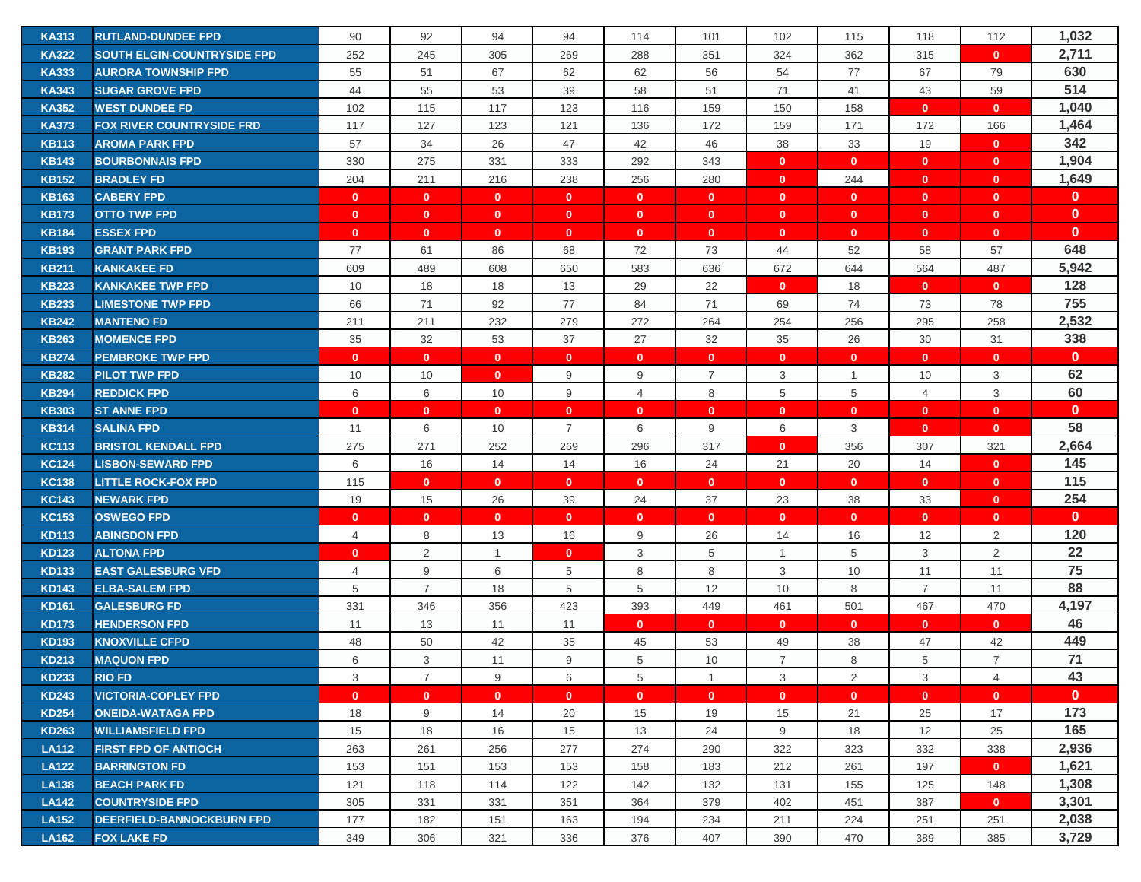| <b>KA313</b>                 | <b>RUTLAND-DUNDEE FPD</b>               | 90                 | 92             | 94                 | 94                             | 114               | 101               | 102               | 115               | 118                          | 112            | 1,032        |
|------------------------------|-----------------------------------------|--------------------|----------------|--------------------|--------------------------------|-------------------|-------------------|-------------------|-------------------|------------------------------|----------------|--------------|
| <b>KA322</b>                 | <b>SOUTH ELGIN-COUNTRYSIDE FPD</b>      | 252                | 245            | 305                | 269                            | 288               | 351               | 324               | 362               | 315                          | $\mathbf{0}$   | 2,711        |
| <b>KA333</b>                 | <b>AURORA TOWNSHIP FPD</b>              | 55                 | 51             | 67                 | 62                             | 62                | 56                | 54                | 77                | 67                           | 79             | 630          |
| <b>KA343</b>                 | <b>SUGAR GROVE FPD</b>                  | 44                 | 55             | 53                 | 39                             | 58                | 51                | 71                | 41                | 43                           | 59             | 514          |
| <b>KA352</b>                 | <b>WEST DUNDEE FD</b>                   | 102                | 115            | 117                | 123                            | 116               | 159               | 150               | 158               | $\mathbf{0}$                 | $\mathbf{0}$   | 1,040        |
| <b>KA373</b>                 | <b>FOX RIVER COUNTRYSIDE FRD</b>        | 117                | 127            | 123                | 121                            | 136               | 172               | 159               | 171               | 172                          | 166            | 1,464        |
| <b>KB113</b>                 | <b>AROMA PARK FPD</b>                   | 57                 | 34             | 26                 | 47                             | 42                | 46                | 38                | 33                | 19                           | $\mathbf{0}$   | 342          |
| <b>KB143</b>                 | <b>BOURBONNAIS FPD</b>                  | 330                | 275            | 331                | 333                            | 292               | 343               | $\mathbf{0}$      | $\mathbf{0}$      | $\mathbf{0}$                 | $\mathbf{0}$   | 1,904        |
| <b>KB152</b>                 | <b>BRADLEY FD</b>                       | 204                | 211            | 216                | 238                            | 256               | 280               | $\mathbf{0}$      | 244               | $\mathbf{0}$                 | $\mathbf{0}$   | 1,649        |
| <b>KB163</b>                 | <b>CABERY FPD</b>                       | $\mathbf{0}$       | $\mathbf{0}$   | $\mathbf{0}$       | $\mathbf{0}$                   | $\mathbf{0}$      | $\mathbf{0}$      | $\mathbf{0}$      | $\mathbf{0}$      | $\mathbf{0}$                 | $\mathbf{0}$   | $\mathbf{0}$ |
| <b>KB173</b>                 | <b>OTTO TWP FPD</b>                     | $\mathbf{0}$       | $\mathbf{0}$   | $\mathbf{0}$       | $\mathbf{0}$                   | $\mathbf{0}$      | $\mathbf{0}$      | $\mathbf{0}$      | $\mathbf{0}$      | $\mathbf{0}$                 | $\mathbf{0}$   | $\mathbf{0}$ |
| <b>KB184</b>                 | <b>ESSEX FPD</b>                        | $\mathbf{0}$       | $\mathbf{0}$   | $\mathbf{0}$       | $\mathbf{0}$                   | $\mathbf{0}$      | $\mathbf{0}$      | $\mathbf 0$       | $\mathbf{0}$      | $\mathbf{0}$                 | $\mathbf{0}$   | $\mathbf{0}$ |
| <b>KB193</b>                 | <b>GRANT PARK FPD</b>                   | 77                 | 61             | 86                 | 68                             | 72                | 73                | 44                | 52                | 58                           | 57             | 648          |
| <b>KB211</b>                 | <b>KANKAKEE FD</b>                      | 609                | 489            | 608                | 650                            | 583               | 636               | 672               | 644               | 564                          | 487            | 5,942        |
| <b>KB223</b>                 | <b>KANKAKEE TWP FPD</b>                 | 10                 | 18             | 18                 | 13                             | 29                | 22                | $\mathbf{0}$      | 18                | $\mathbf{0}$                 | $\mathbf{0}$   | 128          |
| <b>KB233</b>                 | <b>LIMESTONE TWP FPD</b>                | 66                 | 71             | 92                 | 77                             | 84                | 71                | 69                | 74                | 73                           | 78             | 755          |
| <b>KB242</b>                 | <b>MANTENO FD</b>                       | 211                | 211            | 232                | 279                            | 272               | 264               | 254               | 256               | 295                          | 258            | 2,532        |
| <b>KB263</b>                 | <b>MOMENCE FPD</b>                      | 35                 | 32             | 53                 | 37                             | 27                | 32                | 35                | 26                | 30                           | 31             | 338          |
| <b>KB274</b>                 | <b>PEMBROKE TWP FPD</b>                 | $\mathbf{0}$       | $\mathbf{0}$   | $\mathbf{0}$       | $\mathbf{0}$                   | $\mathbf{0}$      | $\mathbf{0}$      | $\mathbf{0}$      | $\mathbf{0}$      | $\mathbf{0}$                 | $\mathbf{0}$   | $\mathbf{0}$ |
| <b>KB282</b>                 | <b>PILOT TWP FPD</b>                    |                    | 10             | $\mathbf{0}$       | 9                              | 9                 | $\overline{7}$    | 3                 | $\mathbf{1}$      |                              | 3              | 62           |
| <b>KB294</b>                 |                                         | 10<br>6            | 6              | 10                 | 9                              | $\overline{4}$    | 8                 | 5                 | 5                 | 10<br>$\overline{4}$         | 3              | 60           |
|                              | <b>REDDICK FPD</b>                      |                    | $\mathbf{0}$   |                    |                                |                   |                   |                   |                   |                              | $\mathbf{0}$   | $\mathbf{0}$ |
| <b>KB303</b><br><b>KB314</b> | <b>ST ANNE FPD</b><br><b>SALINA FPD</b> | $\mathbf{0}$<br>11 | 6              | $\mathbf{0}$<br>10 | $\mathbf{0}$<br>$\overline{7}$ | $\mathbf{0}$<br>6 | $\mathbf{0}$<br>9 | $\mathbf{0}$<br>6 | $\mathbf{0}$<br>3 | $\mathbf{0}$<br>$\mathbf{0}$ | $\mathbf{0}$   | 58           |
| <b>KC113</b>                 | <b>BRISTOL KENDALL FPD</b>              | 275                | 271            | 252                | 269                            | 296               | 317               | $\mathbf 0$       | 356               | 307                          | 321            | 2,664        |
| <b>KC124</b>                 | <b>LISBON-SEWARD FPD</b>                | 6                  | 16             | 14                 | 14                             | 16                | 24                | 21                | 20                | 14                           | $\mathbf{0}$   | 145          |
| <b>KC138</b>                 | <b>LITTLE ROCK-FOX FPD</b>              | 115                | $\mathbf{0}$   | $\mathbf{0}$       | $\mathbf{0}$                   | $\mathbf{0}$      | $\mathbf{0}$      | $\mathbf{0}$      | $\mathbf{0}$      | $\mathbf{0}$                 | $\mathbf{0}$   | 115          |
| <b>KC143</b>                 | <b>NEWARK FPD</b>                       | 19                 | 15             | 26                 | 39                             | 24                | 37                | 23                | 38                | 33                           | $\mathbf{0}$   | 254          |
| <b>KC153</b>                 | <b>OSWEGO FPD</b>                       | $\mathbf{0}$       | $\mathbf{0}$   | $\mathbf{0}$       | $\mathbf{0}$                   | $\mathbf{0}$      | $\mathbf{0}$      | $\mathbf{0}$      | $\mathbf{0}$      | $\mathbf{0}$                 | $\mathbf{0}$   | $\mathbf{0}$ |
| <b>KD113</b>                 | <b>ABINGDON FPD</b>                     | $\overline{4}$     | 8              | 13                 | 16                             | 9                 | 26                | 14                | 16                | 12                           | $\overline{2}$ | 120          |
| <b>KD123</b>                 | <b>ALTONA FPD</b>                       | $\mathbf{0}$       | 2              | $\mathbf{1}$       | $\mathbf{0}$                   | 3                 | 5                 | $\overline{1}$    | 5                 | 3                            | 2              | 22           |
| <b>KD133</b>                 | <b>EAST GALESBURG VFD</b>               | 4                  | 9              | 6                  | 5                              | 8                 | 8                 | 3                 | 10                | 11                           | 11             | 75           |
| <b>KD143</b>                 | <b>ELBA-SALEM FPD</b>                   | 5                  | $\overline{7}$ | 18                 | 5                              | 5                 | 12                | 10                | 8                 | $\overline{7}$               | 11             | 88           |
| <b>KD161</b>                 | <b>GALESBURG FD</b>                     | 331                | 346            | 356                | 423                            | 393               | 449               | 461               | 501               | 467                          | 470            | 4,197        |
| <b>KD173</b>                 | <b>HENDERSON FPD</b>                    | 11                 | 13             | 11                 | 11                             | $\mathbf{0}$      | $\mathbf{0}$      | $\mathbf{0}$      | $\mathbf{0}$      | $\mathbf{0}$                 | $\mathbf{0}$   | 46           |
| <b>KD193</b>                 | <b>KNOXVILLE CFPD</b>                   | 48                 | 50             | 42                 | 35                             | 45                | 53                | 49                | 38                | 47                           | 42             | 449          |
| <b>KD213</b>                 | <b>MAQUON FPD</b>                       | 6                  | 3              | 11                 | 9                              | 5                 | 10                | $\overline{7}$    | 8                 | 5                            | $\overline{7}$ | 71           |
| <b>KD233</b>                 | <b>RIO FD</b>                           | 3                  | $\overline{7}$ | 9                  | 6                              | 5                 | $\overline{1}$    | 3                 | 2                 | 3                            | $\overline{4}$ | 43           |
| <b>KD243</b>                 | <b>VICTORIA-COPLEY FPD</b>              | $\mathbf{0}$       | $\mathbf{0}$   | $\mathbf{0}$       | $\mathbf{0}$                   | $\mathbf{0}$      | $\mathbf{0}$      | $\mathbf{0}$      | $\mathbf{0}$      | $\mathbf{0}$                 | $\mathbf{0}$   | $\mathbf{0}$ |
| <b>KD254</b>                 | <b>ONEIDA-WATAGA FPD</b>                | 18                 | 9              | 14                 | 20                             | 15                | 19                | 15                | 21                | 25                           | 17             | 173          |
| <b>KD263</b>                 | <b>WILLIAMSFIELD FPD</b>                | 15                 | 18             | 16                 | 15                             | 13                | 24                | 9                 | 18                | 12                           | 25             | 165          |
| <b>LA112</b>                 | <b>FIRST FPD OF ANTIOCH</b>             | 263                | 261            | 256                | 277                            | 274               | 290               | 322               | 323               | 332                          | 338            | 2,936        |
| <b>LA122</b>                 | <b>BARRINGTON FD</b>                    | 153                | 151            | 153                | 153                            | 158               | 183               | 212               | 261               | 197                          | $\mathbf{0}$   | 1,621        |
| <b>LA138</b>                 | <b>BEACH PARK FD</b>                    | 121                | 118            | 114                | 122                            | 142               | 132               | 131               | 155               | 125                          | 148            | 1,308        |
| <b>LA142</b>                 | <b>COUNTRYSIDE FPD</b>                  | 305                | 331            | 331                | 351                            | 364               | 379               | 402               | 451               | 387                          | $\mathbf{0}$   | 3,301        |
| <b>LA152</b>                 | <b>DEERFIELD-BANNOCKBURN FPD</b>        | 177                | 182            | 151                | 163                            | 194               | 234               | 211               | 224               | 251                          | 251            | 2,038        |
| <b>LA162</b>                 | <b>FOX LAKE FD</b>                      | 349                | 306            | 321                | 336                            | 376               | 407               | 390               | 470               | 389                          | 385            | 3,729        |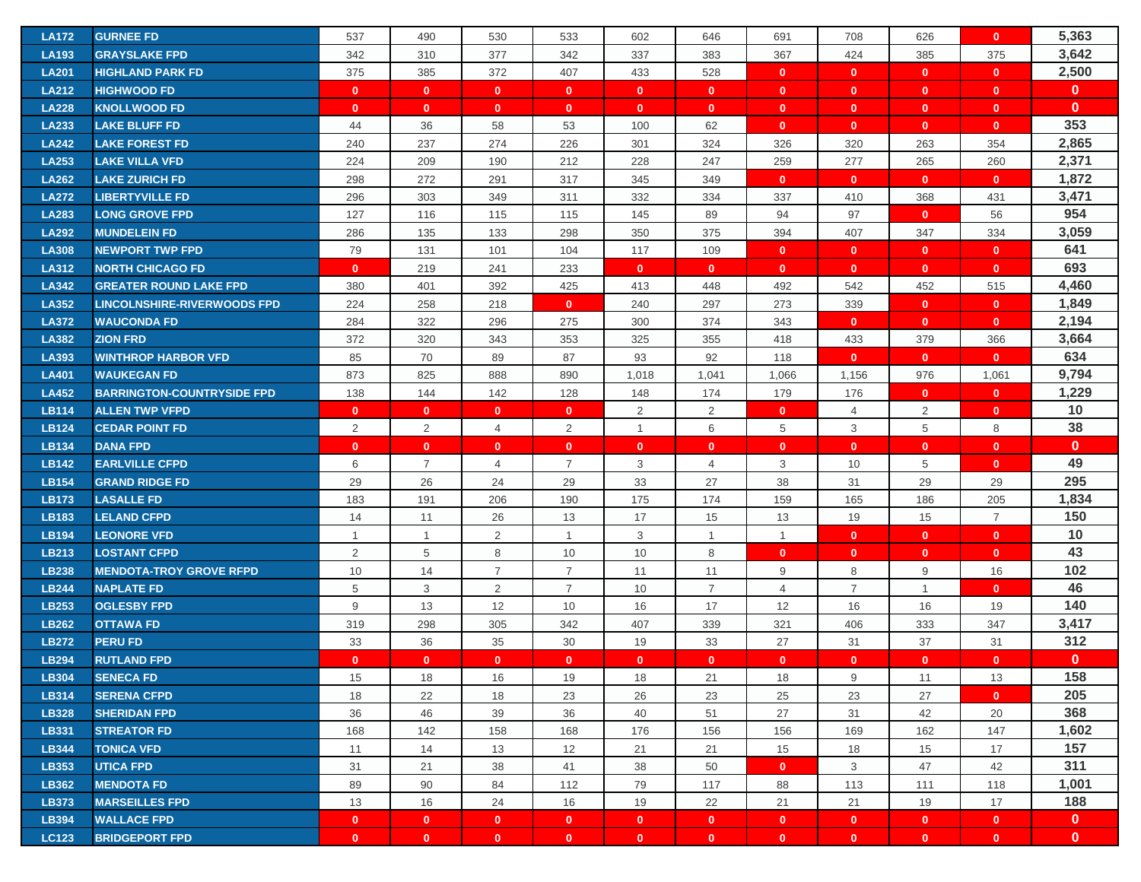| <b>LA172</b>          | <b>GURNEE FD</b>                            | 537                          | 490                          | 530                          | 533                          | 602                          | 646                          | 691                          | 708                       | 626                          | $\mathbf{0}$                 | 5,363                        |
|-----------------------|---------------------------------------------|------------------------------|------------------------------|------------------------------|------------------------------|------------------------------|------------------------------|------------------------------|---------------------------|------------------------------|------------------------------|------------------------------|
| <b>LA193</b>          | <b>GRAYSLAKE FPD</b>                        | 342                          | 310                          | 377                          | 342                          | 337                          | 383                          | 367                          | 424                       | 385                          | 375                          | 3,642                        |
| <b>LA201</b>          | <b>HIGHLAND PARK FD</b>                     | 375                          | 385                          | 372                          | 407                          | 433                          | 528                          | $\mathbf{0}$                 | $\mathbf{0}$              | $\mathbf{0}$                 | $\overline{0}$               | 2,500                        |
| <b>LA212</b>          | <b>HIGHWOOD FD</b>                          | $\mathbf{0}$                 | $\mathbf{0}$                 | $\mathbf{0}$                 | $\mathbf{0}$                 | $\mathbf{0}$                 | $\mathbf{0}$                 | $\mathbf{0}$                 | $\mathbf{0}$              | $\mathbf{0}$                 | $\mathbf{0}$                 | $\mathbf{0}$                 |
| <b>LA228</b>          | <b>KNOLLWOOD FD</b>                         | $\mathbf{0}$                 | $\mathbf{0}$                 | $\mathbf{0}$                 | $\mathbf{0}$                 | $\mathbf{0}$                 | $\mathbf{0}$                 | $\mathbf{0}$                 | $\mathbf{0}$              | $\mathbf{0}$                 | $\mathbf{0}$                 | $\mathbf{0}$                 |
| <b>LA233</b>          | <b>LAKE BLUFF FD</b>                        | 44                           | 36                           | 58                           | 53                           | 100                          | 62                           | $\mathbf{0}$                 | $\mathbf{0}$              | $\mathbf{0}$                 | $\mathbf{0}$                 | 353                          |
| <b>LA242</b>          | <b>LAKE FOREST FD</b>                       | 240                          | 237                          | 274                          | 226                          | 301                          | 324                          | 326                          | 320                       | 263                          | 354                          | 2,865                        |
| <b>LA253</b>          | LAKE VILLA VFD                              | 224                          | 209                          | 190                          | 212                          | 228                          | 247                          | 259                          | 277                       | 265                          | 260                          | 2,371                        |
| <b>LA262</b>          | <b>LAKE ZURICH FD</b>                       | 298                          | 272                          | 291                          | 317                          | 345                          | 349                          | $\mathbf{0}$                 | $\mathbf{0}$              | $\mathbf{0}$                 | $\mathbf{0}$                 | 1,872                        |
| <b>LA272</b>          | <b>LIBERTYVILLE FD</b>                      | 296                          | 303                          | 349                          | 311                          | 332                          | 334                          | 337                          | 410                       | 368                          | 431                          | 3,471                        |
| <b>LA283</b>          | <b>LONG GROVE FPD</b>                       | 127                          | 116                          | 115                          | 115                          | 145                          | 89                           | 94                           | 97                        | $\mathbf{0}$                 | 56                           | 954                          |
| <b>LA292</b>          | <b>MUNDELEIN FD</b>                         | 286                          | 135                          | 133                          | 298                          | 350                          | 375                          | 394                          | 407                       | 347                          | 334                          | 3,059                        |
| <b>LA308</b>          | <b>NEWPORT TWP FPD</b>                      | 79                           | 131                          | 101                          | 104                          | 117                          | 109                          | $\mathbf{0}$                 | $\mathbf{0}$              | $\mathbf{0}$                 | $\mathbf{0}$                 | 641                          |
| <b>LA312</b>          | <b>NORTH CHICAGO FD</b>                     | $\mathbf{0}$                 | 219                          | 241                          | 233                          | $\mathbf{0}$                 | $\mathbf{0}$                 | $\mathbf{0}$                 | $\mathbf{0}$              | $\mathbf{0}$                 | $\mathbf{0}$                 | 693                          |
| <b>LA342</b>          | <b>GREATER ROUND LAKE FPD</b>               | 380                          | 401                          | 392                          | 425                          | 413                          | 448                          | 492                          | 542                       | 452                          | 515                          | 4,460                        |
| <b>LA352</b>          | <b>LINCOLNSHIRE-RIVERWOODS FPD</b>          | 224                          | 258                          | 218                          | $\mathbf{0}$                 | 240                          | 297                          | 273                          | 339                       | $\mathbf{0}$                 | $\mathbf{0}$                 | 1,849                        |
| <b>LA372</b>          | <b>WAUCONDA FD</b>                          | 284                          | 322                          | 296                          | 275                          | 300                          | 374                          | 343                          | $\mathbf{0}$              | $\mathbf{0}$                 | $\mathbf{0}$                 | 2,194                        |
| <b>LA382</b>          | <b>ZION FRD</b>                             | 372                          | 320                          | 343                          | 353                          | 325                          | 355                          | 418                          | 433                       | 379                          | 366                          | 3,664                        |
| LA393                 | <b>WINTHROP HARBOR VFD</b>                  | 85                           | 70                           | 89                           | 87                           | 93                           | 92                           | 118                          | $\mathbf{0}$              | $\mathbf{0}$                 | $\mathbf{0}$                 | 634                          |
| <b>LA401</b>          | <b>WAUKEGAN FD</b>                          | 873                          | 825                          | 888                          | 890                          | 1,018                        | 1,041                        | 1,066                        | 1,156                     | 976                          | 1,061                        | 9,794                        |
| <b>LA452</b>          | <b>BARRINGTON-COUNTRYSIDE FPD</b>           | 138                          | 144                          | 142                          | 128                          | 148                          | 174                          | 179                          | 176                       | $\mathbf{0}$                 | $\mathbf{0}$                 | 1,229                        |
| <b>LB114</b>          | <b>ALLEN TWP VFPD</b>                       | $\mathbf{0}$                 | $\mathbf{0}$                 | $\mathbf{0}$                 | $\mathbf{0}$                 | $\overline{2}$               | $\overline{2}$               | $\mathbf{0}$                 | 4                         | $\overline{2}$               | $\mathbf{0}$                 | 10                           |
| <b>LB124</b>          | <b>CEDAR POINT FD</b>                       | 2                            | 2                            | $\overline{4}$               | $\overline{2}$               | $\mathbf{1}$                 | 6                            | 5                            | 3                         | 5                            | 8                            | 38                           |
| <b>LB134</b>          | <b>DANA FPD</b>                             | $\mathbf{0}$                 | $\mathbf{0}$                 | $\mathbf{0}$                 | $\mathbf{0}$                 | $\mathbf{0}$                 | $\mathbf{0}$                 | $\mathbf 0$                  | $\mathbf{0}$              | $\mathbf{0}$                 | $\mathbf{0}$                 | $\mathbf{0}$                 |
| <b>LB142</b>          | <b>EARLVILLE CFPD</b>                       | 6                            | $\overline{7}$               | 4                            | $\overline{7}$               | 3                            | 4                            | 3                            | 10                        | 5                            | $\mathbf{0}$                 | 49                           |
| <b>LB154</b>          | <b>GRAND RIDGE FD</b>                       | 29                           | 26                           | 24                           | 29                           | 33                           | 27                           | 38                           | 31                        | 29                           | 29                           | 295                          |
| <b>LB173</b>          | <b>LASALLE FD</b>                           | 183                          | 191                          | 206                          | 190                          | 175                          | 174                          | 159                          | 165                       | 186                          | 205                          | 1,834                        |
| <b>LB183</b>          | <b>LELAND CFPD</b>                          | 14                           | 11                           | 26                           | 13                           | 17                           | 15                           | 13                           | 19                        | 15                           | $\overline{7}$               | 150                          |
| <b>LB194</b>          | <b>LEONORE VFD</b>                          | $\overline{1}$               | $\overline{1}$               | 2                            | $\mathbf{1}$                 | 3                            | $\mathbf{1}$                 | $\mathbf{1}$                 |                           |                              |                              | 10                           |
| LB213                 | <b>LOSTANT CFPD</b>                         | 2                            |                              |                              |                              |                              |                              |                              | $\mathbf{0}$              | $\mathbf{0}$                 | $\mathbf{0}$                 |                              |
| <b>LB238</b>          |                                             |                              | 5                            | 8                            | 10                           | 10                           | 8                            | $\mathbf{0}$                 | $\mathbf{0}$              | $\mathbf{0}$                 | $\mathbf{0}$                 | 43                           |
|                       | <b>MENDOTA-TROY GROVE RFPD</b>              | 10                           | 14                           | $\overline{7}$               | $\overline{7}$               | 11                           | 11                           | 9                            | 8                         | 9                            | 16                           | 102                          |
| <b>LB244</b>          | <b>NAPLATE FD</b>                           | $\sqrt{5}$                   | 3                            | $\overline{2}$               | $\overline{7}$               | 10                           | $\overline{7}$               | $\overline{4}$               | $\overline{7}$            | $\overline{1}$               | $\mathbf{0}$                 | 46                           |
| LB253                 | <b>OGLESBY FPD</b>                          | 9                            | 13                           | 12                           | 10                           | 16                           | 17                           | 12                           | 16                        | 16                           | 19                           | 140                          |
| <b>LB262</b>          | <b>OTTAWA FD</b>                            | 319                          | 298                          | 305                          | 342                          | 407                          | 339                          | 321                          | 406                       | 333                          | 347                          | 3,417                        |
| <b>LB272</b>          | <b>PERU FD</b>                              | 33                           | 36                           | 35                           | 30                           | 19                           | 33                           | 27                           | 31                        | 37                           | 31                           | 312                          |
| <b>LB294</b>          | <b>RUTLAND FPD</b>                          | $\mathbf{0}$                 | $\mathbf{0}$                 | $\mathbf{0}$                 | $\mathbf{0}$                 | $\mathbf{0}$                 | $\mathbf{0}$                 | $\mathbf{0}$                 | $\mathbf{0}$              | $\mathbf{0}$                 | $\mathbf{0}$                 | $\mathbf{0}$                 |
| LB304                 | <b>SENECA FD</b>                            | 15                           | 18                           | 16                           | 19                           | 18                           | 21                           | 18                           | 9                         | 11                           | 13                           | 158                          |
| LB314                 | <b>SERENA CFPD</b>                          | 18                           | 22                           | 18                           | 23                           | 26                           | 23                           | 25                           | 23                        | 27                           | $\mathbf{0}$                 | 205                          |
| <b>LB328</b>          | <b>SHERIDAN FPD</b>                         | 36                           | 46                           | 39                           | 36                           | 40                           | 51                           | 27                           | 31                        | 42                           | 20                           | 368                          |
| LB331                 | <b>STREATOR FD</b>                          | 168                          | 142                          | 158                          | 168                          | 176                          | 156                          | 156                          | 169                       | 162                          | 147                          | 1,602                        |
| <b>LB344</b>          | <b>TONICA VFD</b>                           | 11                           | 14                           | 13                           | 12                           | 21                           | 21                           | 15                           | 18                        | 15                           | 17                           | 157                          |
| LB353                 | <b>UTICA FPD</b>                            | 31                           | 21                           | 38                           | 41                           | 38                           | 50                           | $\mathbf{0}$                 | 3                         | 47                           | 42                           | 311                          |
| <b>LB362</b>          | <b>MENDOTA FD</b>                           | 89                           | 90                           | 84                           | 112                          | 79                           | 117                          | 88                           | 113                       | 111                          | 118                          | 1,001                        |
| LB373                 | <b>MARSEILLES FPD</b>                       | 13                           | 16                           | 24                           | 16                           | 19                           | 22                           | 21                           | 21                        | 19                           | 17                           | 188                          |
| LB394<br><b>LC123</b> | <b>WALLACE FPD</b><br><b>BRIDGEPORT FPD</b> | $\mathbf{0}$<br>$\mathbf{0}$ | $\mathbf{0}$<br>$\mathbf{0}$ | $\mathbf{0}$<br>$\mathbf{0}$ | $\mathbf{0}$<br>$\mathbf{0}$ | $\mathbf{0}$<br>$\mathbf{0}$ | $\mathbf{0}$<br>$\mathbf{0}$ | $\mathbf{0}$<br>$\mathbf{0}$ | $\bullet$<br>$\mathbf{0}$ | $\mathbf{0}$<br>$\mathbf{0}$ | $\mathbf{0}$<br>$\mathbf{0}$ | $\mathbf{0}$<br>$\mathbf{0}$ |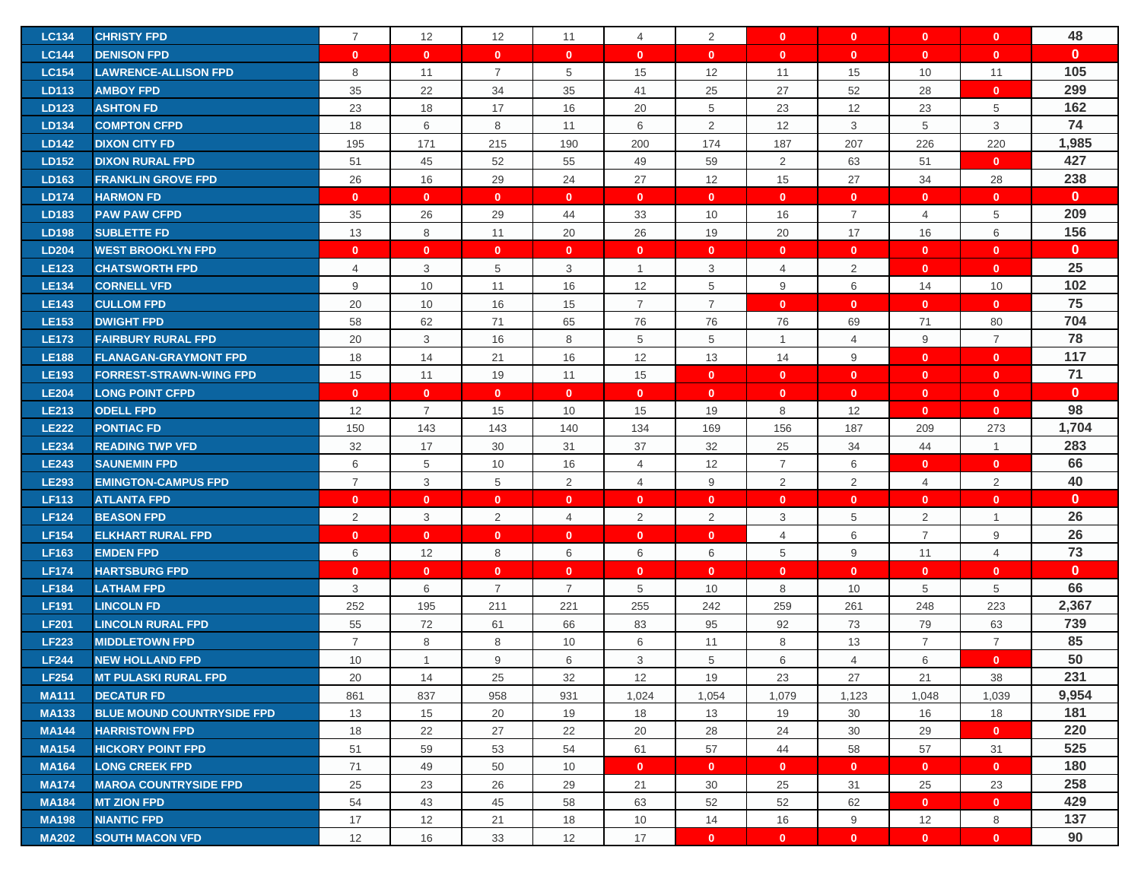| <b>LC134</b> | <b>CHRISTY FPD</b>                | $\overline{7}$ | 12             | 12             | 11             | $\overline{4}$ | 2              | $\mathbf{0}$   | $\mathbf{0}$   | $\mathbf{0}$   | $\mathbf{0}$   | 48           |
|--------------|-----------------------------------|----------------|----------------|----------------|----------------|----------------|----------------|----------------|----------------|----------------|----------------|--------------|
| <b>LC144</b> | <b>DENISON FPD</b>                | $\mathbf{0}$   | $\mathbf{0}$   | $\mathbf{0}$   | $\mathbf{0}$   | $\mathbf{0}$   | $\mathbf{0}$   | $\mathbf{0}$   | $\mathbf{0}$   | $\mathbf{0}$   | $\mathbf{0}$   | $\mathbf{0}$ |
| <b>LC154</b> | <b>LAWRENCE-ALLISON FPD</b>       | 8              | 11             | $\overline{7}$ | 5              | 15             | 12             | 11             | 15             | 10             | 11             | 105          |
| LD113        | <b>AMBOY FPD</b>                  | 35             | 22             | 34             | 35             | 41             | 25             | 27             | 52             | 28             | $\mathbf{0}$   | 299          |
| LD123        | <b>ASHTON FD</b>                  | 23             | 18             | 17             | 16             | 20             | 5              | 23             | 12             | 23             | 5              | 162          |
| LD134        | <b>COMPTON CFPD</b>               | 18             | 6              | 8              | 11             | 6              | $\overline{2}$ | 12             | 3              | 5              | 3              | 74           |
| LD142        | <b>DIXON CITY FD</b>              | 195            | 171            | 215            | 190            | 200            | 174            | 187            | 207            | 226            | 220            | 1,985        |
| LD152        | <b>DIXON RURAL FPD</b>            | 51             | 45             | 52             | 55             | 49             | 59             | $\overline{2}$ | 63             | 51             | $\mathbf{0}$   | 427          |
| LD163        | <b>FRANKLIN GROVE FPD</b>         | 26             | 16             | 29             | 24             | 27             | 12             | 15             | 27             | 34             | 28             | 238          |
| <b>LD174</b> | <b>HARMON FD</b>                  | $\mathbf{0}$   | $\mathbf{0}$   | $\mathbf{0}$   | $\mathbf{0}$   | $\mathbf{0}$   | $\mathbf{0}$   | $\mathbf{0}$   | $\mathbf{0}$   | $\mathbf{0}$   | $\mathbf{0}$   | $\mathbf{0}$ |
| LD183        | <b>PAW PAW CFPD</b>               | 35             | 26             | 29             | 44             | 33             | 10             | 16             | $\overline{7}$ | $\overline{4}$ | 5              | 209          |
| <b>LD198</b> | <b>SUBLETTE FD</b>                | 13             | 8              | 11             | 20             | 26             | 19             | 20             | 17             | 16             | 6              | 156          |
| <b>LD204</b> | <b>WEST BROOKLYN FPD</b>          | $\mathbf{0}$   | $\mathbf{0}$   | $\mathbf{0}$   | $\mathbf{0}$   | $\mathbf{0}$   | $\mathbf{0}$   | $\mathbf 0$    | $\mathbf{0}$   | $\mathbf{0}$   | $\mathbf{0}$   | $\mathbf{0}$ |
| <b>LE123</b> | <b>CHATSWORTH FPD</b>             | 4              | 3              | 5              | 3              | $\mathbf{1}$   | 3              | $\overline{4}$ | $\overline{2}$ | $\mathbf{0}$   | $\mathbf{0}$   | 25           |
| <b>LE134</b> | <b>CORNELL VFD</b>                | 9              | 10             | 11             | 16             | 12             | 5              | 9              | 6              | 14             | 10             | 102          |
| <b>LE143</b> | <b>CULLOM FPD</b>                 | 20             | 10             | 16             | 15             | $\overline{7}$ | $\overline{7}$ | $\mathbf{0}$   | $\mathbf{0}$   | $\mathbf{0}$   | $\mathbf{0}$   | 75           |
| <b>LE153</b> | <b>DWIGHT FPD</b>                 | 58             | 62             | 71             | 65             | 76             | 76             | 76             | 69             | 71             | 80             | 704          |
| <b>LE173</b> | <b>FAIRBURY RURAL FPD</b>         | 20             | 3              | 16             | 8              | 5              | 5              | $\mathbf{1}$   | $\overline{4}$ | 9              | $\overline{7}$ | 78           |
| <b>LE188</b> | <b>FLANAGAN-GRAYMONT FPD</b>      | 18             | 14             | 21             | 16             | 12             | 13             | 14             | 9              | $\mathbf{0}$   | $\mathbf{0}$   | 117          |
| <b>LE193</b> | <b>FORREST-STRAWN-WING FPD</b>    | 15             | 11             | 19             | 11             | 15             | $\mathbf{0}$   | $\mathbf{0}$   | $\mathbf{0}$   | $\mathbf{0}$   | $\mathbf{0}$   | 71           |
| <b>LE204</b> | <b>LONG POINT CFPD</b>            | $\mathbf{0}$   | $\mathbf{0}$   | $\mathbf{0}$   | $\mathbf{0}$   | $\mathbf{0}$   | $\mathbf{0}$   | $\mathbf{0}$   | $\mathbf{0}$   | $\mathbf{0}$   | $\mathbf{0}$   | $\mathbf{0}$ |
| <b>LE213</b> | <b>ODELL FPD</b>                  | 12             | $\overline{7}$ | 15             | 10             | 15             | 19             | 8              | 12             | $\mathbf{0}$   | $\mathbf{0}$   | 98           |
| <b>LE222</b> | <b>PONTIAC FD</b>                 | 150            | 143            | 143            | 140            | 134            | 169            | 156            | 187            | 209            | 273            | 1,704        |
| <b>LE234</b> | <b>READING TWP VFD</b>            | 32             | 17             | 30             | 31             | 37             | 32             | 25             | 34             | 44             | $\mathbf{1}$   | 283          |
| <b>LE243</b> | <b>SAUNEMIN FPD</b>               | 6              | 5              | 10             | 16             | 4              | 12             | $\overline{7}$ | 6              | $\mathbf{0}$   | $\mathbf{0}$   | 66           |
| <b>LE293</b> | <b>EMINGTON-CAMPUS FPD</b>        | $\overline{7}$ | 3              | 5              | 2              | $\overline{4}$ | 9              | 2              | 2              | $\overline{4}$ | $\overline{2}$ | 40           |
| <b>LF113</b> | <b>ATLANTA FPD</b>                | $\mathbf{0}$   | $\mathbf{0}$   | $\mathbf{0}$   | $\mathbf{0}$   | $\mathbf{0}$   | $\mathbf{0}$   | $\mathbf{0}$   | $\mathbf{0}$   | $\mathbf{0}$   | $\mathbf{0}$   | $\mathbf{0}$ |
| <b>LF124</b> | <b>BEASON FPD</b>                 | 2              | 3              | 2              | $\overline{4}$ | $\overline{2}$ | 2              | 3              | 5              | 2              | $\mathbf{1}$   | 26           |
| <b>LF154</b> | <b>ELKHART RURAL FPD</b>          | $\mathbf{0}$   | $\mathbf{0}$   | $\mathbf{0}$   | $\mathbf{0}$   | $\mathbf{0}$   | $\mathbf{0}$   | $\overline{4}$ | 6              | $\overline{7}$ | 9              | 26           |
| <b>LF163</b> | <b>EMDEN FPD</b>                  | 6              | 12             | 8              | 6              | 6              | 6              | 5              | 9              | 11             | $\overline{4}$ | 73           |
| <b>LF174</b> | <b>HARTSBURG FPD</b>              | $\mathbf{0}$   | $\mathbf{0}$   | $\mathbf{0}$   | $\mathbf{0}$   | $\mathbf{0}$   | $\mathbf{0}$   | $\mathbf 0$    | $\mathbf{0}$   | $\mathbf{0}$   | $\mathbf{0}$   | $\mathbf{0}$ |
| <b>LF184</b> | <b>LATHAM FPD</b>                 | 3              | 6              | $\overline{7}$ | $\overline{7}$ | 5              | 10             | 8              | 10             | 5              | 5              | 66           |
| <b>LF191</b> | <b>LINCOLN FD</b>                 | 252            | 195            | 211            | 221            | 255            | 242            | 259            | 261            | 248            | 223            | 2,367        |
| <b>LF201</b> | <b>LINCOLN RURAL FPD</b>          | 55             | 72             | 61             | 66             | 83             | 95             | 92             | 73             | 79             | 63             | 739          |
| <b>LF223</b> | <b>MIDDLETOWN FPD</b>             | $\overline{7}$ | 8              | 8              | 10             | 6              | 11             | 8              | 13             | $\overline{7}$ | $\overline{7}$ | 85           |
| <b>LF244</b> | <b>NEW HOLLAND FPD</b>            | 10             | $\overline{1}$ | 9              | 6              | 3              | 5              | 6              | $\overline{4}$ | 6              | $\mathbf{0}$   | 50           |
| <b>LF254</b> | <b>MT PULASKI RURAL FPD</b>       | 20             | 14             | 25             | 32             | 12             | 19             | 23             | 27             | 21             | 38             | 231          |
| <b>MA111</b> | <b>DECATUR FD</b>                 | 861            | 837            | 958            | 931            | 1,024          | 1,054          | 1,079          | 1,123          | 1,048          | 1,039          | 9,954        |
| <b>MA133</b> | <b>BLUE MOUND COUNTRYSIDE FPD</b> | 13             | 15             | 20             | 19             | 18             | 13             | 19             | 30             | 16             | 18             | 181          |
| <b>MA144</b> | <b>HARRISTOWN FPD</b>             | 18             | 22             | 27             | 22             | 20             | 28             | 24             | 30             | 29             | $\mathbf{0}$   | 220          |
| <b>MA154</b> | <b>HICKORY POINT FPD</b>          | 51             | 59             | 53             | 54             | 61             | 57             | 44             | 58             | 57             | 31             | 525          |
| <b>MA164</b> | <b>LONG CREEK FPD</b>             | 71             | 49             | 50             | 10             | $\mathbf{0}$   | $\mathbf{0}$   | $\mathbf{0}$   | $\mathbf{0}$   | $\mathbf{0}$   | $\mathbf{0}$   | 180          |
| <b>MA174</b> | <b>MAROA COUNTRYSIDE FPD</b>      | 25             | 23             | 26             | 29             | 21             | 30             | 25             | 31             | 25             | 23             | 258          |
| <b>MA184</b> | <b>MT ZION FPD</b>                | 54             | 43             | 45             | 58             | 63             | 52             | 52             | 62             | $\mathbf{0}$   | $\mathbf{0}$   | 429          |
| <b>MA198</b> | <b>NIANTIC FPD</b>                | 17             | 12             | 21             | 18             | 10             | 14             | 16             | 9              | 12             | 8              | 137          |
| <b>MA202</b> | <b>SOUTH MACON VFD</b>            | 12             | 16             | 33             | 12             | 17             | $\mathbf{0}$   | $\mathbf{0}$   | $\mathbf{0}$   | $\mathbf{0}$   | $\mathbf{0}$   | 90           |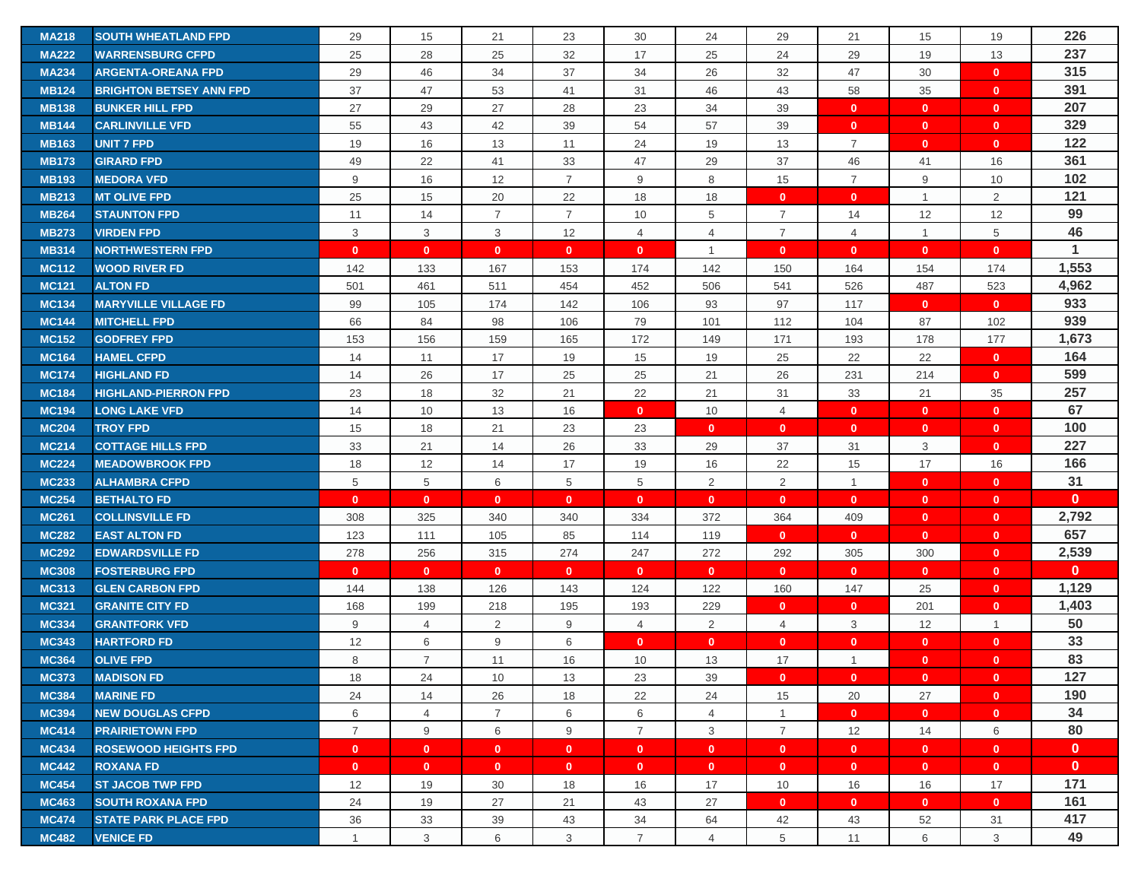| <b>MA218</b> | <b>SOUTH WHEATLAND FPD</b>     | 29             | 15             | 21             | 23             | 30             | 24             | 29             | 21             | 15             | 19           | 226                  |
|--------------|--------------------------------|----------------|----------------|----------------|----------------|----------------|----------------|----------------|----------------|----------------|--------------|----------------------|
| <b>MA222</b> | <b>WARRENSBURG CFPD</b>        | 25             | 28             | 25             | 32             | 17             | 25             | 24             | 29             | 19             | 13           | 237                  |
| <b>MA234</b> | <b>ARGENTA-OREANA FPD</b>      | 29             | 46             | 34             | 37             | 34             | 26             | 32             | 47             | 30             | $\mathbf{0}$ | 315                  |
| <b>MB124</b> | <b>BRIGHTON BETSEY ANN FPD</b> | 37             | 47             | 53             | 41             | 31             | 46             | 43             | 58             | 35             | $\mathbf{0}$ | 391                  |
| <b>MB138</b> | <b>BUNKER HILL FPD</b>         | 27             | 29             | 27             | 28             | 23             | 34             | 39             | $\mathbf{0}$   | $\mathbf{0}$   | $\mathbf{0}$ | 207                  |
| <b>MB144</b> | <b>CARLINVILLE VFD</b>         | 55             | 43             | 42             | 39             | 54             | 57             | 39             | $\mathbf{0}$   | $\mathbf{0}$   | $\mathbf{0}$ | 329                  |
| <b>MB163</b> | UNIT 7 FPD                     | 19             | 16             | 13             | 11             | 24             | 19             | 13             | $\overline{7}$ | $\mathbf{0}$   | $\mathbf{0}$ | 122                  |
| <b>MB173</b> | <b>GIRARD FPD</b>              | 49             | 22             | 41             | 33             | 47             | 29             | 37             | 46             | 41             | 16           | 361                  |
| <b>MB193</b> | <b>MEDORA VFD</b>              | 9              | 16             | 12             | $\overline{7}$ | 9              | 8              | 15             | $\overline{7}$ | 9              | 10           | 102                  |
| <b>MB213</b> | <b>MT OLIVE FPD</b>            | 25             | 15             | 20             | 22             | 18             | 18             | $\mathbf{0}$   | $\mathbf{0}$   | $\overline{1}$ | 2            | 121                  |
| <b>MB264</b> | <b>STAUNTON FPD</b>            | 11             | 14             | $\overline{7}$ | $\overline{7}$ | 10             | 5              | $\overline{7}$ | 14             | 12             | 12           | 99                   |
| <b>MB273</b> | <b>VIRDEN FPD</b>              | 3              | 3              | 3              | 12             | $\overline{4}$ | $\overline{4}$ | $\overline{7}$ | $\overline{4}$ | $\overline{1}$ | 5            | 46                   |
| <b>MB314</b> | <b>NORTHWESTERN FPD</b>        | $\mathbf{0}$   | $\mathbf{0}$   | $\mathbf{0}$   | $\mathbf{0}$   | $\mathbf{0}$   | $\overline{1}$ | $\mathbf{0}$   | $\mathbf{0}$   | $\mathbf{0}$   | $\mathbf{0}$ | $\blacktriangleleft$ |
| <b>MC112</b> | <b>WOOD RIVER FD</b>           | 142            | 133            | 167            | 153            | 174            | 142            | 150            | 164            | 154            | 174          | 1,553                |
| <b>MC121</b> | <b>ALTON FD</b>                | 501            | 461            | 511            | 454            | 452            | 506            | 541            | 526            | 487            | 523          | 4,962                |
| <b>MC134</b> | <b>MARYVILLE VILLAGE FD</b>    | 99             | 105            | 174            | 142            | 106            | 93             | 97             | 117            | $\mathbf{0}$   | $\mathbf{0}$ | 933                  |
| <b>MC144</b> | <b>MITCHELL FPD</b>            | 66             | 84             | 98             | 106            | 79             | 101            | 112            | 104            | 87             | 102          | 939                  |
| <b>MC152</b> | <b>GODFREY FPD</b>             | 153            | 156            | 159            | 165            | 172            | 149            | 171            | 193            | 178            | 177          | 1,673                |
| <b>MC164</b> | <b>HAMEL CFPD</b>              | 14             | 11             | 17             | 19             | 15             | 19             | 25             | 22             | 22             | $\mathbf{0}$ | 164                  |
| <b>MC174</b> | <b>HIGHLAND FD</b>             | 14             | 26             | 17             | 25             | 25             | 21             | 26             | 231            | 214            | $\mathbf{0}$ | 599                  |
| <b>MC184</b> | <b>HIGHLAND-PIERRON FPD</b>    | 23             | 18             | 32             | 21             | 22             | 21             | 31             | 33             | 21             | 35           | 257                  |
| <b>MC194</b> | <b>LONG LAKE VFD</b>           | 14             | 10             | 13             | 16             | $\mathbf{0}$   | 10             | $\overline{4}$ | $\mathbf{0}$   | $\mathbf{0}$   | $\mathbf{0}$ | 67                   |
| <b>MC204</b> | <b>TROY FPD</b>                | 15             | 18             | 21             | 23             | 23             | $\mathbf{0}$   | $\mathbf{0}$   | $\mathbf{0}$   | $\mathbf{0}$   | $\mathbf{0}$ | 100                  |
| <b>MC214</b> | <b>COTTAGE HILLS FPD</b>       | 33             | 21             | 14             | 26             | 33             | 29             | 37             | 31             | 3              | $\mathbf{0}$ | 227                  |
| <b>MC224</b> | <b>MEADOWBROOK FPD</b>         | 18             | 12             | 14             | 17             | 19             | 16             | 22             | 15             | 17             | 16           | 166                  |
| <b>MC233</b> | <b>ALHAMBRA CFPD</b>           | 5              | 5              | 6              | 5              | 5              | $\overline{2}$ | $\overline{2}$ | $\mathbf{1}$   | $\mathbf{0}$   | $\mathbf{0}$ | 31                   |
| <b>MC254</b> | <b>BETHALTO FD</b>             | $\mathbf{0}$   | $\mathbf{0}$   | $\mathbf{0}$   | $\mathbf{0}$   | $\mathbf{0}$   | $\mathbf{0}$   | $\mathbf{0}$   | $\mathbf{0}$   | $\mathbf{0}$   | $\mathbf{0}$ | $\mathbf{0}$         |
| <b>MC261</b> | <b>COLLINSVILLE FD</b>         | 308            | 325            | 340            | 340            | 334            | 372            | 364            | 409            | $\mathbf{0}$   | $\mathbf{0}$ | 2,792                |
| <b>MC282</b> | <b>EAST ALTON FD</b>           | 123            | 111            | 105            | 85             | 114            | 119            | $\mathbf{0}$   | $\mathbf{0}$   | $\mathbf{0}$   | $\mathbf{0}$ | 657                  |
| <b>MC292</b> | <b>EDWARDSVILLE FD</b>         | 278            | 256            | 315            | 274            | 247            | 272            | 292            | 305            | 300            | $\mathbf{0}$ | 2,539                |
| <b>MC308</b> | <b>FOSTERBURG FPD</b>          | $\mathbf{0}$   | $\mathbf{0}$   | $\mathbf{0}$   | $\mathbf{0}$   | $\mathbf{0}$   | $\mathbf{0}$   | $\mathbf{0}$   | $\mathbf{0}$   | $\mathbf{0}$   | $\mathbf{0}$ | $\mathbf{0}$         |
| <b>MC313</b> | <b>GLEN CARBON FPD</b>         | 144            | 138            | 126            | 143            | 124            | 122            | 160            | 147            | 25             | $\mathbf{0}$ | 1,129                |
| <b>MC321</b> | <b>GRANITE CITY FD</b>         | 168            | 199            | 218            | 195            | 193            | 229            | $\mathbf{0}$   | $\mathbf{0}$   | 201            | $\mathbf{0}$ | 1,403                |
| <b>MC334</b> | <b>GRANTFORK VFD</b>           | 9              | $\overline{4}$ | $\overline{2}$ | 9              | 4              | 2              | $\overline{4}$ | 3              | 12             | $\mathbf{1}$ | 50                   |
| <b>MC343</b> | <b>HARTFORD FD</b>             | 12             | 6              | 9              | 6              | $\mathbf{0}$   | $\mathbf{0}$   | $\mathbf{0}$   | $\mathbf{0}$   | $\mathbf{0}$   | $\mathbf{0}$ | 33                   |
| <b>MC364</b> | <b>OLIVE FPD</b>               | 8              | $\overline{7}$ | 11             | 16             | 10             | 13             | 17             | $\mathbf{1}$   | $\mathbf{0}$   | $\mathbf{0}$ | 83                   |
| <b>MC373</b> | <b>MADISON FD</b>              | 18             | 24             | 10             | 13             | 23             | 39             | $\mathbf{0}$   | $\mathbf{0}$   | $\mathbf{0}$   | $\mathbf{0}$ | 127                  |
| <b>MC384</b> | <b>MARINE FD</b>               | 24             | 14             | 26             | 18             | 22             | 24             | 15             | 20             | 27             | $\mathbf{0}$ | 190                  |
| <b>MC394</b> | <b>NEW DOUGLAS CFPD</b>        | 6              | $\overline{4}$ | $\overline{7}$ | 6              | 6              | $\overline{4}$ | $\mathbf{1}$   | $\mathbf{0}$   | $\mathbf{0}$   | $\mathbf{0}$ | 34                   |
| <b>MC414</b> | <b>PRAIRIETOWN FPD</b>         | $\overline{7}$ | 9              | 6              | 9              | $\overline{7}$ | 3              | $\overline{7}$ | 12             | 14             | 6            | 80                   |
| <b>MC434</b> | <b>ROSEWOOD HEIGHTS FPD</b>    | $\mathbf{0}$   | $\mathbf{0}$   | $\mathbf{0}$   | $\mathbf{0}$   | $\mathbf{0}$   | $\mathbf{0}$   | $\mathbf{0}$   | $\mathbf{0}$   | $\mathbf{0}$   | $\mathbf{0}$ | $\mathbf{0}$         |
| <b>MC442</b> | <b>ROXANA FD</b>               | $\mathbf{0}$   | $\mathbf{0}$   | $\mathbf{0}$   | $\mathbf{0}$   | $\mathbf{0}$   | $\mathbf{0}$   | $\mathbf{0}$   | $\overline{0}$ | $\mathbf{0}$   | $\mathbf{0}$ | $\mathbf{0}$         |
| <b>MC454</b> | <b>ST JACOB TWP FPD</b>        | 12             | 19             | 30             | 18             | 16             | 17             | 10             | 16             | 16             | 17           | 171                  |
| <b>MC463</b> | <b>SOUTH ROXANA FPD</b>        | 24             | 19             | 27             | 21             | 43             | 27             | $\mathbf{0}$   | $\mathbf{0}$   | $\mathbf{0}$   | $\mathbf{0}$ | 161                  |
| <b>MC474</b> | <b>STATE PARK PLACE FPD</b>    | 36             | 33             | 39             | 43             | 34             | 64             | 42             | 43             | 52             | 31           | 417                  |
| <b>MC482</b> | <b>VENICE FD</b>               | $\mathbf{1}$   | 3              | 6              | 3              | $\overline{7}$ | $\overline{4}$ | 5              | 11             | 6              | 3            | 49                   |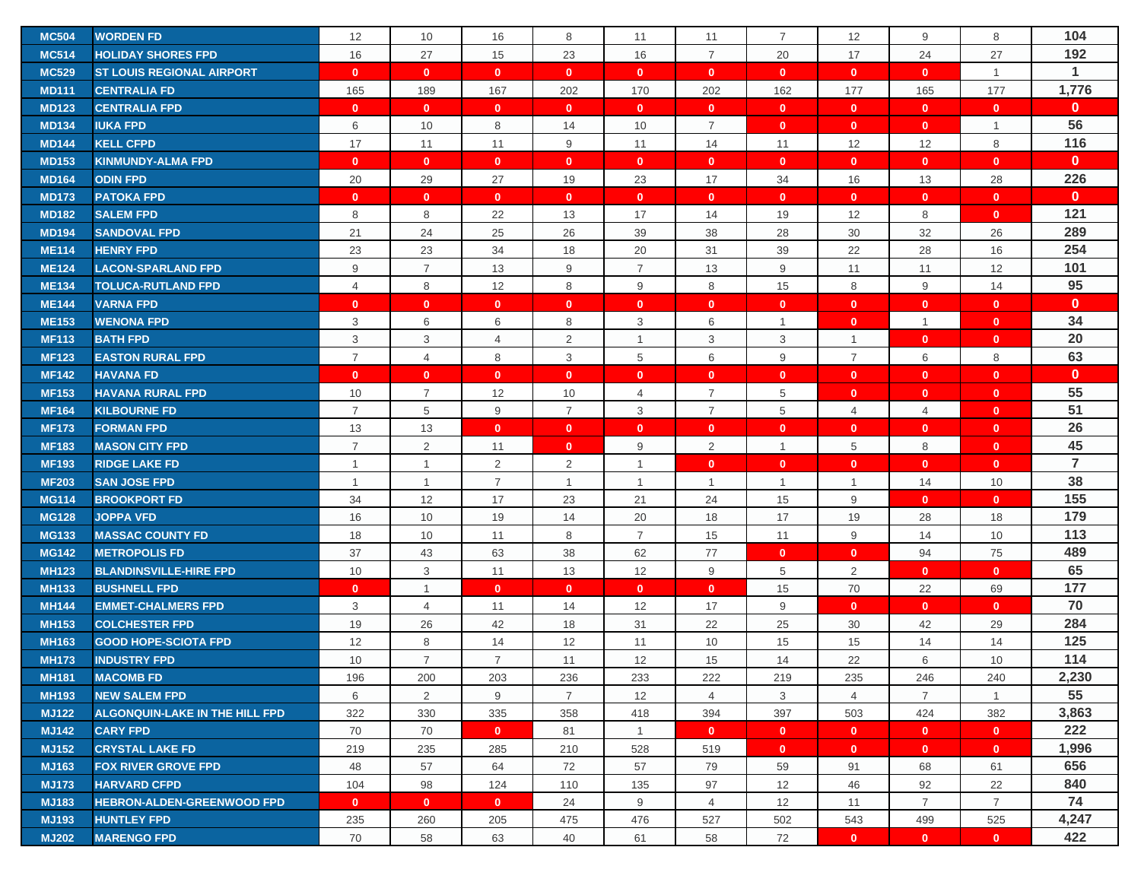| <b>MC504</b> | <b>WORDEN FD</b>                  | 12             | 10             | 16             | 8              | 11             | 11             | $\overline{7}$ | 12             | 9              | 8              | 104            |
|--------------|-----------------------------------|----------------|----------------|----------------|----------------|----------------|----------------|----------------|----------------|----------------|----------------|----------------|
| <b>MC514</b> | <b>HOLIDAY SHORES FPD</b>         | 16             | 27             | 15             | 23             | 16             | $\overline{7}$ | 20             | 17             | 24             | 27             | 192            |
| <b>MC529</b> | <b>ST LOUIS REGIONAL AIRPORT</b>  | $\mathbf{0}$   | $\mathbf{0}$   | $\mathbf{0}$   | $\mathbf{0}$   | $\mathbf{0}$   | $\mathbf{0}$   | $\mathbf{0}$   | $\mathbf{0}$   | $\mathbf{0}$   | $\mathbf{1}$   | $\overline{1}$ |
| <b>MD111</b> | <b>CENTRALIA FD</b>               | 165            | 189            | 167            | 202            | 170            | 202            | 162            | 177            | 165            | 177            | 1,776          |
| <b>MD123</b> | <b>CENTRALIA FPD</b>              | $\mathbf{0}$   | $\mathbf{0}$   | $\mathbf{0}$   | $\mathbf{0}$   | $\mathbf{0}$   | $\mathbf{0}$   | $\mathbf{0}$   | $\mathbf{0}$   | $\mathbf{0}$   | $\mathbf{0}$   | $\mathbf{0}$   |
| <b>MD134</b> | <b>IUKA FPD</b>                   | 6              | 10             | 8              | 14             | 10             | $\overline{7}$ | $\mathbf{0}$   | $\mathbf{0}$   | $\mathbf{0}$   | $\mathbf{1}$   | 56             |
| <b>MD144</b> | <b>KELL CFPD</b>                  | 17             | 11             | 11             | 9              | 11             | 14             | 11             | 12             | 12             | 8              | 116            |
| <b>MD153</b> | <b>KINMUNDY-ALMA FPD</b>          | $\mathbf{0}$   | $\mathbf{0}$   | $\mathbf{0}$   | $\mathbf{0}$   | $\mathbf{0}$   | $\mathbf{0}$   | $\mathbf{0}$   | $\mathbf{0}$   | $\mathbf{0}$   | $\mathbf{0}$   | $\mathbf{0}$   |
| <b>MD164</b> | <b>ODIN FPD</b>                   | 20             | 29             | 27             | 19             | 23             | 17             | 34             | 16             | 13             | 28             | 226            |
| <b>MD173</b> | <b>PATOKA FPD</b>                 | $\mathbf{0}$   | $\mathbf{0}$   | $\mathbf{0}$   | $\mathbf{0}$   | $\mathbf{0}$   | $\mathbf{0}$   | $\mathbf{0}$   | $\mathbf{0}$   | $\mathbf{0}$   | $\mathbf{0}$   | $\mathbf{0}$   |
| <b>MD182</b> | <b>SALEM FPD</b>                  | 8              | 8              | 22             | 13             | 17             | 14             | 19             | 12             | 8              | $\mathbf{0}$   | 121            |
| <b>MD194</b> | <b>SANDOVAL FPD</b>               | 21             | 24             | 25             | 26             | 39             | 38             | 28             | 30             | 32             | 26             | 289            |
| <b>ME114</b> | <b>HENRY FPD</b>                  | 23             | 23             | 34             | 18             | 20             | 31             | 39             | 22             | 28             | 16             | 254            |
| <b>ME124</b> | <b>LACON-SPARLAND FPD</b>         | 9              | $\overline{7}$ | 13             | 9              | $\overline{7}$ | 13             | 9              | 11             | 11             | 12             | 101            |
| <b>ME134</b> | <b>TOLUCA-RUTLAND FPD</b>         | 4              | 8              | 12             | 8              | 9              | 8              | 15             | 8              | 9              | 14             | 95             |
| <b>ME144</b> | <b>VARNA FPD</b>                  | $\mathbf{0}$   | $\mathbf{0}$   | $\mathbf{0}$   | $\mathbf{0}$   | $\mathbf{0}$   | $\mathbf{0}$   | $\mathbf 0$    | $\mathbf{0}$   | $\mathbf{0}$   | $\mathbf{0}$   | $\mathbf 0$    |
| <b>ME153</b> | <b>WENONA FPD</b>                 | 3              | 6              | 6              | 8              | 3              | 6              | $\mathbf{1}$   | $\mathbf{0}$   | $\overline{1}$ | $\mathbf{0}$   | 34             |
| <b>MF113</b> | <b>BATH FPD</b>                   | 3              | 3              | $\overline{4}$ | 2              | $\mathbf{1}$   | 3              | 3              | $\mathbf{1}$   | $\mathbf{0}$   | $\mathbf{0}$   | 20             |
| <b>MF123</b> | <b>EASTON RURAL FPD</b>           | $\overline{7}$ | $\overline{4}$ | 8              | 3              | 5              | 6              | 9              | $\overline{7}$ | 6              | 8              | 63             |
| <b>MF142</b> | <b>HAVANA FD</b>                  | $\mathbf{0}$   | $\mathbf{0}$   | $\mathbf{0}$   | $\mathbf{0}$   | $\mathbf{0}$   | $\mathbf{0}$   | $\mathbf{0}$   | $\mathbf{0}$   | $\mathbf{0}$   | $\mathbf{0}$   | $\mathbf{0}$   |
| <b>MF153</b> | <b>HAVANA RURAL FPD</b>           | 10             | $\overline{7}$ | 12             | 10             | 4              | $\overline{7}$ | 5              | $\mathbf{0}$   | $\mathbf{0}$   | $\mathbf{0}$   | 55             |
| <b>MF164</b> | <b>KILBOURNE FD</b>               | $\overline{7}$ | 5              | 9              | $\overline{7}$ | 3              | $\overline{7}$ | 5              | 4              | $\overline{4}$ | $\mathbf{0}$   | 51             |
| <b>MF173</b> | <b>FORMAN FPD</b>                 | 13             | 13             | $\mathbf{0}$   | $\mathbf{0}$   | $\mathbf{0}$   | $\mathbf{0}$   | $\mathbf 0$    | $\mathbf{0}$   | $\mathbf{0}$   | $\mathbf{0}$   | 26             |
| <b>MF183</b> | <b>MASON CITY FPD</b>             | $\overline{7}$ | 2              | 11             | $\mathbf{0}$   | 9              | $\overline{2}$ | $\overline{1}$ | 5              | 8              | $\mathbf{0}$   | 45             |
| <b>MF193</b> | <b>RIDGE LAKE FD</b>              | $\mathbf{1}$   | $\overline{1}$ | 2              | $\overline{2}$ | $\mathbf{1}$   | $\mathbf{0}$   | $\mathbf{0}$   | $\mathbf{0}$   | $\mathbf{0}$   | $\mathbf{0}$   | $\overline{7}$ |
| <b>MF203</b> | <b>SAN JOSE FPD</b>               | $\mathbf{1}$   | $\overline{1}$ | $\overline{7}$ | $\mathbf{1}$   | $\mathbf{1}$   | $\overline{1}$ | $\mathbf{1}$   | $\mathbf{1}$   | 14             | 10             | 38             |
| <b>MG114</b> | <b>BROOKPORT FD</b>               | 34             | 12             | 17             | 23             | 21             | 24             | 15             | 9              | $\mathbf{0}$   | $\mathbf{0}$   | 155            |
| <b>MG128</b> | <b>JOPPA VFD</b>                  | 16             | 10             | 19             | 14             | 20             | 18             | 17             | 19             | 28             | 18             | 179            |
| <b>MG133</b> | <b>MASSAC COUNTY FD</b>           | 18             | 10             | 11             | 8              | $\overline{7}$ | 15             | 11             | 9              | 14             | 10             | 113            |
| <b>MG142</b> | <b>METROPOLIS FD</b>              | 37             | 43             | 63             | 38             | 62             | 77             | $\mathbf 0$    | $\mathbf{0}$   | 94             | 75             | 489            |
| <b>MH123</b> | <b>BLANDINSVILLE-HIRE FPD</b>     | 10             | 3              | 11             | 13             | 12             | 9              | 5              | 2              | $\mathbf{0}$   | $\mathbf{0}$   | 65             |
| <b>MH133</b> | <b>BUSHNELL FPD</b>               | $\mathbf{0}$   | $\overline{1}$ | $\mathbf{0}$   | $\mathbf{0}$   | $\mathbf{0}$   | $\mathbf{0}$   | 15             | 70             | 22             | 69             | 177            |
| <b>MH144</b> | <b>EMMET-CHALMERS FPD</b>         | 3              | $\overline{4}$ | 11             | 14             | 12             | 17             | 9              | $\mathbf{0}$   | $\mathbf{0}$   | $\mathbf{0}$   | 70             |
| <b>MH153</b> | <b>COLCHESTER FPD</b>             | 19             | 26             | 42             | 18             | 31             | 22             | 25             | 30             | 42             | 29             | 284            |
| <b>MH163</b> | <b>GOOD HOPE-SCIOTA FPD</b>       | 12             | 8              | 14             | 12             | 11             | 10             | 15             | 15             | 14             | 14             | 125            |
| <b>MH173</b> | <b>INDUSTRY FPD</b>               | 10             | $\overline{7}$ | $\overline{7}$ | 11             | 12             | 15             | 14             | 22             | 6              | 10             | 114            |
| <b>MH181</b> | <b>MACOMB FD</b>                  | 196            | 200            | 203            | 236            | 233            | 222            | 219            | 235            | 246            | 240            | 2,230          |
| <b>MH193</b> | <b>NEW SALEM FPD</b>              | 6              | 2              | 9              | $\overline{7}$ | 12             | $\overline{4}$ | 3              | $\overline{4}$ | $\overline{7}$ | $\mathbf{1}$   | 55             |
| <b>MJ122</b> | ALGONQUIN-LAKE IN THE HILL FPD    | 322            | 330            | 335            | 358            | 418            | 394            | 397            | 503            | 424            | 382            | 3,863          |
| <b>MJ142</b> | <b>CARY FPD</b>                   | 70             | 70             | $\mathbf{0}$   | 81             | $\mathbf{1}$   | $\mathbf{0}$   | $\mathbf{0}$   | $\mathbf{0}$   | $\mathbf{0}$   | $\mathbf{0}$   | 222            |
| <b>MJ152</b> | <b>CRYSTAL LAKE FD</b>            | 219            | 235            | 285            | 210            | 528            | 519            | $\mathbf{0}$   | $\mathbf{0}$   | $\mathbf{0}$   | $\mathbf{0}$   | 1,996          |
| <b>MJ163</b> | <b>FOX RIVER GROVE FPD</b>        | 48             | 57             | 64             | 72             | 57             | 79             | 59             | 91             | 68             | 61             | 656            |
| <b>MJ173</b> | <b>HARVARD CFPD</b>               | 104            | 98             | 124            | 110            | 135            | 97             | 12             | 46             | 92             | 22             | 840            |
| <b>MJ183</b> | <b>HEBRON-ALDEN-GREENWOOD FPD</b> | $\mathbf{0}$   | $\mathbf{0}$   | $\mathbf{0}$   | 24             | 9              | $\overline{4}$ | 12             | 11             | $\overline{7}$ | $\overline{7}$ | 74             |
| <b>MJ193</b> | <b>HUNTLEY FPD</b>                | 235            | 260            | 205            | 475            | 476            | 527            | 502            | 543            | 499            | 525            | 4,247          |
| <b>MJ202</b> | <b>MARENGO FPD</b>                | 70             | 58             | 63             | 40             | 61             | 58             | 72             | $\mathbf{0}$   | $\mathbf{0}$   | $\mathbf{0}$   | 422            |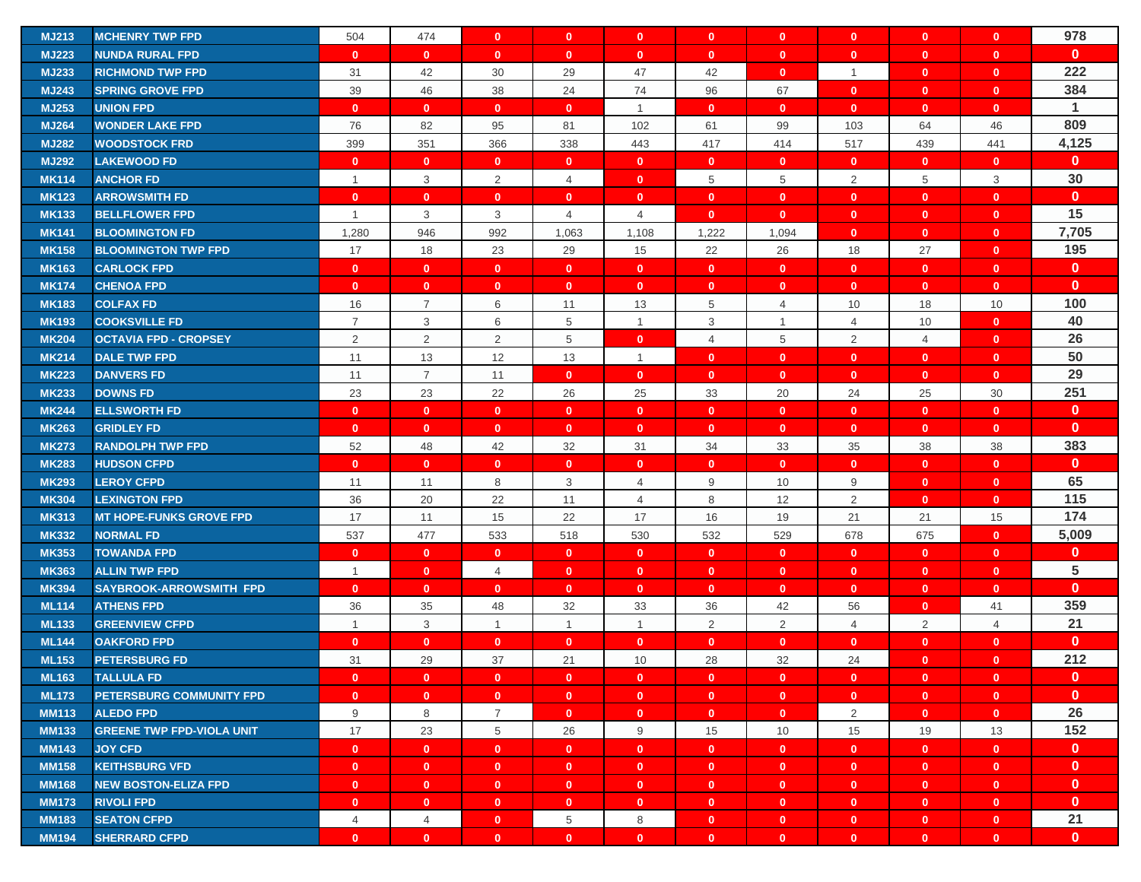| <b>MJ213</b> | <b>MCHENRY TWP FPD</b>           | 504            | 474            | $\mathbf{0}$   | $\mathbf{0}$   | $\mathbf{0}$   | $\mathbf{0}$   | $\mathbf{0}$   | $\mathbf{0}$   | $\mathbf{0}$   | $\mathbf{0}$   | 978          |
|--------------|----------------------------------|----------------|----------------|----------------|----------------|----------------|----------------|----------------|----------------|----------------|----------------|--------------|
| <b>MJ223</b> | <b>NUNDA RURAL FPD</b>           | $\mathbf{0}$   | $\mathbf{0}$   | $\mathbf{0}$   | $\mathbf{0}$   | $\mathbf{0}$   | $\mathbf{0}$   | $\mathbf{0}$   | $\mathbf{0}$   | $\mathbf{0}$   | $\mathbf{0}$   | $\mathbf{0}$ |
| <b>MJ233</b> | <b>RICHMOND TWP FPD</b>          | 31             | 42             | 30             | 29             | 47             | 42             | $\mathbf{0}$   | $\overline{1}$ | $\mathbf{0}$   | $\mathbf{0}$   | 222          |
| <b>MJ243</b> | <b>SPRING GROVE FPD</b>          | 39             | 46             | 38             | 24             | 74             | 96             | 67             | $\mathbf{0}$   | $\mathbf{0}$   | $\mathbf{0}$   | 384          |
| <b>MJ253</b> | <b>UNION FPD</b>                 | $\mathbf{0}$   | $\mathbf{0}$   | $\mathbf{0}$   | $\mathbf{0}$   | $\mathbf{1}$   | $\mathbf{0}$   | $\mathbf{0}$   | $\mathbf{0}$   | $\mathbf{0}$   | $\mathbf{0}$   | $\mathbf{1}$ |
| <b>MJ264</b> | <b>WONDER LAKE FPD</b>           | 76             | 82             | 95             | 81             | 102            | 61             | 99             | 103            | 64             | 46             | 809          |
| <b>MJ282</b> | <b>WOODSTOCK FRD</b>             | 399            | 351            | 366            | 338            | 443            | 417            | 414            | 517            | 439            | 441            | 4,125        |
| <b>MJ292</b> | <b>LAKEWOOD FD</b>               | $\mathbf{0}$   | $\mathbf{0}$   | $\mathbf{0}$   | $\mathbf{0}$   | $\mathbf{0}$   | $\mathbf{0}$   | $\mathbf{0}$   | $\mathbf{0}$   | $\mathbf{0}$   | $\mathbf{0}$   | $\mathbf{0}$ |
| <b>MK114</b> | <b>ANCHOR FD</b>                 | $\mathbf{1}$   | 3              | $\overline{2}$ | 4              | $\mathbf{0}$   | 5              | 5              | 2              | 5              | 3              | 30           |
| <b>MK123</b> | <b>ARROWSMITH FD</b>             | $\mathbf{0}$   | $\mathbf{0}$   | $\mathbf{0}$   | $\mathbf{0}$   | $\mathbf{0}$   | $\mathbf{0}$   | $\mathbf{0}$   | $\mathbf{0}$   | $\mathbf{0}$   | $\mathbf{0}$   | $\mathbf{0}$ |
| <b>MK133</b> | <b>BELLFLOWER FPD</b>            | $\overline{1}$ | 3              | 3              | $\overline{4}$ | $\overline{4}$ | $\mathbf{0}$   | $\mathbf{0}$   | $\mathbf{0}$   | $\mathbf{0}$   | $\mathbf{0}$   | 15           |
| <b>MK141</b> | <b>BLOOMINGTON FD</b>            | 1,280          | 946            | 992            | 1,063          | 1,108          | 1,222          | 1,094          | $\mathbf{0}$   | $\mathbf{0}$   | $\mathbf{0}$   | 7,705        |
| <b>MK158</b> | <b>BLOOMINGTON TWP FPD</b>       | 17             | 18             | 23             | 29             | 15             | 22             | 26             | 18             | 27             | $\mathbf{0}$   | 195          |
| <b>MK163</b> | <b>CARLOCK FPD</b>               | $\mathbf{0}$   | $\mathbf{0}$   | $\mathbf{0}$   | $\mathbf{0}$   | $\mathbf{0}$   | $\mathbf{0}$   | $\mathbf{0}$   | $\mathbf{0}$   | $\mathbf{0}$   | $\mathbf{0}$   | $\mathbf{0}$ |
| <b>MK174</b> | <b>CHENOA FPD</b>                | $\mathbf{0}$   | $\mathbf{0}$   | $\mathbf{0}$   | $\mathbf{0}$   | $\mathbf{0}$   | $\mathbf{0}$   | $\mathbf{0}$   | $\mathbf{0}$   | $\mathbf{0}$   | $\mathbf{0}$   | $\mathbf{0}$ |
| <b>MK183</b> | <b>COLFAX FD</b>                 | 16             | $\overline{7}$ | 6              | 11             | 13             | 5              | $\overline{4}$ | 10             | 18             | 10             | 100          |
| <b>MK193</b> | <b>COOKSVILLE FD</b>             | $\overline{7}$ | 3              | 6              | 5              | $\mathbf{1}$   | 3              | $\mathbf{1}$   | 4              | 10             | $\mathbf{0}$   | 40           |
| <b>MK204</b> | <b>OCTAVIA FPD - CROPSEY</b>     | $\overline{2}$ | 2              | $\overline{2}$ | 5              | $\mathbf{0}$   | $\overline{4}$ | 5              | 2              | $\overline{4}$ | $\mathbf{0}$   | 26           |
| <b>MK214</b> | <b>DALE TWP FPD</b>              | 11             | 13             | 12             | 13             | $\overline{1}$ | $\mathbf{0}$   | $\mathbf{0}$   | $\mathbf{0}$   | $\mathbf{0}$   | $\mathbf{0}$   | 50           |
| <b>MK223</b> | <b>DANVERS FD</b>                | 11             | $\overline{7}$ | 11             | $\mathbf{0}$   | $\mathbf{0}$   | $\mathbf{0}$   | $\mathbf{0}$   | $\mathbf{0}$   | $\mathbf{0}$   | $\mathbf{0}$   | 29           |
| <b>MK233</b> | <b>DOWNS FD</b>                  | 23             | 23             | 22             | 26             | 25             | 33             | 20             | 24             | 25             | 30             | 251          |
| <b>MK244</b> | <b>ELLSWORTH FD</b>              | $\mathbf{0}$   | $\mathbf{0}$   | $\mathbf{0}$   | $\mathbf{0}$   | $\mathbf{0}$   | $\mathbf{0}$   | $\mathbf{0}$   | $\mathbf{0}$   | $\mathbf{0}$   | $\mathbf{0}$   | $\mathbf{0}$ |
| <b>MK263</b> | <b>GRIDLEY FD</b>                | $\mathbf{0}$   | $\mathbf{0}$   | $\mathbf{0}$   | $\mathbf{0}$   | $\mathbf{0}$   | $\mathbf{0}$   | $\mathbf{0}$   | $\mathbf{0}$   | $\mathbf{0}$   | $\mathbf{0}$   | $\mathbf{0}$ |
| <b>MK273</b> | <b>RANDOLPH TWP FPD</b>          | 52             | 48             | 42             | 32             | 31             | 34             | 33             | 35             | 38             | 38             | 383          |
| <b>MK283</b> | <b>HUDSON CFPD</b>               | $\mathbf{0}$   | $\mathbf{0}$   | $\mathbf{0}$   | $\mathbf{0}$   | $\mathbf{0}$   | $\mathbf{0}$   | $\mathbf{0}$   | $\mathbf{0}$   | $\mathbf{0}$   | $\mathbf{0}$   | $\mathbf{0}$ |
| <b>MK293</b> | <b>LEROY CFPD</b>                | 11             | 11             | 8              | 3              | $\overline{4}$ | 9              | 10             | 9              | $\mathbf{0}$   | $\mathbf{0}$   | 65           |
| <b>MK304</b> | <b>LEXINGTON FPD</b>             | 36             | 20             | 22             | 11             | 4              | 8              | 12             | 2              | $\mathbf{0}$   | $\mathbf{0}$   | 115          |
| <b>MK313</b> | <b>MT HOPE-FUNKS GROVE FPD</b>   | 17             | 11             | 15             | 22             | 17             | 16             | 19             | 21             | 21             | 15             | 174          |
| <b>MK332</b> | <b>NORMAL FD</b>                 | 537            | 477            | 533            | 518            | 530            | 532            | 529            | 678            | 675            | $\mathbf{0}$   | 5,009        |
| <b>MK353</b> | <b>TOWANDA FPD</b>               | $\mathbf{0}$   | $\mathbf{0}$   | $\mathbf{0}$   | $\mathbf{0}$   | $\mathbf{0}$   | $\mathbf{0}$   | $\mathbf{0}$   | $\mathbf{0}$   | $\mathbf{0}$   | $\mathbf{0}$   | $\mathbf{0}$ |
| <b>MK363</b> | <b>ALLIN TWP FPD</b>             | $\mathbf{1}$   | $\mathbf{0}$   | 4              | $\mathbf{0}$   | $\mathbf{0}$   | $\mathbf{0}$   | $\mathbf{0}$   | $\mathbf{0}$   | $\mathbf{0}$   | $\mathbf{0}$   | 5            |
| <b>MK394</b> | <b>SAYBROOK-ARROWSMITH FPD</b>   | $\mathbf{0}$   | $\mathbf{0}$   | $\mathbf{0}$   | $\mathbf{0}$   | $\mathbf{0}$   | $\mathbf{0}$   | $\mathbf{0}$   | $\mathbf{0}$   | $\mathbf{0}$   | $\mathbf{0}$   | $\mathbf{0}$ |
| <b>ML114</b> | <b>ATHENS FPD</b>                | 36             | 35             | 48             | 32             | 33             | 36             | 42             | 56             | $\mathbf{0}$   | 41             | 359          |
| <b>ML133</b> | <b>GREENVIEW CFPD</b>            | $\mathbf{1}$   | 3              | $\mathbf{1}$   | $\mathbf{1}$   | $\mathbf{1}$   | 2              | 2              | 4              | 2              | $\overline{4}$ | 21           |
| <b>ML144</b> | <b>OAKFORD FPD</b>               | $\mathbf{0}$   | $\mathbf{0}$   | $\mathbf{0}$   | $\mathbf{0}$   | $\mathbf{0}$   | $\mathbf{0}$   | $\mathbf{0}$   | $\mathbf{0}$   | $\mathbf{0}$   | $\mathbf{0}$   | $\mathbf{0}$ |
| <b>ML153</b> | <b>PETERSBURG FD</b>             | 31             | 29             | 37             | 21             | 10             | 28             | 32             | 24             | $\mathbf{0}$   | $\mathbf{0}$   | 212          |
| <b>ML163</b> | <b>TALLULA FD</b>                | $\mathbf{0}$   | $\mathbf{0}$   | $\mathbf{0}$   | $\mathbf{0}$   | $\mathbf{0}$   | $\mathbf{0}$   | $\mathbf{0}$   | $\mathbf{0}$   | $\mathbf{0}$   | $\mathbf{0}$   | $\mathbf{0}$ |
| <b>ML173</b> | <b>PETERSBURG COMMUNITY FPD</b>  | $\mathbf{0}$   | $\mathbf{0}$   | $\mathbf{0}$   | $\mathbf{0}$   | $\mathbf{0}$   | $\mathbf{0}$   | $\mathbf{0}$   | $\mathbf{0}$   | $\mathbf{0}$   | $\mathbf{0}$   | $\mathbf{0}$ |
| <b>MM113</b> | <b>ALEDO FPD</b>                 | 9              | 8              | $\overline{7}$ | $\mathbf{0}$   | $\mathbf{0}$   | $\mathbf{0}$   | $\mathbf{0}$   | $\overline{2}$ | $\mathbf{0}$   | $\mathbf{0}$   | 26           |
| <b>MM133</b> | <b>GREENE TWP FPD-VIOLA UNIT</b> | 17             | 23             | 5              | 26             | 9              | 15             | 10             | 15             | 19             | 13             | 152          |
| <b>MM143</b> | <b>JOY CFD</b>                   | $\mathbf{0}$   | $\mathbf{0}$   | $\mathbf{0}$   | $\mathbf{0}$   | $\mathbf{0}$   | $\mathbf{0}$   | $\mathbf{0}$   | $\mathbf{0}$   | $\mathbf{0}$   | $\mathbf{0}$   | $\mathbf{0}$ |
| <b>MM158</b> | <b>KEITHSBURG VFD</b>            | $\mathbf{0}$   | $\mathbf{0}$   | $\mathbf{0}$   | $\mathbf{0}$   | $\mathbf{0}$   | $\mathbf{0}$   | $\mathbf{0}$   | $\mathbf{0}$   | $\mathbf{0}$   | $\mathbf{0}$   | $\mathbf{0}$ |
| <b>MM168</b> | <b>NEW BOSTON-ELIZA FPD</b>      | $\mathbf{0}$   | $\mathbf{0}$   | $\mathbf{0}$   | $\mathbf{0}$   | $\mathbf{0}$   | $\mathbf{0}$   | $\mathbf{0}$   | $\mathbf{0}$   | $\mathbf{0}$   | $\mathbf{0}$   | $\mathbf{0}$ |
| <b>MM173</b> | <b>RIVOLI FPD</b>                | $\mathbf{0}$   | $\mathbf{0}$   | $\mathbf{0}$   | $\mathbf{0}$   | $\mathbf{0}$   | $\bullet$      | $\mathbf{0}$   | $\mathbf{0}$   | $\mathbf{0}$   | $\mathbf{0}$   | $\mathbf{0}$ |
| <b>MM183</b> | <b>SEATON CFPD</b>               | $\overline{4}$ | 4              | $\mathbf{0}$   | 5              | 8              | $\mathbf{0}$   | $\mathbf{0}$   | $\mathbf{0}$   | $\mathbf{0}$   | $\mathbf{0}$   | 21           |
| <b>MM194</b> | <b>SHERRARD CFPD</b>             | $\mathbf{0}$   | $\mathbf{0}$   | $\mathbf{0}$   | $\mathbf{0}$   | $\mathbf{0}$   | $\mathbf{0}$   | $\mathbf{0}$   | $\mathbf{0}$   | $\mathbf{0}$   | $\mathbf{0}$   | $\mathbf{0}$ |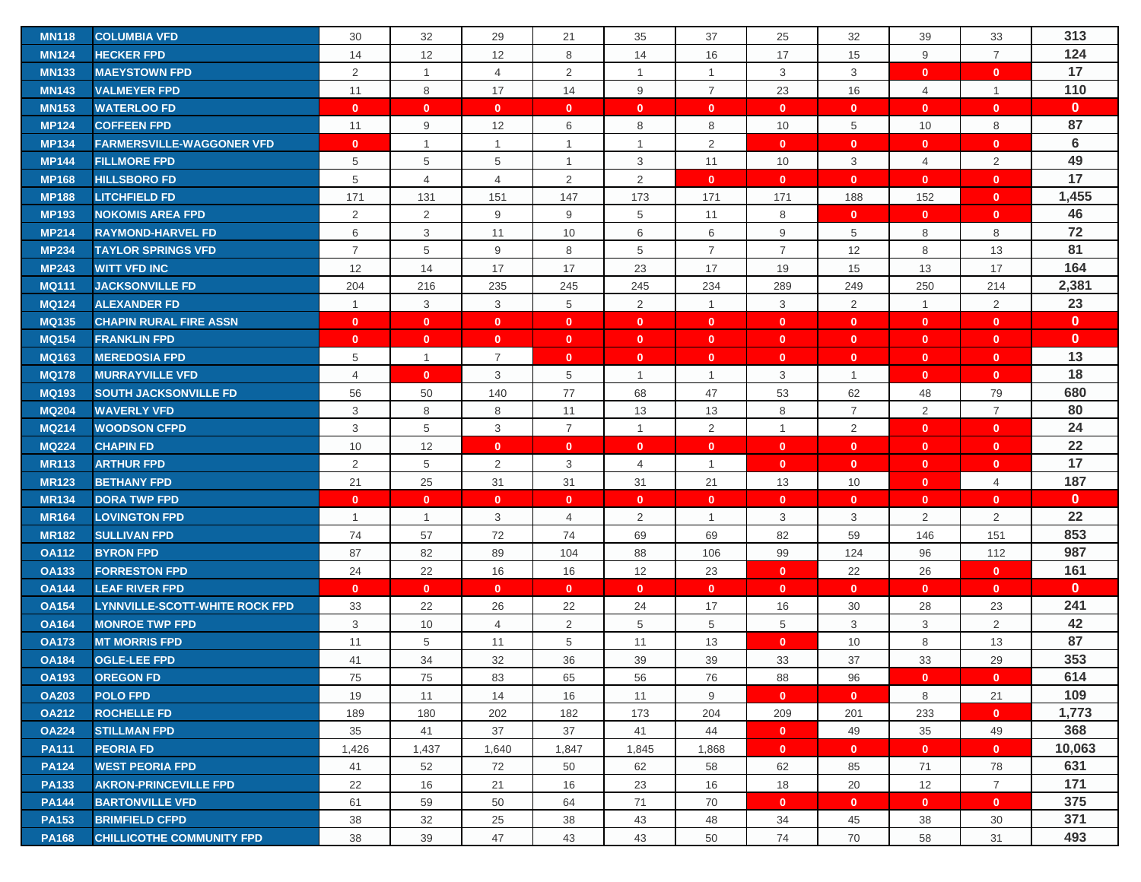| <b>MN118</b> | <b>COLUMBIA VFD</b>                   | 30             | 32             | 29             | 21             | 35             | 37             | 25             | 32             | 39             | 33             | 313             |
|--------------|---------------------------------------|----------------|----------------|----------------|----------------|----------------|----------------|----------------|----------------|----------------|----------------|-----------------|
| <b>MN124</b> | <b>HECKER FPD</b>                     | 14             | 12             | 12             | 8              | 14             | 16             | 17             | 15             | 9              | $\overline{7}$ | 124             |
| <b>MN133</b> | <b>MAEYSTOWN FPD</b>                  | 2              | $\mathbf{1}$   | $\overline{4}$ | $\overline{2}$ | $\mathbf{1}$   | $\overline{1}$ | 3              | 3              | $\mathbf{0}$   | $\mathbf{0}$   | 17              |
| <b>MN143</b> | <b>VALMEYER FPD</b>                   | 11             | 8              | 17             | 14             | 9              | $\overline{7}$ | 23             | 16             | $\overline{4}$ | $\overline{1}$ | 110             |
| <b>MN153</b> | <b>WATERLOO FD</b>                    | $\mathbf{0}$   | $\mathbf{0}$   | $\mathbf{0}$   | $\mathbf{0}$   | $\mathbf{0}$   | $\mathbf{0}$   | $\mathbf{0}$   | $\mathbf{0}$   | $\mathbf{0}$   | $\mathbf{0}$   | $\mathbf{0}$    |
| <b>MP124</b> | <b>COFFEEN FPD</b>                    | 11             | 9              | 12             | 6              | 8              | 8              | 10             | 5              | 10             | 8              | 87              |
| <b>MP134</b> | <b>FARMERSVILLE-WAGGONER VFD</b>      | $\mathbf{0}$   | $\overline{1}$ | $\mathbf{1}$   | $\mathbf{1}$   | $\mathbf{1}$   | $\overline{2}$ | $\mathbf{0}$   | $\mathbf{0}$   | $\mathbf{0}$   | $\mathbf{0}$   | $6\phantom{1}6$ |
| <b>MP144</b> | <b>FILLMORE FPD</b>                   | 5              | 5              | 5              | $\mathbf{1}$   | 3              | 11             | 10             | 3              | $\overline{4}$ | $\overline{2}$ | 49              |
| <b>MP168</b> | <b>HILLSBORO FD</b>                   | 5              | $\overline{4}$ | $\overline{4}$ | $\overline{2}$ | 2              | $\mathbf{0}$   | $\mathbf{0}$   | $\mathbf{0}$   | $\mathbf{0}$   | $\mathbf{0}$   | 17              |
| <b>MP188</b> | <b>LITCHFIELD FD</b>                  | 171            | 131            | 151            | 147            | 173            | 171            | 171            | 188            | 152            | $\mathbf{0}$   | 1,455           |
| <b>MP193</b> | <b>NOKOMIS AREA FPD</b>               | $\overline{2}$ | $\overline{2}$ | 9              | 9              | 5              | 11             | 8              | $\mathbf{0}$   | $\mathbf{0}$   | $\mathbf{0}$   | 46              |
| <b>MP214</b> | <b>RAYMOND-HARVEL FD</b>              | 6              | 3              | 11             | 10             | 6              | 6              | 9              | 5              | 8              | 8              | 72              |
| <b>MP234</b> | <b>TAYLOR SPRINGS VFD</b>             | $\overline{7}$ | 5              | 9              | 8              | 5              | $\overline{7}$ | $\overline{7}$ | 12             | 8              | 13             | 81              |
| <b>MP243</b> | <b>WITT VFD INC</b>                   | 12             | 14             | 17             | 17             | 23             | 17             | 19             | 15             | 13             | 17             | 164             |
| <b>MQ111</b> | <b>JACKSONVILLE FD</b>                | 204            | 216            | 235            | 245            | 245            | 234            | 289            | 249            | 250            | 214            | 2,381           |
| <b>MQ124</b> | <b>ALEXANDER FD</b>                   | $\mathbf{1}$   | 3              | 3              | 5              | $\overline{2}$ | $\overline{1}$ | 3              | 2              | $\overline{1}$ | 2              | 23              |
| <b>MQ135</b> | <b>CHAPIN RURAL FIRE ASSN</b>         | $\mathbf{0}$   | $\mathbf{0}$   | $\mathbf{0}$   | $\mathbf{0}$   | $\mathbf{0}$   | $\mathbf{0}$   | $\mathbf 0$    | $\mathbf{0}$   | $\mathbf{0}$   | $\mathbf{0}$   | $\mathbf{0}$    |
| <b>MQ154</b> | <b>FRANKLIN FPD</b>                   | $\mathbf{0}$   | $\mathbf{0}$   | $\mathbf{0}$   | $\mathbf{0}$   | $\mathbf{0}$   | $\mathbf{0}$   | $\mathbf{0}$   | $\mathbf{0}$   | $\mathbf{0}$   | $\mathbf{0}$   | $\mathbf{0}$    |
| <b>MQ163</b> | <b>MEREDOSIA FPD</b>                  | 5              | $\mathbf{1}$   | 7              | $\mathbf{0}$   | $\mathbf{0}$   | $\mathbf{0}$   | $\mathbf 0$    | $\mathbf{0}$   | $\mathbf{0}$   | $\mathbf{0}$   | 13              |
| <b>MQ178</b> | <b>MURRAYVILLE VFD</b>                | $\overline{4}$ | $\mathbf{0}$   | $\,$ 3 $\,$    | 5              | $\mathbf{1}$   | $\overline{1}$ | 3              | $\overline{1}$ | $\mathbf{0}$   | $\mathbf{0}$   | 18              |
| <b>MQ193</b> | <b>SOUTH JACKSONVILLE FD</b>          | 56             | 50             | 140            | 77             | 68             | 47             | 53             | 62             | 48             | 79             | 680             |
| <b>MQ204</b> | <b>WAVERLY VFD</b>                    | 3              | 8              | 8              | 11             | 13             | 13             | 8              | $\overline{7}$ | 2              | $\overline{7}$ | 80              |
| <b>MQ214</b> | <b>WOODSON CFPD</b>                   | 3              | 5              | 3              | $\overline{7}$ | $\mathbf{1}$   | $\overline{2}$ | $\overline{1}$ | $\overline{2}$ | $\mathbf{0}$   | $\mathbf{0}$   | 24              |
| <b>MQ224</b> | <b>CHAPIN FD</b>                      | 10             | 12             | $\mathbf{0}$   | $\mathbf{0}$   | $\mathbf{0}$   | $\mathbf{0}$   | $\mathbf{0}$   | $\mathbf{0}$   | $\mathbf{0}$   | $\mathbf{0}$   | 22              |
| <b>MR113</b> | <b>ARTHUR FPD</b>                     | $\overline{2}$ | 5              | $\overline{2}$ | 3              | 4              | $\overline{1}$ | $\mathbf 0$    | $\mathbf{0}$   | $\mathbf{0}$   | $\mathbf{0}$   | 17              |
| <b>MR123</b> | <b>BETHANY FPD</b>                    | 21             | 25             | 31             | 31             | 31             | 21             | 13             | 10             | $\mathbf{0}$   | 4              | 187             |
| <b>MR134</b> | <b>DORA TWP FPD</b>                   | $\mathbf{0}$   | $\mathbf{0}$   | $\mathbf{0}$   | $\mathbf{0}$   | $\mathbf{0}$   | $\mathbf{0}$   | $\mathbf{0}$   | $\mathbf{0}$   | $\mathbf{0}$   | $\mathbf{0}$   | $\mathbf{0}$    |
| <b>MR164</b> | <b>LOVINGTON FPD</b>                  | $\mathbf{1}$   | $\overline{1}$ | 3              | $\overline{4}$ | $\overline{2}$ | $\overline{1}$ | 3              | 3              | $\overline{2}$ | $\overline{2}$ | 22              |
| <b>MR182</b> | <b>SULLIVAN FPD</b>                   | 74             | 57             | 72             | 74             | 69             | 69             | 82             | 59             | 146            | 151            | 853             |
| <b>OA112</b> | <b>BYRON FPD</b>                      | 87             | 82             | 89             | 104            | 88             | 106            | 99             | 124            | 96             | 112            | 987             |
| <b>OA133</b> | <b>FORRESTON FPD</b>                  | 24             | 22             | 16             | 16             | 12             | 23             | $\mathbf{0}$   | 22             | 26             | $\mathbf{0}$   | 161             |
| <b>OA144</b> | <b>LEAF RIVER FPD</b>                 | $\mathbf{0}$   | $\mathbf{0}$   | $\mathbf{0}$   | $\mathbf{0}$   | $\mathbf{0}$   | $\mathbf{0}$   | $\mathbf{0}$   | $\mathbf{0}$   | $\mathbf{0}$   | $\mathbf{0}$   | $\mathbf{0}$    |
| <b>OA154</b> | <b>LYNNVILLE-SCOTT-WHITE ROCK FPD</b> | 33             | 22             | 26             | 22             | 24             | 17             | 16             | 30             | 28             | 23             | 241             |
| <b>OA164</b> | <b>MONROE TWP FPD</b>                 | $\sqrt{3}$     | 10             | $\overline{4}$ | 2              | 5              | 5              | 5              | 3              | 3              | 2              | 42              |
| <b>OA173</b> | <b>MT MORRIS FPD</b>                  | 11             | 5              | 11             | 5              | 11             | 13             | $\mathbf 0$    | 10             | 8              | 13             | 87              |
| <b>OA184</b> | <b>OGLE-LEE FPD</b>                   | 41             | 34             | 32             | 36             | 39             | 39             | 33             | 37             | 33             | 29             | 353             |
| <b>OA193</b> | <b>OREGON FD</b>                      | 75             | 75             | 83             | 65             | 56             | 76             | 88             | 96             | $\mathbf{0}$   | $\mathbf{0}$   | 614             |
| <b>OA203</b> | <b>POLO FPD</b>                       | 19             | 11             | 14             | 16             | 11             | 9              | $\mathbf{0}$   | $\mathbf{0}$   | 8              | 21             | 109             |
| <b>OA212</b> | <b>ROCHELLE FD</b>                    | 189            | 180            | 202            | 182            | 173            | 204            | 209            | 201            | 233            | $\overline{0}$ | 1,773           |
| <b>OA224</b> | <b>STILLMAN FPD</b>                   | 35             | 41             | 37             | 37             | 41             | 44             | $\mathbf{0}$   | 49             | 35             | 49             | 368             |
| <b>PA111</b> | <b>PEORIA FD</b>                      | 1,426          | 1,437          | 1,640          | 1,847          | 1,845          | 1,868          | $\mathbf{0}$   | $\mathbf{0}$   | $\mathbf{0}$   | $\mathbf{0}$   | 10,063          |
| <b>PA124</b> | <b>WEST PEORIA FPD</b>                | 41             | 52             | 72             | 50             | 62             | 58             | 62             | 85             | 71             | 78             | 631             |
| <b>PA133</b> | <b>AKRON-PRINCEVILLE FPD</b>          | 22             | 16             | 21             | 16             | 23             | 16             | 18             | 20             | 12             | $\overline{7}$ | 171             |
| <b>PA144</b> | <b>BARTONVILLE VFD</b>                | 61             | 59             | 50             | 64             | 71             | 70             | $\mathbf{0}$   | $\mathbf{0}$   | $\mathbf{0}$   | $\mathbf{0}$   | 375             |
| <b>PA153</b> | <b>BRIMFIELD CFPD</b>                 | 38             | 32             | 25             | 38             | 43             | 48             | 34             | 45             | 38             | 30             | 371             |
| <b>PA168</b> | <b>CHILLICOTHE COMMUNITY FPD</b>      | 38             | 39             | 47             | 43             | 43             | 50             | 74             | 70             | 58             | 31             | 493             |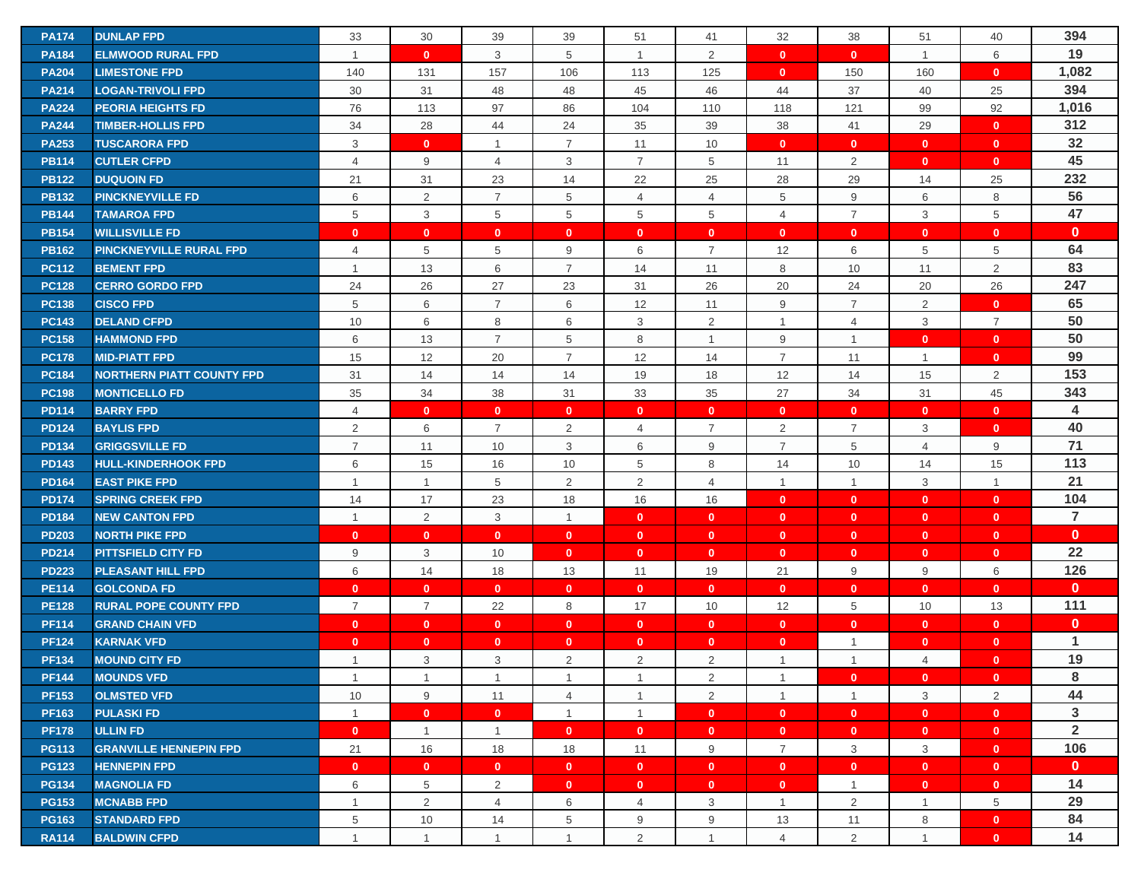| <b>PA174</b> | <b>DUNLAP FPD</b>                                        | 33             | 30             | 39             | 39             | 51             | 41             | 32               | 38             | 51             | 40                           | 394            |
|--------------|----------------------------------------------------------|----------------|----------------|----------------|----------------|----------------|----------------|------------------|----------------|----------------|------------------------------|----------------|
| <b>PA184</b> | <b>ELMWOOD RURAL FPD</b>                                 | $\mathbf{1}$   | $\mathbf{0}$   | 3              | 5              | $\mathbf{1}$   | 2              | $\mathbf{0}$     | $\mathbf{0}$   | $\overline{1}$ | 6                            | 19             |
| <b>PA204</b> | <b>LIMESTONE FPD</b>                                     | 140            | 131            | 157            | 106            | 113            | 125            | $\mathbf{0}$     | 150            | 160            | $\mathbf{0}$                 | 1,082          |
| <b>PA214</b> | <b>LOGAN-TRIVOLI FPD</b>                                 | 30             | 31             | 48             | 48             | 45             | 46             | 44               | 37             | 40             | 25                           | 394            |
| <b>PA224</b> | <b>PEORIA HEIGHTS FD</b>                                 | 76             | 113            | 97             | 86             | 104            | 110            | 118              | 121            | 99             | 92                           | 1,016          |
| <b>PA244</b> | <b>TIMBER-HOLLIS FPD</b>                                 | 34             | 28             | 44             | 24             | 35             | 39             | 38               | 41             | 29             | $\mathbf{0}$                 | 312            |
| <b>PA253</b> | <b>TUSCARORA FPD</b>                                     | 3              | $\mathbf{0}$   | $\mathbf{1}$   | $\overline{7}$ | 11             | 10             | $\mathbf{0}$     | $\mathbf{0}$   | $\mathbf{0}$   | $\overline{0}$               | 32             |
| <b>PB114</b> | <b>CUTLER CFPD</b>                                       | $\overline{4}$ | 9              | $\overline{4}$ | 3              | $\overline{7}$ | 5              | 11               | 2              | $\mathbf{0}$   | $\mathbf{0}$                 | 45             |
| <b>PB122</b> | <b>DUQUOIN FD</b>                                        | 21             | 31             | 23             | 14             | 22             | 25             | 28               | 29             | 14             | 25                           | 232            |
| <b>PB132</b> | <b>PINCKNEYVILLE FD</b>                                  | 6              | $\overline{2}$ | $\overline{7}$ | 5              | $\overline{4}$ | $\overline{4}$ | 5                | 9              | 6              | 8                            | 56             |
| <b>PB144</b> | <b>TAMAROA FPD</b>                                       | 5              | 3              | 5              | 5              | 5              | 5              | $\overline{4}$   | $\overline{7}$ | 3              | 5                            | 47             |
| <b>PB154</b> | <b>WILLISVILLE FD</b>                                    | $\mathbf{0}$   | $\mathbf{0}$   | $\mathbf 0$    | $\mathbf{0}$   | $\mathbf{0}$   | $\mathbf{0}$   | $\mathbf 0$      | $\mathbf{0}$   | $\mathbf{0}$   | $\mathbf{0}$                 | $\mathbf{0}$   |
| <b>PB162</b> | PINCKNEYVILLE RURAL FPD                                  | 4              | 5              | 5              | 9              | 6              | $\overline{7}$ | 12               | 6              | 5              | 5                            | 64             |
| <b>PC112</b> | <b>BEMENT FPD</b>                                        | $\mathbf{1}$   | 13             | 6              | $\overline{7}$ | 14             | 11             | 8                | 10             | 11             | $\overline{2}$               | 83             |
| <b>PC128</b> | <b>CERRO GORDO FPD</b>                                   | 24             | 26             | 27             | 23             | 31             | 26             | 20               | 24             | 20             | 26                           | 247            |
| <b>PC138</b> | <b>CISCO FPD</b>                                         | 5              | 6              | $\overline{7}$ | 6              | 12             | 11             | $\boldsymbol{9}$ | $\overline{7}$ | 2              | $\mathbf{0}$                 | 65             |
| <b>PC143</b> | <b>DELAND CFPD</b>                                       | 10             | 6              | 8              | 6              | 3              | $\overline{2}$ | $\mathbf{1}$     | 4              | 3              | $\overline{7}$               | 50             |
| <b>PC158</b> | <b>HAMMOND FPD</b>                                       | 6              | 13             | $\overline{7}$ | 5              |                | $\overline{1}$ | 9                | $\overline{1}$ | $\mathbf{0}$   |                              | 50             |
| <b>PC178</b> |                                                          |                | 12             | $20\,$         | $\overline{7}$ | 8              | 14             | $\overline{7}$   |                | $\overline{1}$ | $\mathbf{0}$<br>$\mathbf{0}$ | 99             |
| <b>PC184</b> | <b>MID-PIATT FPD</b><br><b>NORTHERN PIATT COUNTY FPD</b> | 15<br>31       | 14             | 14             | 14             | 12<br>19       | 18             | 12               | 11<br>14       | 15             | 2                            | 153            |
| <b>PC198</b> |                                                          | 35             | 34             | 38             | 31             | 33             | 35             | 27               | 34             | 31             | 45                           | 343            |
| <b>PD114</b> | <b>MONTICELLO FD</b><br><b>BARRY FPD</b>                 |                | $\mathbf{0}$   | $\mathbf{0}$   | $\mathbf{0}$   | $\mathbf{0}$   | $\mathbf{0}$   | $\mathbf{0}$     | $\mathbf{0}$   | $\mathbf{0}$   | $\mathbf{0}$                 | $\overline{4}$ |
| <b>PD124</b> | <b>BAYLIS FPD</b>                                        | 4<br>2         | 6              | $\overline{7}$ | $\overline{2}$ | $\overline{4}$ | $\overline{7}$ | 2                | $\overline{7}$ | 3              | $\mathbf{0}$                 | 40             |
| <b>PD134</b> |                                                          | $\overline{7}$ |                | 10             | 3              | 6              | 9              | $\overline{7}$   | 5              | $\overline{4}$ | 9                            | 71             |
| <b>PD143</b> | <b>GRIGGSVILLE FD</b><br><b>HULL-KINDERHOOK FPD</b>      | 6              | 11<br>15       | 16             | 10             | 5              | 8              | 14               | 10             | 14             | 15                           | 113            |
| <b>PD164</b> | <b>EAST PIKE FPD</b>                                     | $\mathbf{1}$   | $\mathbf{1}$   | 5              | $\overline{2}$ | $\overline{2}$ | $\overline{4}$ | $\overline{1}$   | $\overline{1}$ | 3              | $\mathbf{1}$                 | 21             |
| <b>PD174</b> | <b>SPRING CREEK FPD</b>                                  | 14             | 17             | 23             | 18             | 16             | 16             | $\mathbf{0}$     | $\mathbf{0}$   | $\mathbf{0}$   | $\mathbf{0}$                 | 104            |
| <b>PD184</b> | <b>NEW CANTON FPD</b>                                    | $\mathbf{1}$   | 2              | 3              | $\overline{1}$ | $\mathbf{0}$   | $\mathbf{0}$   | $\mathbf{0}$     | $\mathbf{0}$   | $\mathbf{0}$   | $\mathbf{0}$                 | $\overline{7}$ |
| <b>PD203</b> | <b>NORTH PIKE FPD</b>                                    | $\mathbf{0}$   | $\mathbf{0}$   | $\mathbf{0}$   | $\mathbf{0}$   | $\mathbf{0}$   | $\mathbf{0}$   | $\mathbf 0$      | $\mathbf{0}$   | $\mathbf{0}$   | $\mathbf{0}$                 | $\mathbf{0}$   |
| <b>PD214</b> | <b>PITTSFIELD CITY FD</b>                                | 9              | 3              | 10             | $\mathbf{0}$   | $\mathbf{0}$   | $\mathbf{0}$   | $\mathbf{0}$     | $\mathbf{0}$   | $\mathbf{0}$   | $\mathbf{0}$                 | 22             |
| <b>PD223</b> | <b>PLEASANT HILL FPD</b>                                 | 6              | 14             | 18             | 13             | 11             | 19             | 21               | 9              | 9              | 6                            | 126            |
| <b>PE114</b> | <b>GOLCONDA FD</b>                                       | $\mathbf{0}$   | $\mathbf{0}$   | $\mathbf{0}$   | $\mathbf{0}$   | $\mathbf{0}$   | $\mathbf{0}$   | $\mathbf{0}$     | $\mathbf{0}$   | $\mathbf{0}$   | $\mathbf{0}$                 | $\mathbf{0}$   |
| <b>PE128</b> | <b>RURAL POPE COUNTY FPD</b>                             | $\overline{7}$ | $\overline{7}$ | 22             | 8              | 17             | 10             | 12               | 5              | 10             | 13                           | 111            |
| <b>PF114</b> | <b>GRAND CHAIN VFD</b>                                   | $\mathbf{0}$   | $\mathbf{0}$   | $\mathbf{0}$   | $\mathbf{0}$   | $\mathbf{0}$   | $\mathbf{0}$   | $\mathbf{0}$     | $\mathbf{0}$   | $\mathbf{0}$   | $\mathbf{0}$                 | $\mathbf{0}$   |
| <b>PF124</b> | <b>KARNAK VFD</b>                                        | $\mathbf 0$    | $\mathbf{0}$   | $\mathbf{0}$   | $\mathbf{0}$   | $\mathbf{0}$   | $\mathbf{0}$   | $\mathbf 0$      | $\mathbf{1}$   | $\mathbf{0}$   | $\mathbf{0}$                 | $\mathbf 1$    |
| <b>PF134</b> | <b>MOUND CITY FD</b>                                     | $\mathbf{1}$   | 3              | 3              | $\overline{2}$ | $\overline{2}$ | $\overline{2}$ | $\overline{1}$   | $\mathbf{1}$   | 4              | $\mathbf{0}$                 | 19             |
| <b>PF144</b> | <b>MOUNDS VFD</b>                                        | $\mathbf{1}$   | $\overline{1}$ | $\mathbf{1}$   | $\overline{1}$ | $\mathbf{1}$   | 2              | $\overline{1}$   | $\mathbf{0}$   | $\mathbf{0}$   | $\mathbf{0}$                 | 8              |
| <b>PF153</b> | <b>OLMSTED VFD</b>                                       | 10             | 9              | 11             | $\overline{4}$ | $\mathbf{1}$   | $\overline{2}$ | $\mathbf{1}$     | $\overline{1}$ | 3              | $\overline{2}$               | 44             |
| <b>PF163</b> | <b>PULASKI FD</b>                                        | $\mathbf{1}$   | $\mathbf{0}$   | $\mathbf{0}$   | $\mathbf{1}$   | $\mathbf{1}$   | $\mathbf{0}$   | $\mathbf{0}$     | $\mathbf{0}$   | $\mathbf{0}$   | $\mathbf{0}$                 | 3              |
| <b>PF178</b> | <b>ULLIN FD</b>                                          | $\mathbf{0}$   | $\mathbf{1}$   | $\mathbf{1}$   | $\mathbf{0}$   | $\mathbf{0}$   | $\mathbf{0}$   | $\mathbf{0}$     | $\mathbf{0}$   | $\mathbf{0}$   | $\mathbf{0}$                 | $\overline{2}$ |
| <b>PG113</b> | <b>GRANVILLE HENNEPIN FPD</b>                            | 21             | 16             | 18             | 18             | 11             | 9              | $\overline{7}$   | 3              | 3              | $\mathbf{0}$                 | 106            |
| <b>PG123</b> | <b>HENNEPIN FPD</b>                                      | $\mathbf{0}$   | $\mathbf{0}$   | $\mathbf{0}$   | $\mathbf{0}$   | $\mathbf{0}$   | $\mathbf{0}$   | $\mathbf{0}$     | $\mathbf{0}$   | $\mathbf{0}$   | $\mathbf{0}$                 | $\mathbf{0}$   |
| <b>PG134</b> | <b>MAGNOLIA FD</b>                                       | 6              | 5              | 2              | $\mathbf{0}$   | $\mathbf{0}$   | $\mathbf{0}$   | $\mathbf{0}$     | $\mathbf{1}$   | $\mathbf{0}$   | $\mathbf{0}$                 | 14             |
| <b>PG153</b> | <b>MCNABB FPD</b>                                        | $\mathbf{1}$   | $\overline{2}$ | $\overline{4}$ | 6              | $\overline{4}$ | 3              | $\mathbf{1}$     | 2              | $\mathbf{1}$   | 5                            | 29             |
| <b>PG163</b> | <b>STANDARD FPD</b>                                      | 5              | 10             | 14             | 5              | 9              | 9              | 13               | 11             | 8              | $\mathbf{0}$                 | 84             |
| <b>RA114</b> | <b>BALDWIN CFPD</b>                                      | $\mathbf{1}$   | $\mathbf{1}$   | $\mathbf{1}$   | $\mathbf{1}$   | $\overline{2}$ | $\overline{1}$ | $\overline{4}$   | 2              | $\overline{1}$ | $\mathbf{0}$                 | 14             |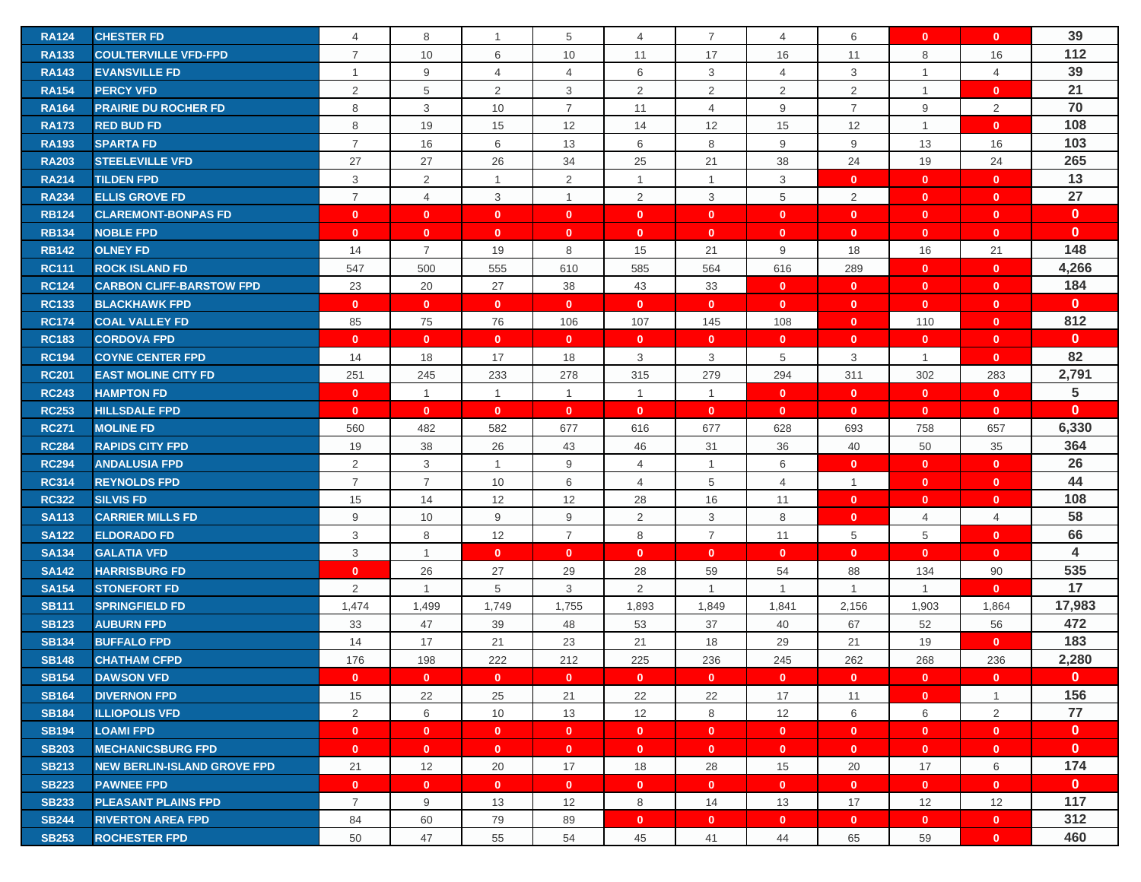| <b>RA124</b> | <b>CHESTER FD</b>                  | $\overline{4}$ | 8              | $\mathbf{1}$   | 5              | $\overline{4}$ | 7              | $\overline{4}$ | 6              | $\mathbf{0}$   | $\mathbf{0}$   | 39              |
|--------------|------------------------------------|----------------|----------------|----------------|----------------|----------------|----------------|----------------|----------------|----------------|----------------|-----------------|
| <b>RA133</b> | <b>COULTERVILLE VFD-FPD</b>        | $\overline{7}$ | 10             | 6              | 10             | 11             | 17             | 16             | 11             | 8              | 16             | 112             |
| <b>RA143</b> | <b>EVANSVILLE FD</b>               | $\mathbf{1}$   | 9              | $\overline{4}$ | $\overline{4}$ | 6              | 3              | $\overline{4}$ | 3              | $\overline{1}$ | $\overline{4}$ | 39              |
| <b>RA154</b> | <b>PERCY VFD</b>                   | 2              | 5              | 2              | 3              | $\overline{2}$ | 2              | $\overline{2}$ | 2              | $\overline{1}$ | $\mathbf{0}$   | 21              |
| <b>RA164</b> | <b>PRAIRIE DU ROCHER FD</b>        | 8              | 3              | 10             | $\overline{7}$ | 11             | $\overline{4}$ | 9              | $\overline{7}$ | 9              | 2              | 70              |
| <b>RA173</b> | <b>RED BUD FD</b>                  | 8              | 19             | 15             | 12             | 14             | 12             | 15             | 12             | $\overline{1}$ | $\mathbf{0}$   | 108             |
| <b>RA193</b> | <b>SPARTA FD</b>                   | $\overline{7}$ | 16             | 6              | 13             | 6              | 8              | 9              | 9              | 13             | 16             | 103             |
| <b>RA203</b> | <b>STEELEVILLE VFD</b>             | 27             | 27             | 26             | 34             | 25             | 21             | 38             | 24             | 19             | 24             | 265             |
| <b>RA214</b> | <b>TILDEN FPD</b>                  | 3              | 2              | $\mathbf{1}$   | $\overline{2}$ | 1              | $\overline{1}$ | 3              | $\mathbf{0}$   | $\mathbf{0}$   | $\mathbf{0}$   | 13              |
| <b>RA234</b> | <b>ELLIS GROVE FD</b>              | $\overline{7}$ | $\overline{4}$ | 3              | $\mathbf{1}$   | $\overline{2}$ | 3              | 5              | 2              | $\mathbf{0}$   | $\mathbf{0}$   | 27              |
| <b>RB124</b> | <b>CLAREMONT-BONPAS FD</b>         | $\mathbf{0}$   | $\mathbf{0}$   | $\mathbf{0}$   | $\mathbf{0}$   | $\mathbf{0}$   | $\mathbf{0}$   | $\mathbf 0$    | $\mathbf{0}$   | $\mathbf{0}$   | $\mathbf{0}$   | $\mathbf{0}$    |
| <b>RB134</b> | <b>NOBLE FPD</b>                   | $\mathbf{0}$   | $\mathbf{0}$   | $\mathbf{0}$   | $\mathbf{0}$   | $\mathbf{0}$   | $\mathbf{0}$   | $\mathbf 0$    | $\mathbf{0}$   | $\mathbf{0}$   | $\mathbf{0}$   | $\mathbf{0}$    |
| <b>RB142</b> | <b>OLNEY FD</b>                    | 14             | $\overline{7}$ | 19             | 8              | 15             | 21             | 9              | 18             | 16             | 21             | 148             |
| <b>RC111</b> | <b>ROCK ISLAND FD</b>              | 547            | 500            | 555            | 610            | 585            | 564            | 616            | 289            | $\mathbf{0}$   | $\mathbf{0}$   | 4,266           |
| <b>RC124</b> | <b>CARBON CLIFF-BARSTOW FPD</b>    | 23             | 20             | 27             | 38             | 43             | 33             | $\mathbf 0$    | $\mathbf{0}$   | $\mathbf{0}$   | $\mathbf{0}$   | 184             |
| <b>RC133</b> | <b>BLACKHAWK FPD</b>               | $\mathbf{0}$   | $\mathbf{0}$   | $\mathbf{0}$   | $\mathbf{0}$   | $\mathbf{0}$   | $\mathbf{0}$   | $\mathbf{0}$   | $\mathbf{0}$   | $\mathbf{0}$   | $\mathbf{0}$   | $\mathbf{0}$    |
| <b>RC174</b> | <b>COAL VALLEY FD</b>              | 85             | 75             | 76             | 106            | 107            | 145            | 108            | $\mathbf{0}$   | 110            | $\mathbf{0}$   | 812             |
| <b>RC183</b> | <b>CORDOVA FPD</b>                 | $\mathbf{0}$   | $\mathbf{0}$   | $\mathbf{0}$   | $\mathbf{0}$   | $\mathbf{0}$   | $\mathbf{0}$   | $\mathbf{0}$   | $\mathbf{0}$   | $\mathbf{0}$   | $\mathbf{0}$   | $\mathbf{0}$    |
| <b>RC194</b> | <b>COYNE CENTER FPD</b>            | 14             | 18             | 17             | 18             | 3              | 3              | 5              | 3              | $\mathbf{1}$   | $\mathbf{0}$   | 82              |
| <b>RC201</b> | <b>EAST MOLINE CITY FD</b>         | 251            | 245            | 233            | 278            | 315            | 279            | 294            | 311            | 302            | 283            | 2,791           |
| <b>RC243</b> | <b>HAMPTON FD</b>                  | $\mathbf{0}$   | $\overline{1}$ | $\mathbf{1}$   | $\mathbf{1}$   | $\mathbf{1}$   | $\overline{1}$ | $\mathbf{0}$   | $\mathbf{0}$   | $\mathbf{0}$   | $\mathbf{0}$   | $5\phantom{.0}$ |
| <b>RC253</b> | <b>HILLSDALE FPD</b>               | $\mathbf{0}$   | $\mathbf{0}$   | $\mathbf{0}$   | $\mathbf{0}$   | $\mathbf{0}$   | $\mathbf{0}$   | $\mathbf{0}$   | $\mathbf{0}$   | $\mathbf{0}$   | $\mathbf{0}$   | $\mathbf{0}$    |
| <b>RC271</b> | <b>MOLINE FD</b>                   | 560            | 482            | 582            | 677            | 616            | 677            | 628            | 693            | 758            | 657            | 6,330           |
| <b>RC284</b> | <b>RAPIDS CITY FPD</b>             | 19             | 38             | 26             | 43             | 46             | 31             | 36             | 40             | 50             | 35             | 364             |
| <b>RC294</b> | <b>ANDALUSIA FPD</b>               | 2              | 3              | $\mathbf{1}$   | 9              | 4              | $\overline{1}$ | 6              | $\mathbf{0}$   | $\mathbf{0}$   | $\mathbf{0}$   | 26              |
| <b>RC314</b> | <b>REYNOLDS FPD</b>                | $\overline{7}$ | $\overline{7}$ | 10             | 6              | $\overline{4}$ | 5              | $\overline{4}$ | $\mathbf{1}$   | $\mathbf{0}$   | $\mathbf{0}$   | 44              |
| <b>RC322</b> | <b>SILVIS FD</b>                   | 15             | 14             | 12             | 12             | 28             | 16             | 11             | $\mathbf{0}$   | $\mathbf{0}$   | $\mathbf{0}$   | 108             |
| <b>SA113</b> | <b>CARRIER MILLS FD</b>            | 9              | 10             | 9              | 9              | $\overline{2}$ | 3              | 8              | $\mathbf{0}$   | $\overline{4}$ | 4              | 58              |
| <b>SA122</b> | <b>ELDORADO FD</b>                 | 3              | 8              | 12             | $\overline{7}$ | 8              | $\overline{7}$ | 11             | 5              | 5              | $\mathbf{0}$   | 66              |
| <b>SA134</b> | <b>GALATIA VFD</b>                 | 3              | $\overline{1}$ | $\mathbf{0}$   | $\mathbf{0}$   | $\mathbf{0}$   | $\mathbf{0}$   | $\mathbf{0}$   | $\mathbf{0}$   | $\mathbf{0}$   | $\mathbf{0}$   | 4               |
| <b>SA142</b> | <b>HARRISBURG FD</b>               | $\mathbf{0}$   | 26             | 27             | 29             | 28             | 59             | 54             | 88             | 134            | 90             | 535             |
| <b>SA154</b> | <b>STONEFORT FD</b>                | 2              | $\mathbf{1}$   | 5              | 3              | $\overline{2}$ | $\overline{1}$ | $\overline{1}$ | $\mathbf{1}$   | $\overline{1}$ | $\mathbf{0}$   | 17              |
| <b>SB111</b> | <b>SPRINGFIELD FD</b>              | 1,474          | 1,499          | 1,749          | 1,755          | 1,893          | 1,849          | 1,841          | 2,156          | 1,903          | 1,864          | 17,983          |
| <b>SB123</b> | <b>AUBURN FPD</b>                  | 33             | 47             | 39             | 48             | 53             | 37             | 40             | 67             | 52             | 56             | 472             |
| <b>SB134</b> | <b>BUFFALO FPD</b>                 | 14             | 17             | 21             | 23             | 21             | 18             | 29             | 21             | 19             | $\mathbf{0}$   | 183             |
| <b>SB148</b> | <b>CHATHAM CFPD</b>                | 176            | 198            | 222            | 212            | 225            | 236            | 245            | 262            | 268            | 236            | 2,280           |
| <b>SB154</b> | <b>DAWSON VFD</b>                  | $\mathbf{0}$   | $\mathbf{0}$   | $\mathbf{0}$   | $\mathbf{0}$   | $\mathbf{0}$   | $\mathbf{0}$   | $\mathbf{0}$   | $\mathbf{0}$   | $\mathbf{0}$   | $\mathbf{0}$   | $\mathbf{0}$    |
| <b>SB164</b> | <b>DIVERNON FPD</b>                | 15             | 22             | 25             | 21             | 22             | 22             | 17             | 11             | $\mathbf{0}$   | $\mathbf{1}$   | 156             |
| <b>SB184</b> | <b>ILLIOPOLIS VFD</b>              | 2              | 6              | 10             | 13             | 12             | 8              | 12             | 6              | 6              | $\overline{2}$ | 77              |
| <b>SB194</b> | <b>LOAMI FPD</b>                   | $\mathbf{0}$   | $\mathbf{0}$   | $\mathbf{0}$   | $\mathbf{0}$   | $\mathbf{0}$   | $\mathbf{0}$   | $\mathbf{0}$   | $\bullet$      | $\mathbf{0}$   | $\mathbf{0}$   | $\mathbf{0}$    |
| <b>SB203</b> | <b>MECHANICSBURG FPD</b>           | $\mathbf{0}$   | $\mathbf{0}$   | $\mathbf{0}$   | $\mathbf{0}$   | $\mathbf{0}$   | $\mathbf{0}$   | $\mathbf{0}$   | $\overline{0}$ | $\mathbf{0}$   | $\mathbf{0}$   | $\mathbf{0}$    |
| <b>SB213</b> | <b>NEW BERLIN-ISLAND GROVE FPD</b> | 21             | 12             | 20             | 17             | 18             | 28             | 15             | 20             | 17             | 6              | 174             |
| <b>SB223</b> | <b>PAWNEE FPD</b>                  | $\mathbf{0}$   | $\mathbf{0}$   | $\mathbf{0}$   | $\mathbf{0}$   | $\mathbf{0}$   | $\mathbf{0}$   | $\mathbf{0}$   | $\mathbf{0}$   | $\mathbf{0}$   | $\mathbf{0}$   | $\mathbf{0}$    |
| <b>SB233</b> | <b>PLEASANT PLAINS FPD</b>         | $\overline{7}$ | 9              | 13             | 12             | 8              | 14             | 13             | 17             | 12             | 12             | 117             |
| <b>SB244</b> | <b>RIVERTON AREA FPD</b>           | 84             | 60             | 79             | 89             | $\mathbf{0}$   | $\mathbf{0}$   | $\mathbf{0}$   | $\mathbf{0}$   | $\mathbf{0}$   | $\mathbf{0}$   | 312             |
| <b>SB253</b> | <b>ROCHESTER FPD</b>               | 50             | 47             | 55             | 54             | 45             | 41             | 44             | 65             | 59             | $\mathbf{0}$   | 460             |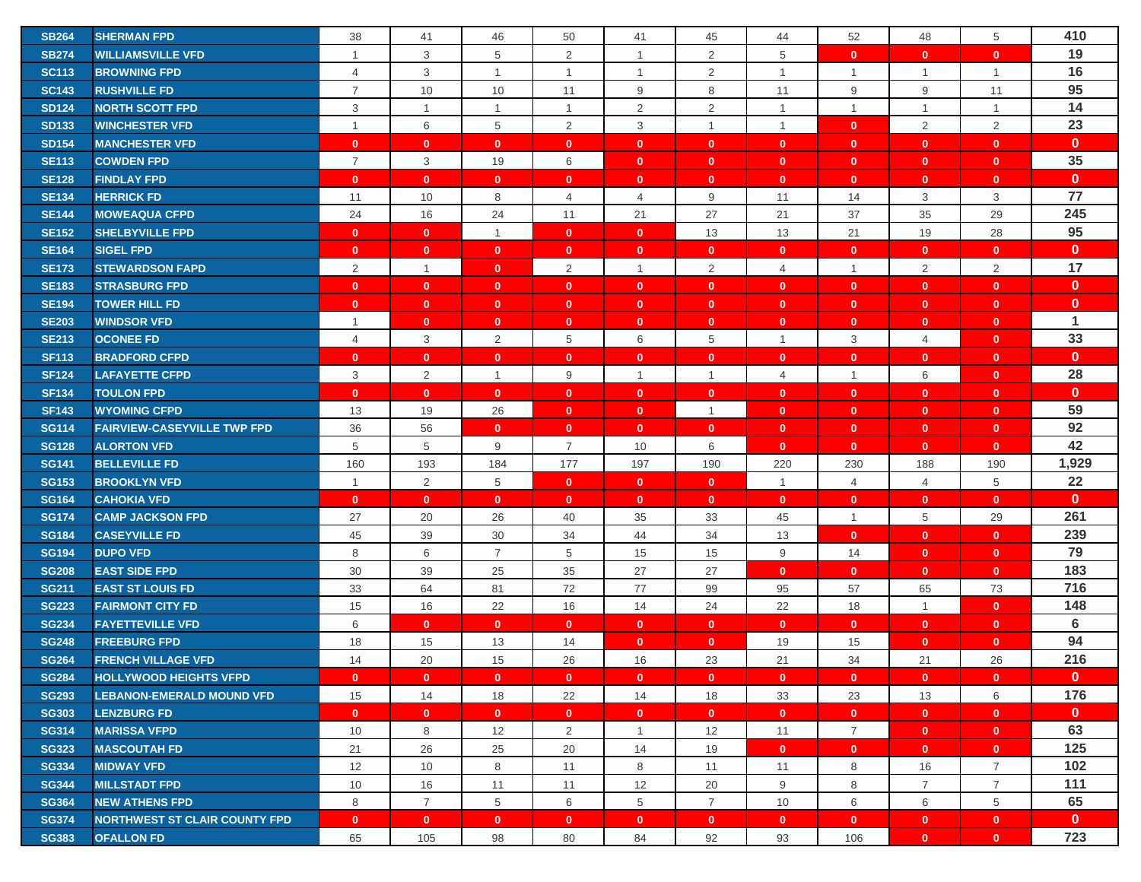| <b>SB264</b> | <b>SHERMAN FPD</b>                                        | 38             | 41             | 46             | 50             | 41             | 45             | 44             | 52             | 48             | 5              | 410          |
|--------------|-----------------------------------------------------------|----------------|----------------|----------------|----------------|----------------|----------------|----------------|----------------|----------------|----------------|--------------|
| <b>SB274</b> | <b>WILLIAMSVILLE VFD</b>                                  | $\mathbf{1}$   | 3              | 5              | $\overline{2}$ | $\mathbf{1}$   | 2              | 5              | $\mathbf{0}$   | $\mathbf{0}$   | $\mathbf{0}$   | 19           |
| <b>SC113</b> | <b>BROWNING FPD</b>                                       | 4              | 3              | $\mathbf{1}$   | $\mathbf{1}$   | $\mathbf{1}$   | 2              | $\overline{1}$ | $\mathbf{1}$   | $\overline{1}$ | $\overline{1}$ | 16           |
| <b>SC143</b> | <b>RUSHVILLE FD</b>                                       | $\overline{7}$ | 10             | 10             | 11             | 9              | 8              | 11             | 9              | 9              | 11             | 95           |
| <b>SD124</b> | <b>NORTH SCOTT FPD</b>                                    | 3              | $\mathbf{1}$   | $\mathbf{1}$   | $\mathbf{1}$   | $\overline{2}$ | $\overline{2}$ | $\overline{1}$ | $\mathbf{1}$   | $\overline{1}$ | $\mathbf{1}$   | 14           |
| <b>SD133</b> | <b>WINCHESTER VFD</b>                                     | $\mathbf{1}$   | 6              | 5              | $\overline{2}$ | 3              | $\overline{1}$ | $\overline{1}$ | $\mathbf{0}$   | 2              | 2              | 23           |
| <b>SD154</b> | <b>MANCHESTER VFD</b>                                     | $\mathbf{0}$   | $\mathbf{0}$   | $\mathbf{0}$   | $\mathbf{0}$   | $\mathbf{0}$   | $\mathbf{0}$   | $\mathbf{0}$   | $\mathbf{0}$   | $\mathbf{0}$   | $\mathbf{0}$   | $\mathbf{0}$ |
| <b>SE113</b> | <b>COWDEN FPD</b>                                         | $\overline{7}$ | $\mathbf{3}$   | 19             | 6              | $\mathbf{0}$   | $\mathbf{0}$   | $\mathbf{0}$   | $\mathbf{0}$   | $\mathbf{0}$   | $\mathbf{0}$   | 35           |
| <b>SE128</b> | <b>FINDLAY FPD</b>                                        | $\mathbf{0}$   | $\mathbf{0}$   | $\mathbf{0}$   | $\mathbf{0}$   | $\mathbf{0}$   | $\mathbf{0}$   | $\mathbf{0}$   | $\mathbf{0}$   | $\mathbf{0}$   | $\mathbf{0}$   | $\mathbf{0}$ |
| <b>SE134</b> | <b>HERRICK FD</b>                                         | 11             | 10             | 8              | $\overline{4}$ | $\overline{4}$ | 9              | 11             | 14             | 3              | 3              | 77           |
| <b>SE144</b> | <b>MOWEAQUA CFPD</b>                                      | 24             | 16             | 24             | 11             | 21             | 27             | 21             | 37             | 35             | 29             | 245          |
| <b>SE152</b> | <b>SHELBYVILLE FPD</b>                                    | $\mathbf{0}$   | $\mathbf{0}$   | $\mathbf{1}$   | $\mathbf{0}$   | $\mathbf{0}$   | 13             | 13             | 21             | 19             | 28             | 95           |
| <b>SE164</b> | <b>SIGEL FPD</b>                                          | $\mathbf{0}$   | $\mathbf{0}$   | $\mathbf{0}$   | $\mathbf{0}$   | $\mathbf{0}$   | $\mathbf{0}$   | $\mathbf 0$    | $\mathbf{0}$   | $\mathbf{0}$   | $\mathbf{0}$   | $\mathbf{0}$ |
| <b>SE173</b> | <b>STEWARDSON FAPD</b>                                    | 2              | $\overline{1}$ | $\mathbf{0}$   | 2              | $\mathbf{1}$   | 2              | $\overline{4}$ | $\mathbf{1}$   | $\overline{2}$ | $\overline{2}$ | 17           |
| <b>SE183</b> | <b>STRASBURG FPD</b>                                      | $\mathbf{0}$   | $\mathbf{0}$   | $\mathbf{0}$   | $\mathbf{0}$   | $\mathbf{0}$   | $\mathbf{0}$   | $\mathbf 0$    | $\mathbf{0}$   | $\mathbf{0}$   | $\mathbf{0}$   | $\mathbf{0}$ |
| <b>SE194</b> | <b>TOWER HILL FD</b>                                      | $\mathbf{0}$   | $\mathbf{0}$   | $\mathbf{0}$   | $\mathbf{0}$   | $\mathbf{0}$   | $\mathbf{0}$   | $\mathbf{0}$   | $\mathbf{0}$   | $\mathbf{0}$   | $\mathbf{0}$   | $\mathbf{0}$ |
| <b>SE203</b> | <b>WINDSOR VFD</b>                                        | $\mathbf{1}$   | $\mathbf{0}$   | $\mathbf{0}$   | $\mathbf{0}$   | $\mathbf{0}$   | $\mathbf{0}$   | $\mathbf{0}$   | $\mathbf{0}$   | $\mathbf{0}$   | $\mathbf{0}$   | $\mathbf 1$  |
| <b>SE213</b> | <b>OCONEE FD</b>                                          | $\overline{4}$ | 3              | 2              | 5              | 6              | 5              | $\mathbf{1}$   | 3              | $\overline{4}$ | $\mathbf{0}$   | 33           |
| <b>SF113</b> | <b>BRADFORD CFPD</b>                                      | $\mathbf{0}$   | $\mathbf{0}$   | $\mathbf{0}$   | $\mathbf{0}$   | $\mathbf{0}$   | $\mathbf{0}$   | $\mathbf{0}$   | $\mathbf{0}$   | $\mathbf{0}$   | $\mathbf{0}$   | $\mathbf{0}$ |
| <b>SF124</b> | <b>LAFAYETTE CFPD</b>                                     | 3              | 2              | $\mathbf{1}$   | 9              | $\mathbf{1}$   | $\overline{1}$ | $\overline{4}$ | $\mathbf{1}$   | 6              | $\mathbf{0}$   | 28           |
| <b>SF134</b> | <b>TOULON FPD</b>                                         | $\mathbf{0}$   | $\mathbf{0}$   | $\mathbf{0}$   | $\mathbf{0}$   | $\mathbf{0}$   | $\mathbf{0}$   | $\mathbf{0}$   | $\mathbf{0}$   | $\mathbf{0}$   | $\mathbf{0}$   | $\mathbf{0}$ |
| <b>SF143</b> | <b>WYOMING CFPD</b>                                       | 13             | 19             | 26             | $\mathbf{0}$   | $\mathbf{0}$   | $\overline{1}$ | $\mathbf{0}$   | $\mathbf{0}$   | $\mathbf{0}$   | $\mathbf{0}$   | 59           |
| <b>SG114</b> | <b>FAIRVIEW-CASEYVILLE TWP FPD</b>                        | 36             | 56             | $\mathbf{0}$   | $\mathbf{0}$   | $\mathbf{0}$   | $\mathbf{0}$   | $\mathbf{0}$   | $\mathbf{0}$   | $\mathbf{0}$   | $\mathbf{0}$   | 92           |
| <b>SG128</b> | <b>ALORTON VFD</b>                                        | 5              | 5              | 9              | $\overline{7}$ | 10             | 6              | $\mathbf{0}$   | $\mathbf{0}$   | $\mathbf{0}$   | $\mathbf{0}$   | 42           |
| <b>SG141</b> | <b>BELLEVILLE FD</b>                                      | 160            | 193            | 184            | 177            | 197            | 190            | 220            | 230            | 188            | 190            | 1,929        |
| <b>SG153</b> | <b>BROOKLYN VFD</b>                                       | $\mathbf{1}$   | $\overline{2}$ | 5              | $\mathbf{0}$   | $\mathbf{0}$   | $\mathbf{0}$   | $\overline{1}$ | 4              | $\overline{4}$ | 5              | 22           |
| <b>SG164</b> | <b>CAHOKIA VFD</b>                                        | $\mathbf{0}$   | $\mathbf{0}$   | $\mathbf{0}$   | $\mathbf{0}$   | $\mathbf{0}$   | $\mathbf{0}$   | $\mathbf{0}$   | $\mathbf{0}$   | $\mathbf{0}$   | $\mathbf{0}$   | $\mathbf{0}$ |
| <b>SG174</b> | <b>CAMP JACKSON FPD</b>                                   | 27             | 20             | 26             | 40             | 35             | 33             | 45             | $\mathbf{1}$   | 5              | 29             | 261          |
| <b>SG184</b> | <b>CASEYVILLE FD</b>                                      | 45             | 39             | 30             | 34             | 44             | 34             | 13             | $\mathbf{0}$   | $\mathbf{0}$   | $\mathbf{0}$   | 239          |
| <b>SG194</b> | <b>DUPO VFD</b>                                           | 8              | 6              | $\overline{7}$ | 5              | 15             | 15             | 9              | 14             | $\mathbf{0}$   | $\mathbf{0}$   | 79           |
| <b>SG208</b> | <b>EAST SIDE FPD</b>                                      | $30\,$         | 39             | 25             | 35             | 27             | 27             | $\mathbf 0$    | $\mathbf{0}$   | $\mathbf{0}$   | $\mathbf{0}$   | 183          |
| <b>SG211</b> | <b>EAST ST LOUIS FD</b>                                   | 33             | 64             | 81             | 72             | 77             | 99             | 95             | 57             | 65             | 73             | 716          |
| <b>SG223</b> | <b>FAIRMONT CITY FD</b>                                   | 15             | 16             | 22             | 16             | 14             | 24             | 22             | 18             | $\overline{1}$ | $\mathbf{0}$   | 148          |
| <b>SG234</b> | <b>FAYETTEVILLE VFD</b>                                   | 6              | $\mathbf{0}$   | $\mathbf{0}$   | $\mathbf{0}$   | $\mathbf{0}$   | $\mathbf{0}$   | $\mathbf 0$    | $\mathbf{0}$   | $\mathbf{0}$   | $\mathbf{0}$   | 6            |
| <b>SG248</b> | <b>FREEBURG FPD</b>                                       | 18             | 15             | 13             | 14             | $\mathbf{0}$   | $\mathbf{0}$   | 19             | 15             | $\mathbf{0}$   | $\mathbf{0}$   | 94           |
| <b>SG264</b> | <b>FRENCH VILLAGE VFD</b>                                 | 14             | 20             | 15             | 26             | 16             | 23             | 21             | 34             | 21             | 26             | 216          |
| <b>SG284</b> | <b>HOLLYWOOD HEIGHTS VFPD</b>                             | $\mathbf{0}$   | $\mathbf{0}$   | $\mathbf{0}$   | $\mathbf{0}$   | $\mathbf{0}$   | $\mathbf{0}$   | $\mathbf{0}$   | $\mathbf{0}$   | $\mathbf{0}$   | $\mathbf{0}$   | $\mathbf{0}$ |
| <b>SG293</b> | <b>LEBANON-EMERALD MOUND VFD</b>                          | 15             | 14             | 18             | 22             | 14             | 18             | 33             | 23             | 13             | 6              | 176          |
| <b>SG303</b> | <b>LENZBURG FD</b>                                        | $\mathbf{0}$   | $\mathbf{0}$   | $\mathbf{0}$   | $\mathbf{0}$   | $\mathbf{0}$   | $\mathbf{0}$   | $\mathbf{0}$   | $\overline{0}$ | $\mathbf{0}$   | $\mathbf{0}$   | $\mathbf{0}$ |
| <b>SG314</b> | <b>MARISSA VFPD</b>                                       | 10             | 8              | 12             | $\overline{2}$ | $\mathbf{1}$   | 12             | 11             | $\overline{7}$ | $\mathbf{0}$   | $\mathbf{0}$   | 63           |
| <b>SG323</b> | <b>MASCOUTAH FD</b>                                       | 21             | 26             | 25             | 20             | 14             | 19             | $\mathbf{0}$   | $\mathbf{0}$   | $\mathbf{0}$   | $\mathbf{0}$   | 125          |
| <b>SG334</b> | <b>MIDWAY VFD</b>                                         | 12             | 10             | 8              | 11             | 8              | 11             | 11             | 8              | 16             | $\overline{7}$ | 102          |
| <b>SG344</b> | <b>MILLSTADT FPD</b>                                      | 10             | 16             | 11             | 11             | 12             | 20             | 9              | 8              | $\overline{7}$ | $\overline{7}$ | 111          |
| <b>SG364</b> | <b>NEW ATHENS FPD</b>                                     | 8              | $\overline{7}$ | 5              | 6              | 5              | $\overline{7}$ | 10             | 6              | 6              | 5              | 65           |
| <b>SG374</b> |                                                           | $\mathbf{0}$   | $\mathbf{0}$   | $\mathbf{0}$   | $\mathbf{0}$   | $\mathbf{0}$   | $\mathbf{0}$   | $\mathbf{0}$   | $\mathbf{0}$   | $\mathbf{0}$   | $\mathbf{0}$   | $\mathbf{0}$ |
| <b>SG383</b> | <b>NORTHWEST ST CLAIR COUNTY FPD</b><br><b>OFALLON FD</b> | 65             | 105            | 98             | 80             | 84             | 92             | 93             | 106            | $\mathbf{0}$   | $\mathbf{0}$   | 723          |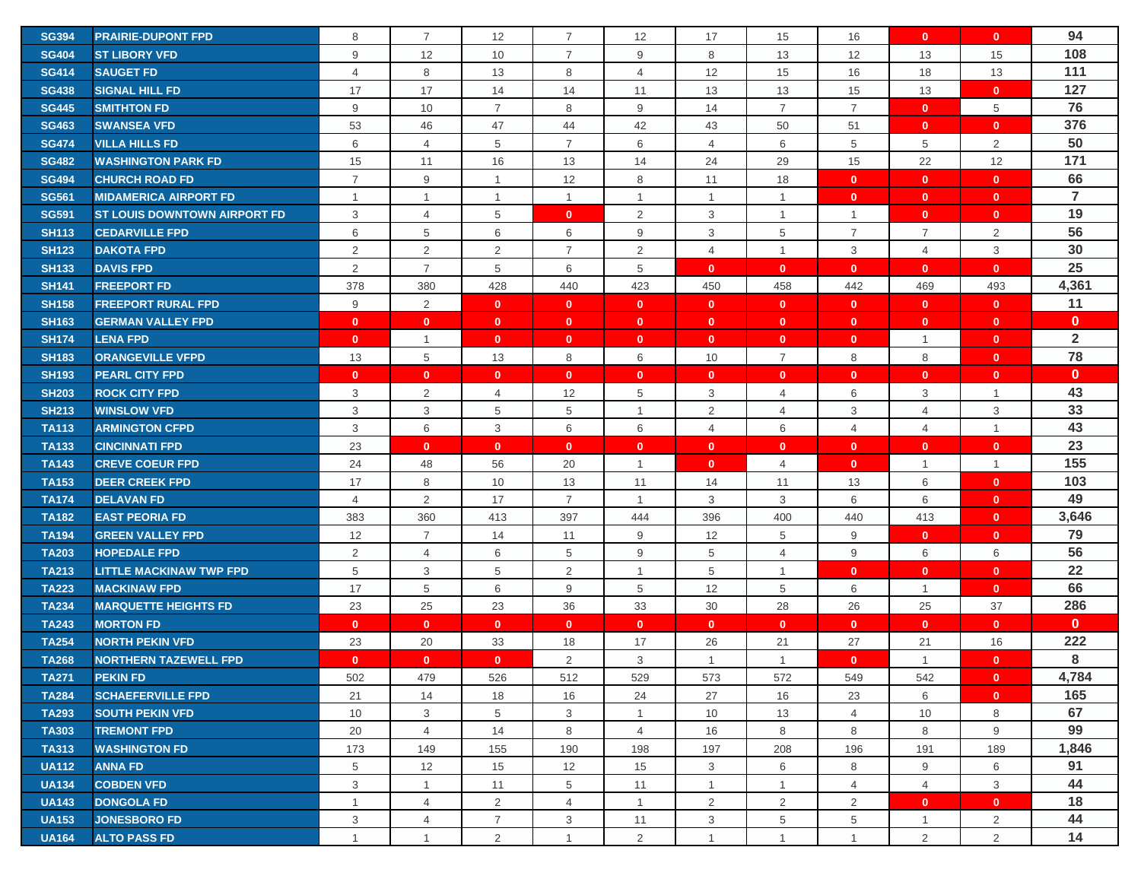| <b>SG394</b> | <b>PRAIRIE-DUPONT FPD</b>           | 8              | $\overline{7}$ | 12             | $\overline{7}$ | 12             | 17             | 15             | 16             | $\mathbf{0}$   | $\mathbf{0}$   | 94             |
|--------------|-------------------------------------|----------------|----------------|----------------|----------------|----------------|----------------|----------------|----------------|----------------|----------------|----------------|
| <b>SG404</b> | <b>ST LIBORY VFD</b>                | 9              | 12             | 10             | $\overline{7}$ | 9              | 8              | 13             | 12             | 13             | 15             | 108            |
| <b>SG414</b> | <b>SAUGET FD</b>                    | 4              | 8              | 13             | 8              | 4              | 12             | 15             | 16             | 18             | 13             | 111            |
| <b>SG438</b> | <b>SIGNAL HILL FD</b>               | 17             | 17             | 14             | 14             | 11             | 13             | 13             | 15             | 13             | $\mathbf{0}$   | 127            |
| <b>SG445</b> | <b>SMITHTON FD</b>                  | 9              | 10             | $\overline{7}$ | 8              | 9              | 14             | $\overline{7}$ | $\overline{7}$ | $\mathbf{0}$   | 5              | 76             |
| <b>SG463</b> | <b>SWANSEA VFD</b>                  | 53             | 46             | 47             | 44             | 42             | 43             | 50             | 51             | $\mathbf{0}$   | $\mathbf{0}$   | 376            |
| <b>SG474</b> | <b>VILLA HILLS FD</b>               | 6              | $\overline{4}$ | 5              | $\overline{7}$ | 6              | $\overline{4}$ | 6              | 5              | 5              | 2              | 50             |
| <b>SG482</b> | <b>WASHINGTON PARK FD</b>           | 15             | 11             | 16             | 13             | 14             | 24             | 29             | 15             | 22             | 12             | 171            |
| <b>SG494</b> | <b>CHURCH ROAD FD</b>               | $\overline{7}$ | 9              | $\overline{1}$ | 12             | 8              | 11             | 18             | $\mathbf{0}$   | $\mathbf{0}$   | $\mathbf{0}$   | 66             |
| <b>SG561</b> | <b>MIDAMERICA AIRPORT FD</b>        | $\mathbf{1}$   | 1              | $\mathbf{1}$   | $\mathbf{1}$   | $\mathbf{1}$   | $\overline{1}$ | $\mathbf{1}$   | $\mathbf{0}$   | $\mathbf{0}$   | $\mathbf{0}$   | $\overline{7}$ |
| <b>SG591</b> | <b>ST LOUIS DOWNTOWN AIRPORT FD</b> | 3              | $\overline{4}$ | 5              | $\mathbf{0}$   | 2              | 3              | $\mathbf{1}$   | $\overline{1}$ | $\mathbf{0}$   | $\mathbf{0}$   | 19             |
| <b>SH113</b> | <b>CEDARVILLE FPD</b>               | 6              | 5              | 6              | 6              | 9              | 3              | 5              | $\overline{7}$ | 7              | $\overline{2}$ | 56             |
| <b>SH123</b> | <b>DAKOTA FPD</b>                   | $\overline{2}$ | 2              | $\overline{2}$ | $\overline{7}$ | 2              | $\overline{4}$ | $\overline{1}$ | 3              | $\overline{4}$ | 3              | 30             |
| <b>SH133</b> | <b>DAVIS FPD</b>                    | $\overline{2}$ | $\overline{7}$ | 5              | 6              | 5              | $\mathbf{0}$   | $\mathbf{0}$   | $\mathbf{0}$   | $\mathbf{0}$   | $\mathbf{0}$   | 25             |
| <b>SH141</b> | <b>FREEPORT FD</b>                  | 378            | 380            | 428            | 440            | 423            | 450            | 458            | 442            | 469            | 493            | 4,361          |
| <b>SH158</b> | <b>FREEPORT RURAL FPD</b>           | 9              | $\overline{2}$ | $\mathbf{0}$   | $\mathbf{0}$   | $\mathbf{0}$   | $\mathbf{0}$   | $\mathbf{0}$   | $\mathbf{0}$   | $\mathbf{0}$   | $\mathbf{0}$   | 11             |
| <b>SH163</b> | <b>GERMAN VALLEY FPD</b>            | $\mathbf{0}$   | $\mathbf{0}$   | $\mathbf{0}$   | $\mathbf{0}$   | $\mathbf{0}$   | $\mathbf{0}$   | $\mathbf 0$    | $\mathbf{0}$   | $\mathbf{0}$   | $\mathbf{0}$   | $\mathbf 0$    |
| <b>SH174</b> | <b>LENA FPD</b>                     | $\mathbf{0}$   | $\mathbf{1}$   | $\mathbf{0}$   | $\mathbf{0}$   | $\mathbf{0}$   | $\mathbf{0}$   | $\mathbf{0}$   | $\mathbf{0}$   | $\mathbf{1}$   | $\mathbf{0}$   | $\overline{2}$ |
| <b>SH183</b> | <b>ORANGEVILLE VFPD</b>             | 13             | 5              | 13             | 8              | 6              | 10             | 7              | 8              | 8              | $\mathbf{0}$   | 78             |
| <b>SH193</b> | <b>PEARL CITY FPD</b>               | $\mathbf{0}$   | $\mathbf{0}$   | $\mathbf{0}$   | $\mathbf{0}$   | $\mathbf{0}$   | $\mathbf{0}$   | $\mathbf{0}$   | $\mathbf{0}$   | $\mathbf{0}$   | $\mathbf{0}$   | $\mathbf{0}$   |
| <b>SH203</b> | <b>ROCK CITY FPD</b>                | 3              | 2              | 4              | 12             | 5              | 3              | $\overline{4}$ | 6              | 3              | $\mathbf{1}$   | 43             |
| <b>SH213</b> | <b>WINSLOW VFD</b>                  | $\sqrt{3}$     | $\mathbf{3}$   | 5              | 5              | $\mathbf{1}$   | 2              | $\overline{4}$ | 3              | $\overline{4}$ | 3              | 33             |
| <b>TA113</b> | <b>ARMINGTON CFPD</b>               | $\mathsf 3$    | 6              | 3              | 6              | 6              | 4              | 6              | $\overline{4}$ | $\overline{4}$ | $\mathbf{1}$   | 43             |
| <b>TA133</b> | <b>CINCINNATI FPD</b>               | 23             | $\mathbf{0}$   | $\mathbf{0}$   | $\mathbf{0}$   | $\mathbf{0}$   | $\mathbf{0}$   | $\mathbf{0}$   | $\mathbf{0}$   | $\mathbf{0}$   | $\mathbf{0}$   | 23             |
| <b>TA143</b> | <b>CREVE COEUR FPD</b>              | 24             | 48             | 56             | 20             | $\mathbf{1}$   | $\mathbf{0}$   | $\overline{4}$ | $\mathbf{0}$   | $\overline{1}$ | $\mathbf{1}$   | 155            |
| <b>TA153</b> | <b>DEER CREEK FPD</b>               | 17             | 8              | 10             | 13             | 11             | 14             | 11             | 13             | 6              | $\mathbf{0}$   | 103            |
| <b>TA174</b> | <b>DELAVAN FD</b>                   | $\overline{4}$ | 2              | 17             | $\overline{7}$ | $\mathbf{1}$   | 3              | 3              | 6              | 6              | $\mathbf{0}$   | 49             |
| <b>TA182</b> | <b>EAST PEORIA FD</b>               | 383            | 360            | 413            | 397            | 444            | 396            | 400            | 440            | 413            | $\mathbf{0}$   | 3,646          |
| <b>TA194</b> | <b>GREEN VALLEY FPD</b>             | 12             | $\overline{7}$ | 14             | 11             | 9              | 12             | 5              | 9              | $\mathbf{0}$   | $\mathbf{0}$   | 79             |
| <b>TA203</b> | <b>HOPEDALE FPD</b>                 | $\overline{2}$ | $\overline{4}$ | 6              | 5              | 9              | 5              | $\overline{4}$ | 9              | 6              | 6              | 56             |
| <b>TA213</b> | <b>LITTLE MACKINAW TWP FPD</b>      | $\,$ 5 $\,$    | 3              | 5              | 2              | $\mathbf{1}$   | 5              | $\mathbf{1}$   | $\mathbf{0}$   | $\mathbf{0}$   | $\mathbf{0}$   | 22             |
| <b>TA223</b> | <b>MACKINAW FPD</b>                 | 17             | 5              | 6              | 9              | 5              | 12             | 5              | 6              | $\mathbf{1}$   | $\mathbf{0}$   | 66             |
| <b>TA234</b> | <b>MARQUETTE HEIGHTS FD</b>         | 23             | 25             | 23             | 36             | 33             | 30             | 28             | 26             | 25             | 37             | 286            |
| <b>TA243</b> | <b>MORTON FD</b>                    | $\mathbf{0}$   | $\mathbf{0}$   | $\mathbf{0}$   | $\mathbf{0}$   | $\mathbf{0}$   | $\mathbf{0}$   | $\mathbf{0}$   | $\mathbf{0}$   | $\mathbf{0}$   | $\mathbf{0}$   | $\mathbf{0}$   |
| <b>TA254</b> | <b>NORTH PEKIN VFD</b>              | 23             | 20             | 33             | 18             | 17             | 26             | 21             | 27             | 21             | 16             | 222            |
| <b>TA268</b> | <b>NORTHERN TAZEWELL FPD</b>        | $\mathbf{0}$   | $\mathbf{0}$   | $\mathbf{0}$   | $\overline{2}$ | 3              | $\mathbf 1$    | $\mathbf{1}$   | $\mathbf{0}$   | $\overline{1}$ | $\mathbf{0}$   | 8              |
| <b>TA271</b> | <b>PEKIN FD</b>                     | 502            | 479            | 526            | 512            | 529            | 573            | 572            | 549            | 542            | $\mathbf{0}$   | 4,784          |
| <b>TA284</b> | <b>SCHAEFERVILLE FPD</b>            | 21             | 14             | 18             | 16             | 24             | 27             | 16             | 23             | 6              | $\mathbf{0}$   | 165            |
| <b>TA293</b> | <b>SOUTH PEKIN VFD</b>              | 10             | $\mathbf{3}$   | 5              | $\mathbf{3}$   | $\mathbf{1}$   | 10             | 13             | $\overline{4}$ | 10             | 8              | 67             |
| <b>TA303</b> | <b>TREMONT FPD</b>                  | 20             | $\overline{4}$ | 14             | 8              | $\overline{4}$ | 16             | 8              | 8              | 8              | 9              | 99             |
| <b>TA313</b> | <b>WASHINGTON FD</b>                | 173            | 149            | 155            | 190            | 198            | 197            | 208            | 196            | 191            | 189            | 1,846          |
| <b>UA112</b> | <b>ANNA FD</b>                      | 5              | 12             | 15             | 12             | 15             | 3              | 6              | 8              | 9              | 6              | 91             |
| <b>UA134</b> | <b>COBDEN VFD</b>                   | 3              | $\overline{1}$ | 11             | 5              | 11             | $\mathbf{1}$   | $\overline{1}$ | $\overline{4}$ | $\overline{4}$ | 3              | 44             |
| <b>UA143</b> | <b>DONGOLA FD</b>                   | $\mathbf{1}$   | $\overline{4}$ | $\overline{2}$ | $\overline{4}$ | $\overline{1}$ | $\overline{2}$ | 2              | 2              | $\mathbf{0}$   | $\mathbf{0}$   | 18             |
| <b>UA153</b> | <b>JONESBORO FD</b>                 | 3              | $\overline{4}$ | $\overline{7}$ | 3              | 11             | 3              | 5              | 5              | $\mathbf{1}$   | $\overline{2}$ | 44             |
| <b>UA164</b> | <b>ALTO PASS FD</b>                 | $\mathbf{1}$   | $\overline{1}$ | $\overline{2}$ | $\mathbf{1}$   | $\overline{2}$ | $\mathbf{1}$   | $\mathbf{1}$   | $\overline{1}$ | $\overline{2}$ | $\overline{2}$ | 14             |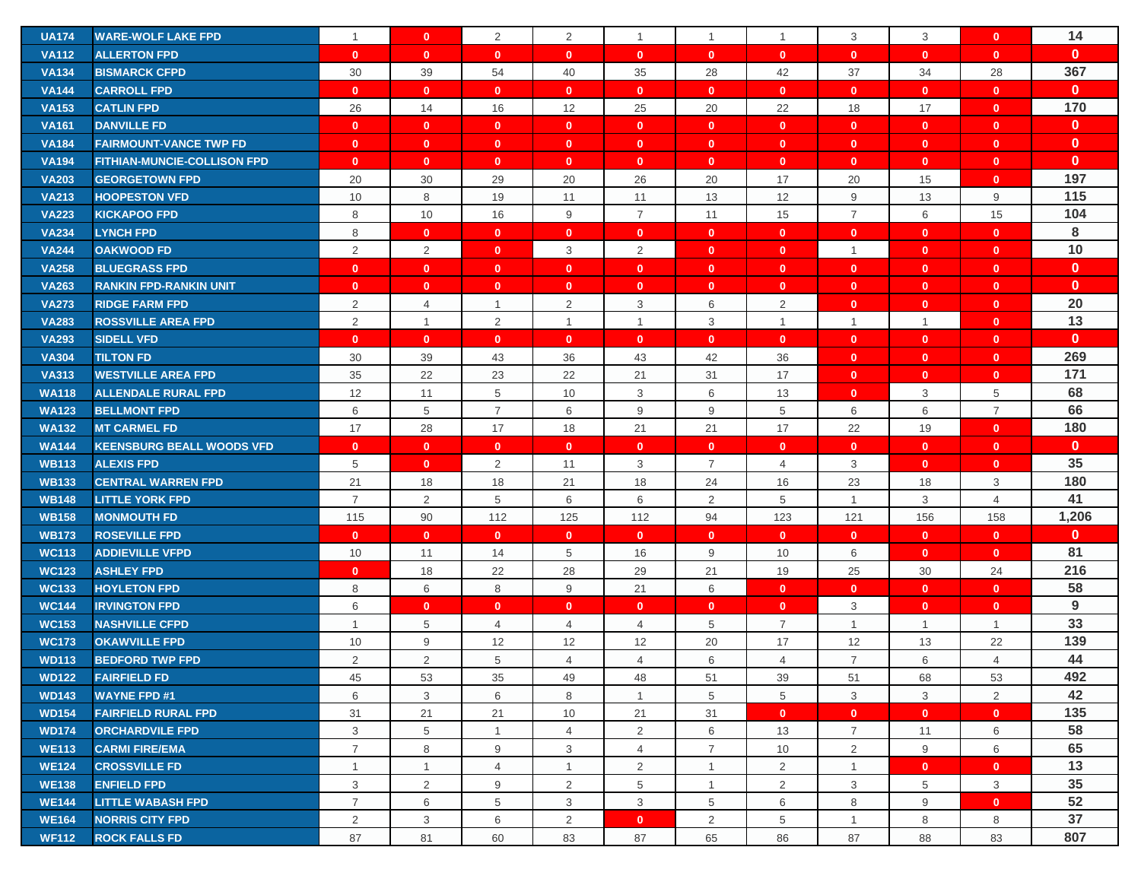| <b>UA174</b> | <b>WARE-WOLF LAKE FPD</b>          | $\mathbf{1}$   | $\mathbf{0}$   | $\overline{2}$ | $\overline{2}$ | $\mathbf{1}$   | $\mathbf{1}$   | $\mathbf{1}$   | 3              | 3              | $\mathbf{0}$   | 14           |
|--------------|------------------------------------|----------------|----------------|----------------|----------------|----------------|----------------|----------------|----------------|----------------|----------------|--------------|
| <b>VA112</b> | <b>ALLERTON FPD</b>                | $\mathbf{0}$   | $\mathbf{0}$   | $\mathbf{0}$   | $\mathbf{0}$   | $\mathbf{0}$   | $\mathbf{0}$   | $\mathbf{0}$   | $\mathbf{0}$   | $\mathbf{0}$   | $\mathbf{0}$   | $\mathbf{0}$ |
| <b>VA134</b> | <b>BISMARCK CFPD</b>               | 30             | 39             | 54             | 40             | 35             | 28             | 42             | 37             | 34             | 28             | 367          |
| <b>VA144</b> | <b>CARROLL FPD</b>                 | $\mathbf{0}$   | $\mathbf{0}$   | $\mathbf{0}$   | $\mathbf{0}$   | $\mathbf{0}$   | $\mathbf{0}$   | $\mathbf{0}$   | $\mathbf{0}$   | $\mathbf{0}$   | $\mathbf{0}$   | $\mathbf{0}$ |
| <b>VA153</b> | <b>CATLIN FPD</b>                  | 26             | 14             | 16             | 12             | 25             | 20             | 22             | 18             | 17             | $\mathbf{0}$   | 170          |
| <b>VA161</b> | <b>DANVILLE FD</b>                 | $\mathbf{0}$   | $\mathbf{0}$   | $\mathbf{0}$   | $\mathbf{0}$   | $\mathbf{0}$   | $\mathbf{0}$   | $\mathbf{0}$   | $\mathbf{0}$   | $\mathbf{0}$   | $\mathbf{0}$   | $\mathbf{0}$ |
| <b>VA184</b> | <b>FAIRMOUNT-VANCE TWP FD</b>      | $\mathbf{0}$   | $\mathbf{0}$   | $\mathbf{0}$   | $\mathbf{0}$   | $\mathbf{0}$   | $\mathbf{0}$   | $\mathbf{0}$   | $\mathbf{0}$   | $\mathbf{0}$   | $\mathbf{0}$   | $\mathbf{0}$ |
| <b>VA194</b> | <b>FITHIAN-MUNCIE-COLLISON FPD</b> | $\mathbf{0}$   | $\mathbf{0}$   | $\mathbf{0}$   | $\mathbf{0}$   | $\mathbf{0}$   | $\mathbf{0}$   | $\mathbf{0}$   | $\mathbf{0}$   | $\mathbf{0}$   | $\mathbf{0}$   | $\mathbf{0}$ |
| <b>VA203</b> | <b>GEORGETOWN FPD</b>              | 20             | 30             | 29             | 20             | 26             | 20             | 17             | 20             | 15             | $\mathbf{0}$   | 197          |
| <b>VA213</b> | <b>HOOPESTON VFD</b>               | 10             | 8              | 19             | 11             | 11             | 13             | 12             | 9              | 13             | 9              | 115          |
| <b>VA223</b> | <b>KICKAPOO FPD</b>                | 8              | 10             | 16             | 9              | $\overline{7}$ | 11             | 15             | $\overline{7}$ | 6              | 15             | 104          |
| <b>VA234</b> | <b>LYNCH FPD</b>                   | 8              | $\mathbf{0}$   | $\mathbf{0}$   | $\mathbf{0}$   | $\mathbf{0}$   | $\mathbf{0}$   | $\mathbf{0}$   | $\mathbf{0}$   | $\mathbf{0}$   | $\mathbf{0}$   | 8            |
| <b>VA244</b> | <b>OAKWOOD FD</b>                  | $\overline{2}$ | 2              | $\mathbf{0}$   | 3              | 2              | $\mathbf{0}$   | $\mathbf{0}$   | $\mathbf{1}$   | $\mathbf{0}$   | $\mathbf{0}$   | 10           |
| <b>VA258</b> | <b>BLUEGRASS FPD</b>               | $\mathbf{0}$   | $\mathbf{0}$   | $\mathbf{0}$   | $\mathbf{0}$   | $\mathbf{0}$   | $\mathbf{0}$   | $\mathbf{0}$   | $\mathbf{0}$   | $\mathbf{0}$   | $\mathbf{0}$   | $\mathbf{0}$ |
| <b>VA263</b> | <b>RANKIN FPD-RANKIN UNIT</b>      | $\mathbf{0}$   | $\mathbf{0}$   | $\mathbf{0}$   | $\mathbf{0}$   | $\mathbf{0}$   | $\mathbf{0}$   | $\mathbf{0}$   | $\mathbf{0}$   | $\mathbf{0}$   | $\mathbf{0}$   | $\mathbf{0}$ |
| <b>VA273</b> | <b>RIDGE FARM FPD</b>              | $\overline{2}$ | 4              | $\mathbf{1}$   | $\overline{2}$ | 3              | 6              | 2              | $\mathbf{0}$   | $\mathbf{0}$   | $\mathbf{0}$   | 20           |
| <b>VA283</b> | <b>ROSSVILLE AREA FPD</b>          | 2              | $\overline{1}$ | $\overline{2}$ | $\mathbf{1}$   | $\mathbf{1}$   | 3              | $\mathbf{1}$   | $\mathbf{1}$   | $\overline{1}$ | $\mathbf{0}$   | 13           |
| <b>VA293</b> | <b>SIDELL VFD</b>                  | $\mathbf{0}$   | $\mathbf{0}$   | $\mathbf{0}$   | $\mathbf{0}$   | $\mathbf{0}$   | $\mathbf{0}$   | $\mathbf{0}$   | $\mathbf{0}$   | $\mathbf{0}$   | $\mathbf{0}$   | $\mathbf{0}$ |
| <b>VA304</b> | <b>TILTON FD</b>                   | 30             | 39             | 43             | 36             | 43             | 42             | 36             | $\mathbf{0}$   | $\mathbf{0}$   | $\mathbf{0}$   | 269          |
| <b>VA313</b> | <b>WESTVILLE AREA FPD</b>          | 35             | 22             | 23             | 22             | 21             | 31             | 17             | $\bullet$      | $\mathbf{0}$   | $\mathbf{0}$   | 171          |
| <b>WA118</b> | <b>ALLENDALE RURAL FPD</b>         | 12             | 11             | 5              | 10             | 3              | 6              | 13             | $\mathbf{0}$   | 3              | 5              | 68           |
| <b>WA123</b> | <b>BELLMONT FPD</b>                | 6              | 5              | $\overline{7}$ | 6              | 9              | 9              | 5              | 6              | 6              | $\overline{7}$ | 66           |
| <b>WA132</b> | <b>MT CARMEL FD</b>                | 17             | 28             | 17             | 18             | 21             | 21             | 17             | 22             | 19             | $\mathbf{0}$   | 180          |
| <b>WA144</b> | <b>KEENSBURG BEALL WOODS VFD</b>   | $\mathbf{0}$   | $\mathbf{0}$   | $\mathbf{0}$   | $\mathbf{0}$   | $\mathbf{0}$   | $\mathbf{0}$   | $\mathbf{0}$   | $\mathbf{0}$   | $\mathbf{0}$   | $\mathbf{0}$   | $\mathbf{0}$ |
| <b>WB113</b> | <b>ALEXIS FPD</b>                  | 5              | $\mathbf{0}$   | $\overline{2}$ | 11             | 3              | $\overline{7}$ | $\overline{4}$ | 3              | $\mathbf{0}$   | $\mathbf{0}$   | 35           |
| <b>WB133</b> | <b>CENTRAL WARREN FPD</b>          | 21             | 18             | 18             | 21             | 18             | 24             | 16             | 23             | 18             | 3              | 180          |
| <b>WB148</b> | <b>LITTLE YORK FPD</b>             | $\overline{7}$ | $\overline{2}$ | 5              | 6              | 6              | 2              | 5              | $\mathbf{1}$   | 3              | $\overline{4}$ | 41           |
| <b>WB158</b> | <b>MONMOUTH FD</b>                 | 115            | 90             | 112            | 125            | 112            | 94             | 123            | 121            | 156            | 158            | 1,206        |
| <b>WB173</b> | <b>ROSEVILLE FPD</b>               | $\mathbf{0}$   | $\mathbf{0}$   | $\mathbf{0}$   | $\mathbf{0}$   | $\mathbf{0}$   | $\mathbf{0}$   | $\mathbf{0}$   | $\mathbf{0}$   | $\mathbf{0}$   | $\mathbf{0}$   | $\mathbf{0}$ |
| <b>WC113</b> | <b>ADDIEVILLE VFPD</b>             | 10             | 11             | 14             | 5              | 16             | 9              | 10             | 6              | $\mathbf{0}$   | $\mathbf{0}$   | 81           |
| <b>WC123</b> | <b>ASHLEY FPD</b>                  | $\mathbf{0}$   | 18             | 22             | 28             | 29             | 21             | 19             | 25             | 30             | 24             | 216          |
| <b>WC133</b> | <b>HOYLETON FPD</b>                | 8              | 6              | 8              | 9              | 21             | 6              | $\mathbf{0}$   | $\mathbf{0}$   | $\mathbf{0}$   | $\mathbf{0}$   | 58           |
| <b>WC144</b> | <b>IRVINGTON FPD</b>               | 6              | $\mathbf{0}$   | $\mathbf{0}$   | $\mathbf{0}$   | $\mathbf{0}$   | $\mathbf{0}$   | $\mathbf{0}$   | 3              | $\mathbf{0}$   | $\mathbf{0}$   | 9            |
| <b>WC153</b> | <b>NASHVILLE CFPD</b>              | $\mathbf{1}$   | 5              | 4              | $\overline{4}$ | 4              | 5              | 7              | $\mathbf{1}$   | $\overline{1}$ | $\mathbf{1}$   | 33           |
| <b>WC173</b> | <b>OKAWVILLE FPD</b>               | 10             | 9              | 12             | 12             | 12             | 20             | 17             | 12             | 13             | 22             | 139          |
| <b>WD113</b> | <b>BEDFORD TWP FPD</b>             | 2              | 2              | 5              | $\overline{4}$ | $\overline{4}$ | 6              | $\overline{4}$ | $\overline{7}$ | 6              | $\overline{4}$ | 44           |
| <b>WD122</b> | <b>FAIRFIELD FD</b>                | 45             | 53             | 35             | 49             | 48             | 51             | 39             | 51             | 68             | 53             | 492          |
| <b>WD143</b> | <b>WAYNE FPD #1</b>                | 6              | 3              | 6              | 8              | $\mathbf{1}$   | 5              | 5              | 3              | 3              | $\overline{2}$ | 42           |
| <b>WD154</b> | <b>FAIRFIELD RURAL FPD</b>         | 31             | 21             | 21             | 10             | 21             | 31             | $\mathbf{0}$   | $\mathbf{0}$   | $\mathbf{0}$   | $\mathbf{0}$   | 135          |
| <b>WD174</b> | <b>ORCHARDVILE FPD</b>             | 3              | 5              | $\mathbf{1}$   | $\overline{4}$ | $\overline{2}$ | 6              | 13             | $\overline{7}$ | 11             | 6              | 58           |
| <b>WE113</b> | <b>CARMI FIRE/EMA</b>              | $\overline{7}$ | 8              | 9              | 3              | $\overline{4}$ | $\overline{7}$ | 10             | $\overline{2}$ | 9              | 6              | 65           |
| <b>WE124</b> | <b>CROSSVILLE FD</b>               | $\mathbf{1}$   | $\mathbf{1}$   | $\overline{4}$ | $\mathbf{1}$   | $\overline{2}$ | $\mathbf{1}$   | $\overline{2}$ | $\mathbf{1}$   | $\mathbf{0}$   | $\mathbf{0}$   | 13           |
| <b>WE138</b> | <b>ENFIELD FPD</b>                 | 3              | $\overline{2}$ | 9              | $\overline{2}$ | 5              | $\mathbf{1}$   | 2              | 3              | 5              | 3              | 35           |
| <b>WE144</b> | <b>LITTLE WABASH FPD</b>           | $\overline{7}$ | 6              | 5              | 3              | 3              | 5              | 6              | 8              | 9              | $\mathbf{0}$   | 52           |
| <b>WE164</b> | <b>NORRIS CITY FPD</b>             | 2              | 3              | 6              | $\overline{2}$ | $\mathbf{0}$   | $\overline{2}$ | 5              | $\mathbf{1}$   | 8              | 8              | 37           |
| <b>WF112</b> | <b>ROCK FALLS FD</b>               | 87             | 81             | 60             | 83             | 87             | 65             | 86             | 87             | 88             | 83             | 807          |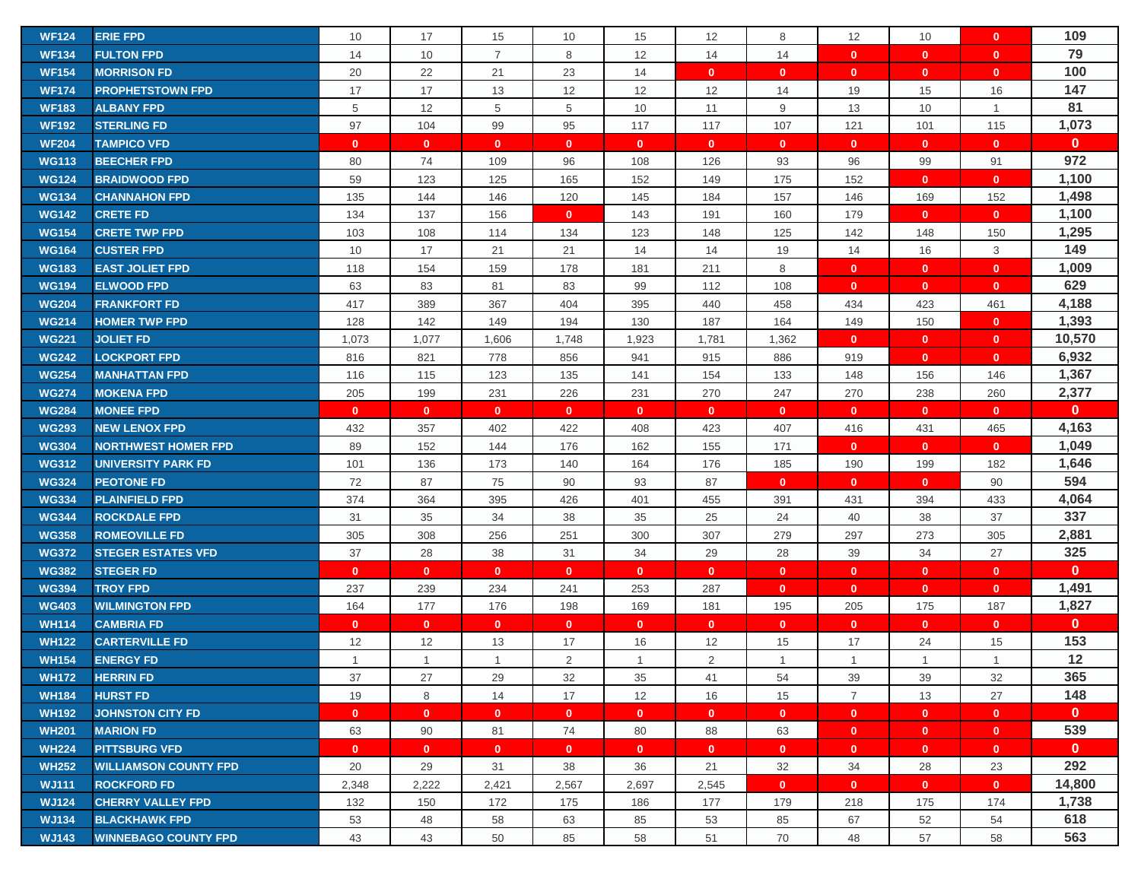| <b>WF124</b> | <b>ERIE FPD</b>              | 10           | 17             | 15             | 10           | 15           | 12           | 8              | 12             | 10             | $\mathbf{0}$ | 109          |
|--------------|------------------------------|--------------|----------------|----------------|--------------|--------------|--------------|----------------|----------------|----------------|--------------|--------------|
| <b>WF134</b> | <b>FULTON FPD</b>            | 14           | 10             | $\overline{7}$ | 8            | 12           | 14           | 14             | $\mathbf{0}$   | $\mathbf{0}$   | $\mathbf{0}$ | 79           |
| <b>WF154</b> | <b>MORRISON FD</b>           | 20           | 22             | 21             | 23           | 14           | $\mathbf{0}$ | $\mathbf 0$    | $\mathbf{0}$   | $\mathbf{0}$   | $\mathbf{0}$ | 100          |
| <b>WF174</b> | <b>PROPHETSTOWN FPD</b>      | 17           | 17             | 13             | 12           | 12           | 12           | 14             | 19             | 15             | 16           | 147          |
| <b>WF183</b> | <b>ALBANY FPD</b>            | $\,$ 5 $\,$  | 12             | 5              | 5            | 10           | 11           | 9              | 13             | 10             | $\mathbf{1}$ | 81           |
| <b>WF192</b> | <b>STERLING FD</b>           | 97           | 104            | 99             | 95           | 117          | 117          | 107            | 121            | 101            | 115          | 1,073        |
| <b>WF204</b> | <b>TAMPICO VFD</b>           | $\mathbf{0}$ | $\mathbf{0}$   | $\mathbf{0}$   | $\mathbf{0}$ | $\mathbf{0}$ | $\mathbf{0}$ | $\mathbf{0}$   | $\mathbf{0}$   | $\mathbf{0}$   | $\mathbf{0}$ | $\mathbf{0}$ |
| <b>WG113</b> | <b>BEECHER FPD</b>           | 80           | 74             | 109            | 96           | 108          | 126          | 93             | 96             | 99             | 91           | 972          |
| <b>WG124</b> | <b>BRAIDWOOD FPD</b>         | 59           | 123            | 125            | 165          | 152          | 149          | 175            | 152            | $\mathbf{0}$   | $\mathbf{0}$ | 1,100        |
| <b>WG134</b> | <b>CHANNAHON FPD</b>         | 135          | 144            | 146            | 120          | 145          | 184          | 157            | 146            | 169            | 152          | 1,498        |
| <b>WG142</b> | <b>CRETE FD</b>              | 134          | 137            | 156            | $\mathbf{0}$ | 143          | 191          | 160            | 179            | $\mathbf{0}$   | $\mathbf{0}$ | 1,100        |
| <b>WG154</b> | <b>CRETE TWP FPD</b>         | 103          | 108            | 114            | 134          | 123          | 148          | 125            | 142            | 148            | 150          | 1,295        |
| <b>WG164</b> | <b>CUSTER FPD</b>            | 10           | 17             | 21             | 21           | 14           | 14           | 19             | 14             | 16             | 3            | 149          |
| <b>WG183</b> | <b>EAST JOLIET FPD</b>       | 118          | 154            | 159            | 178          | 181          | 211          | 8              | $\mathbf{0}$   | $\mathbf{0}$   | $\mathbf{0}$ | 1,009        |
| <b>WG194</b> | <b>ELWOOD FPD</b>            | 63           | 83             | 81             | 83           | 99           | 112          | 108            | $\mathbf{0}$   | $\mathbf{0}$   | $\mathbf{0}$ | 629          |
| <b>WG204</b> | <b>FRANKFORT FD</b>          | 417          | 389            | 367            | 404          | 395          | 440          | 458            | 434            | 423            | 461          | 4,188        |
| <b>WG214</b> | <b>HOMER TWP FPD</b>         | 128          | 142            | 149            | 194          | 130          | 187          | 164            | 149            | 150            | $\mathbf{0}$ | 1,393        |
| <b>WG221</b> | <b>JOLIET FD</b>             | 1,073        | 1,077          | 1,606          | 1,748        | 1,923        | 1,781        | 1,362          | $\mathbf{0}$   | $\mathbf{0}$   | $\mathbf{0}$ | 10,570       |
| <b>WG242</b> | <b>LOCKPORT FPD</b>          | 816          | 821            | 778            | 856          | 941          | 915          | 886            | 919            | $\mathbf{0}$   | $\mathbf{0}$ | 6,932        |
| <b>WG254</b> | <b>MANHATTAN FPD</b>         | 116          | 115            | 123            | 135          | 141          | 154          | 133            | 148            | 156            | 146          | 1,367        |
| <b>WG274</b> | <b>MOKENA FPD</b>            | 205          | 199            | 231            | 226          | 231          | 270          | 247            | 270            | 238            | 260          | 2,377        |
| <b>WG284</b> | <b>MONEE FPD</b>             | $\mathbf{0}$ | $\mathbf{0}$   | $\mathbf{0}$   | $\mathbf{0}$ | $\mathbf{0}$ | $\mathbf{0}$ | $\mathbf{0}$   | $\mathbf{0}$   | $\mathbf{0}$   | $\mathbf{0}$ | $\mathbf{0}$ |
| <b>WG293</b> | <b>NEW LENOX FPD</b>         | 432          | 357            | 402            | 422          | 408          | 423          | 407            | 416            | 431            | 465          | 4,163        |
| <b>WG304</b> | <b>NORTHWEST HOMER FPD</b>   | 89           | 152            | 144            | 176          | 162          | 155          | 171            | $\mathbf{0}$   | $\mathbf{0}$   | $\mathbf{0}$ | 1,049        |
| <b>WG312</b> | <b>UNIVERSITY PARK FD</b>    | 101          | 136            | 173            | 140          | 164          | 176          | 185            | 190            | 199            | 182          | 1,646        |
| <b>WG324</b> | <b>PEOTONE FD</b>            | 72           | 87             | 75             | 90           | 93           | 87           | $\mathbf{0}$   | $\mathbf{0}$   | $\mathbf{0}$   | 90           | 594          |
| <b>WG334</b> | <b>PLAINFIELD FPD</b>        | 374          | 364            | 395            | 426          | 401          | 455          | 391            | 431            | 394            | 433          | 4,064        |
| <b>WG344</b> | <b>ROCKDALE FPD</b>          | 31           | 35             | 34             | 38           | 35           | 25           | 24             | 40             | 38             | 37           | 337          |
| <b>WG358</b> | <b>ROMEOVILLE FD</b>         | 305          | 308            | 256            | 251          | 300          | 307          | 279            | 297            | 273            | 305          | 2,881        |
| <b>WG372</b> | <b>STEGER ESTATES VFD</b>    | 37           | 28             | 38             | 31           | 34           | 29           | 28             | 39             | 34             | 27           | 325          |
| <b>WG382</b> | <b>STEGER FD</b>             | $\mathbf{0}$ | $\mathbf{0}$   | $\mathbf{0}$   | $\mathbf{0}$ | $\mathbf{0}$ | $\mathbf{0}$ | $\mathbf 0$    | $\mathbf{0}$   | $\mathbf{0}$   | $\mathbf{0}$ | $\mathbf{0}$ |
| <b>WG394</b> | <b>TROY FPD</b>              | 237          | 239            | 234            | 241          | 253          | 287          | $\mathbf{0}$   | $\mathbf{0}$   | $\mathbf{0}$   | $\mathbf{0}$ | 1,491        |
| <b>WG403</b> | <b>WILMINGTON FPD</b>        | 164          | 177            | 176            | 198          | 169          | 181          | 195            | 205            | 175            | 187          | 1,827        |
| <b>WH114</b> | <b>CAMBRIA FD</b>            | $\mathbf{0}$ | $\mathbf{0}$   | $\mathbf{0}$   | $\mathbf{0}$ | $\mathbf{0}$ | $\mathbf{0}$ | $\mathbf{0}$   | $\mathbf{0}$   | $\mathbf{0}$   | $\mathbf{0}$ | $\mathbf{0}$ |
| <b>WH122</b> | <b>CARTERVILLE FD</b>        | 12           | 12             | 13             | 17           | 16           | 12           | 15             | 17             | 24             | 15           | 153          |
| <b>WH154</b> | <b>ENERGY FD</b>             | $\mathbf{1}$ | $\overline{1}$ | $\mathbf{1}$   | 2            | $\mathbf{1}$ | 2            | $\overline{1}$ | $\mathbf{1}$   | $\overline{1}$ | $\mathbf{1}$ | $12$         |
| <b>WH172</b> | <b>HERRIN FD</b>             | 37           | 27             | 29             | 32           | 35           | 41           | 54             | 39             | 39             | 32           | 365          |
| <b>WH184</b> | <b>HURST FD</b>              | 19           | 8              | 14             | 17           | 12           | 16           | 15             | $\overline{7}$ | 13             | 27           | 148          |
| <b>WH192</b> | <b>JOHNSTON CITY FD</b>      | $\mathbf{0}$ | $\mathbf{0}$   | $\mathbf{0}$   | $\mathbf{0}$ | $\mathbf{0}$ | $\mathbf{0}$ | $\mathbf{0}$   | $\mathbf{0}$   | $\mathbf{0}$   | $\mathbf{0}$ | $\mathbf{0}$ |
| <b>WH201</b> | <b>MARION FD</b>             | 63           | 90             | 81             | 74           | 80           | 88           | 63             | $\mathbf{0}$   | $\mathbf{0}$   | $\mathbf{0}$ | 539          |
| <b>WH224</b> | <b>PITTSBURG VFD</b>         | $\mathbf{0}$ | $\mathbf{0}$   | $\mathbf{0}$   | $\mathbf{0}$ | $\mathbf{0}$ | $\mathbf{0}$ | $\mathbf{0}$   | $\mathbf{0}$   | $\mathbf{0}$   | $\mathbf{0}$ | $\mathbf{0}$ |
| <b>WH252</b> | <b>WILLIAMSON COUNTY FPD</b> | 20           | 29             | 31             | 38           | 36           | 21           | 32             | 34             | 28             | 23           | 292          |
| <b>WJ111</b> | <b>ROCKFORD FD</b>           | 2,348        | 2,222          | 2,421          | 2,567        | 2,697        | 2,545        | $\mathbf{0}$   | $\mathbf{0}$   | $\mathbf{0}$   | $\mathbf{0}$ | 14,800       |
| <b>WJ124</b> | <b>CHERRY VALLEY FPD</b>     | 132          | 150            | 172            | 175          | 186          | 177          | 179            | 218            | 175            | 174          | 1,738        |
| <b>WJ134</b> | <b>BLACKHAWK FPD</b>         | 53           | 48             | 58             | 63           | 85           | 53           | 85             | 67             | 52             | 54           | 618          |
| <b>WJ143</b> | <b>WINNEBAGO COUNTY FPD</b>  | 43           | 43             | 50             | 85           | 58           | 51           | 70             | 48             | 57             | 58           | 563          |